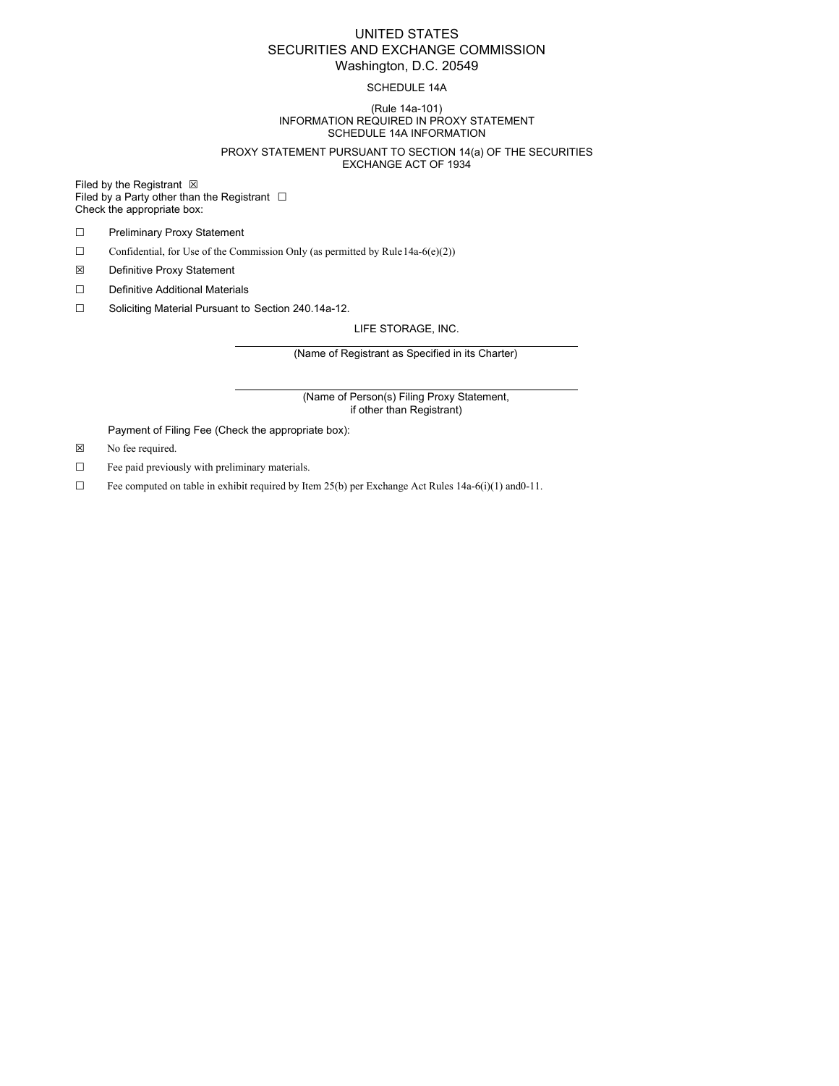### UNITED STATES SECURITIES AND EXCHANGE COMMISSION Washington, D.C. 20549

#### SCHEDULE 14A

#### (Rule 14a-101) INFORMATION REQUIRED IN PROXY STATEMENT SCHEDULE 14A INFORMATION

#### PROXY STATEMENT PURSUANT TO SECTION 14(a) OF THE SECURITIES EXCHANGE ACT OF 1934

Filed by the Registrant  $\boxtimes$ Filed by a Party other than the Registrant  $□$ Check the appropriate box:

- ☐ Preliminary Proxy Statement
- $\Box$  Confidential, for Use of the Commission Only (as permitted by Rule 14a-6(e)(2))
- ☒ Definitive Proxy Statement
- ☐ Definitive Additional Materials
- ☐ Soliciting Material Pursuant to Section 240.14a-12.

LIFE STORAGE, INC.

(Name of Registrant as Specified in its Charter)

(Name of Person(s) Filing Proxy Statement, if other than Registrant)

Payment of Filing Fee (Check the appropriate box):

- ☒ No fee required.
- ☐ Fee paid previously with preliminary materials.
- $\Box$  Fee computed on table in exhibit required by Item 25(b) per Exchange Act Rules 14a-6(i)(1) and 0-11.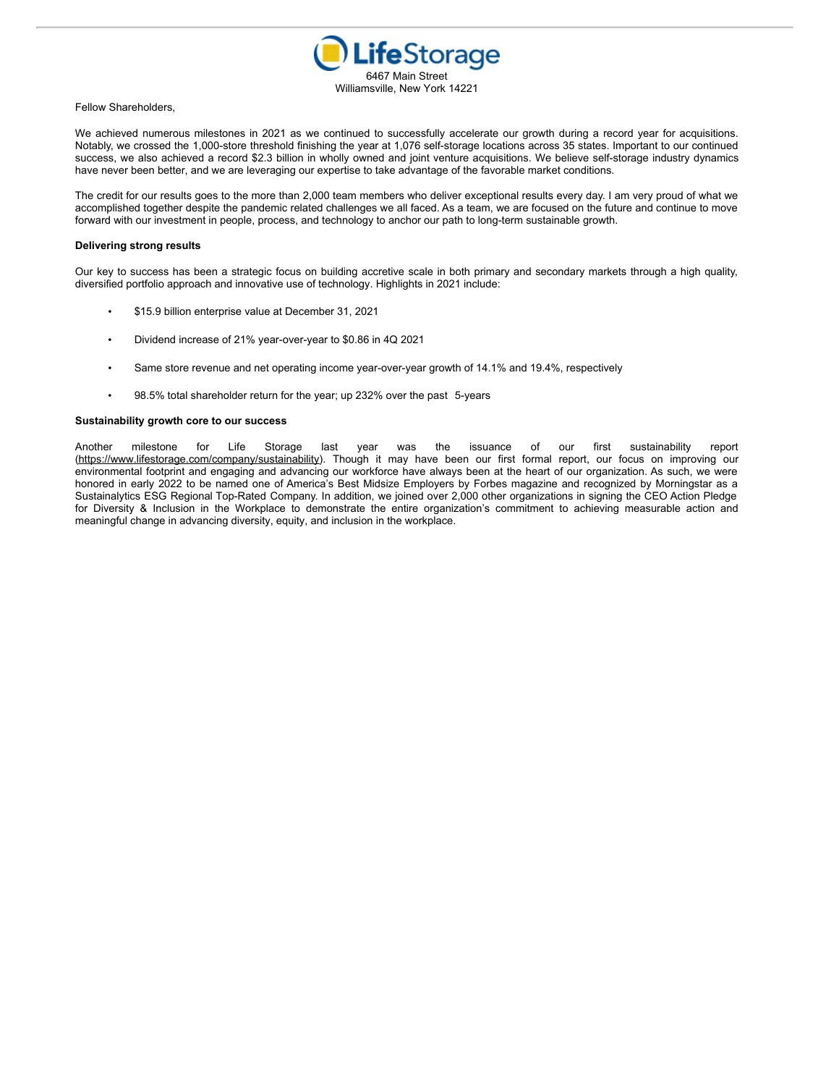

#### Fellow Shareholders,

We achieved numerous milestones in 2021 as we continued to successfully accelerate our growth during a record year for acquisitions. Notably, we crossed the 1,000-store threshold finishing the year at 1,076 self-storage locations across 35 states. Important to our continued success, we also achieved a record \$2.3 billion in wholly owned and joint venture acquisitions. We believe self-storage industry dynamics have never been better, and we are leveraging our expertise to take advantage of the favorable market conditions.

The credit for our results goes to the more than 2,000 team members who deliver exceptional results every day. I am very proud of what we accomplished together despite the pandemic related challenges we all faced. As a team, we are focused on the future and continue to move forward with our investment in people, process, and technology to anchor our path to long-term sustainable growth.

#### **Delivering strong results**

Our key to success has been a strategic focus on building accretive scale in both primary and secondary markets through a high quality, diversified portfolio approach and innovative use of technology. Highlights in 2021 include:

- \$15.9 billion enterprise value at December 31, 2021
- Dividend increase of 21% year-over-year to \$0.86 in 4Q 2021
- Same store revenue and net operating income year-over-year growth of 14.1% and 19.4%, respectively
- 98.5% total shareholder return for the year; up 232% over the past 5-years

#### **Sustainability growth core to our success**

Another milestone for Life Storage last year was the issuance of our first sustainability report (https://www.lifestorage.com/company/sustainability). Though it may have been our first formal report, our focus on improving our environmental footprint and engaging and advancing our workforce have always been at the heart of our organization. As such, we were honored in early 2022 to be named one of America's Best Midsize Employers by Forbes magazine and recognized by Morningstar as a Sustainalytics ESG Regional Top-Rated Company. In addition, we joined over 2,000 other organizations in signing the CEO Action Pledge for Diversity & Inclusion in the Workplace to demonstrate the entire organization's commitment to achieving measurable action and meaningful change in advancing diversity, equity, and inclusion in the workplace.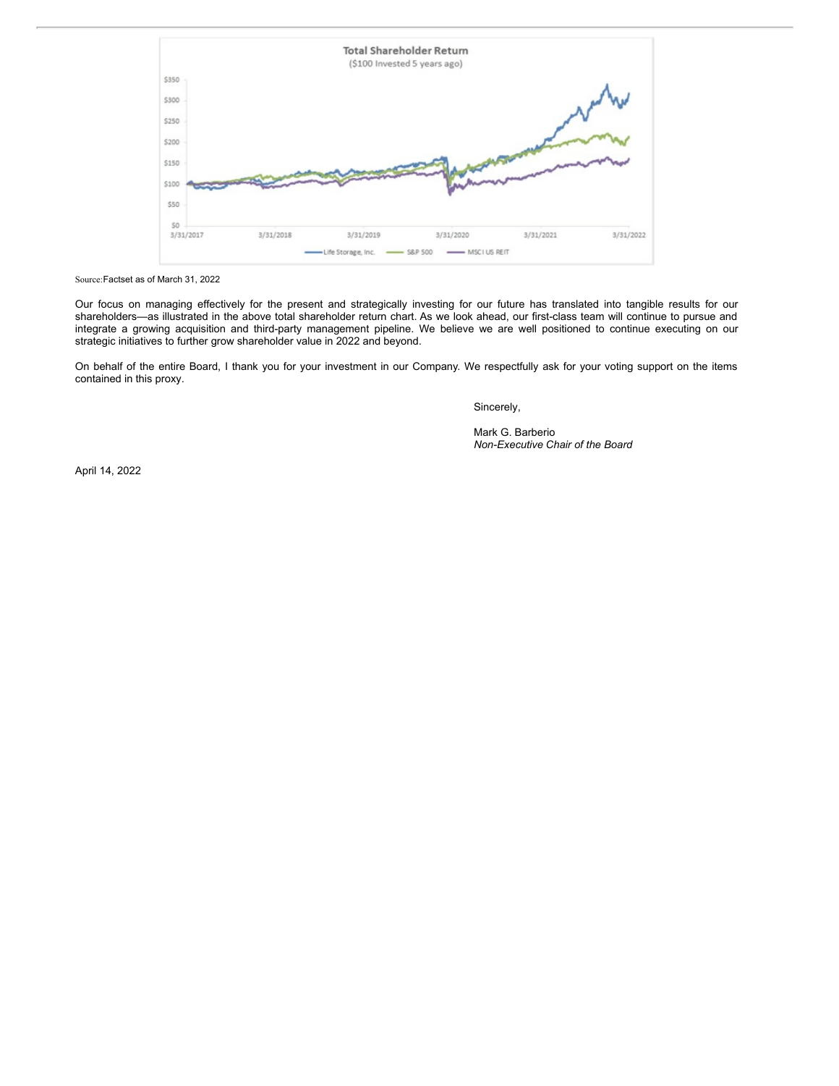

Source:Factset as of March 31, 2022

Our focus on managing effectively for the present and strategically investing for our future has translated into tangible results for our shareholders—as illustrated in the above total shareholder return chart. As we look ahead, our first-class team will continue to pursue and integrate a growing acquisition and third-party management pipeline. We believe we are well positioned to continue executing on our strategic initiatives to further grow shareholder value in 2022 and beyond.

On behalf of the entire Board, I thank you for your investment in our Company. We respectfully ask for your voting support on the items contained in this proxy.

Sincerely,

Mark G. Barberio *Non-Executive Chair of the Board*

April 14, 2022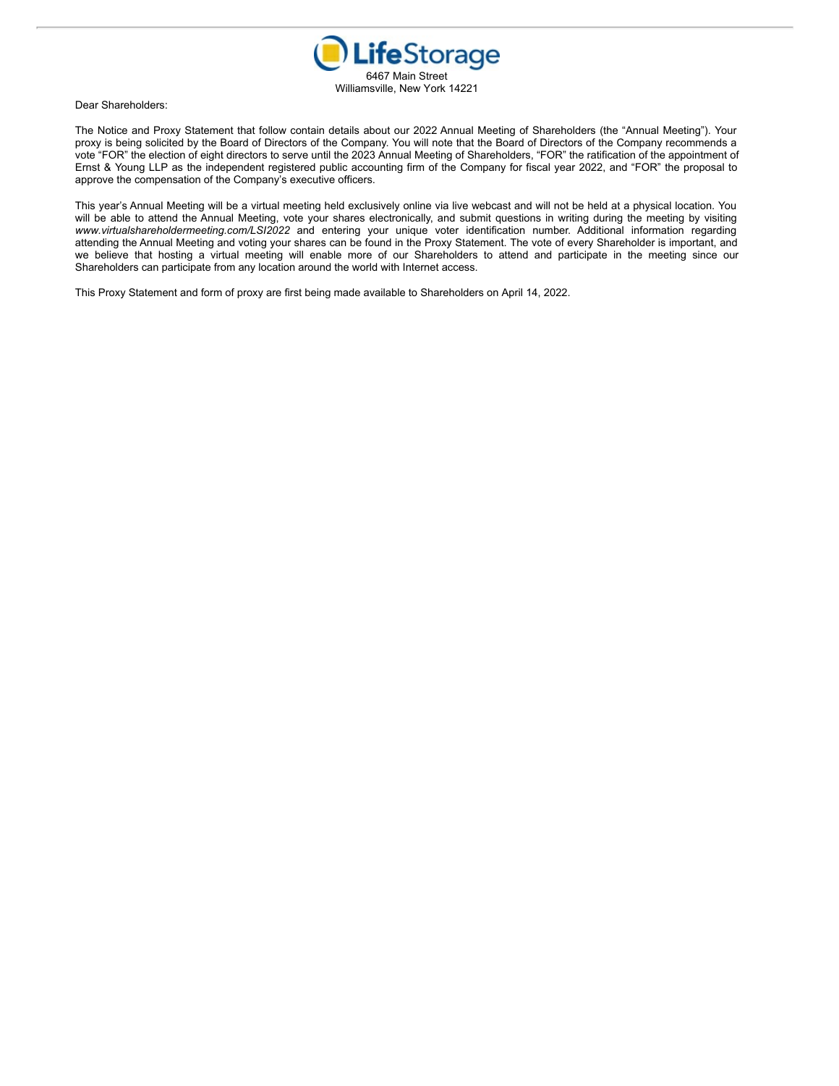

Dear Shareholders:

The Notice and Proxy Statement that follow contain details about our 2022 Annual Meeting of Shareholders (the "Annual Meeting"). Your proxy is being solicited by the Board of Directors of the Company. You will note that the Board of Directors of the Company recommends a vote "FOR" the election of eight directors to serve until the 2023 Annual Meeting of Shareholders, "FOR" the ratification of the appointment of Ernst & Young LLP as the independent registered public accounting firm of the Company for fiscal year 2022, and "FOR" the proposal to approve the compensation of the Company's executive officers.

This year's Annual Meeting will be a virtual meeting held exclusively online via live webcast and will not be held at a physical location. You will be able to attend the Annual Meeting, vote your shares electronically, and submit questions in writing during the meeting by visiting *www.virtualshareholdermeeting.com/LSI2022* and entering your unique voter identification number. Additional information regarding attending the Annual Meeting and voting your shares can be found in the Proxy Statement. The vote of every Shareholder is important, and we believe that hosting a virtual meeting will enable more of our Shareholders to attend and participate in the meeting since our Shareholders can participate from any location around the world with Internet access.

This Proxy Statement and form of proxy are first being made available to Shareholders on April 14, 2022.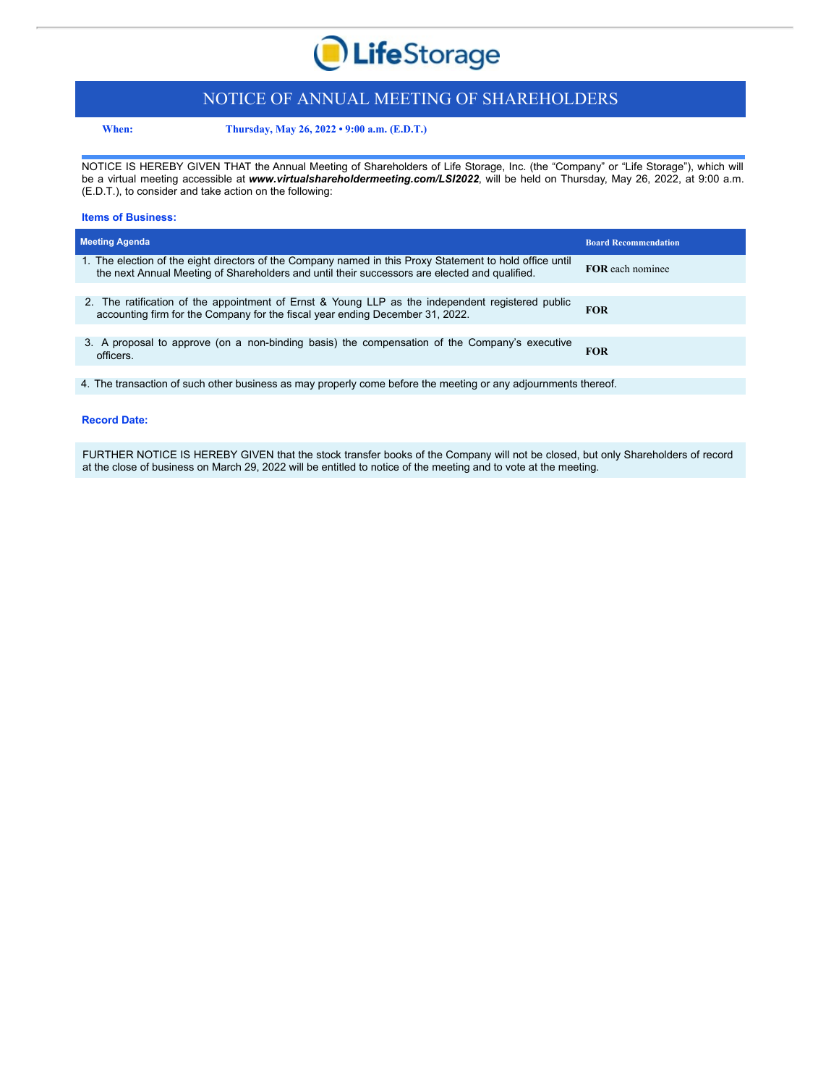

## NOTICE OF ANNUAL MEETING OF SHAREHOLDERS

**When: Thursday, May 26, 2022 • 9:00 a.m. (E.D.T.)**

NOTICE IS HEREBY GIVEN THAT the Annual Meeting of Shareholders of Life Storage, Inc. (the "Company" or "Life Storage"), which will be a virtual meeting accessible at *www.virtualshareholdermeeting.com/LSI2022*, will be held on Thursday, May 26, 2022, at 9:00 a.m. (E.D.T.), to consider and take action on the following:

#### **Items of Business:**

| <b>Meeting Agenda</b>                                                                                                                                                                                     | <b>Board Recommendation</b> |
|-----------------------------------------------------------------------------------------------------------------------------------------------------------------------------------------------------------|-----------------------------|
| 1. The election of the eight directors of the Company named in this Proxy Statement to hold office until<br>the next Annual Meeting of Shareholders and until their successors are elected and qualified. | <b>FOR</b> each nominee     |
|                                                                                                                                                                                                           |                             |
| 2. The ratification of the appointment of Ernst & Young LLP as the independent registered public<br>accounting firm for the Company for the fiscal year ending December 31, 2022.                         | <b>FOR</b>                  |
|                                                                                                                                                                                                           |                             |
| 3. A proposal to approve (on a non-binding basis) the compensation of the Company's executive<br>officers.                                                                                                | <b>FOR</b>                  |
|                                                                                                                                                                                                           |                             |

4. The transaction of such other business as may properly come before the meeting or any adjournments thereof.

#### **Record Date:**

FURTHER NOTICE IS HEREBY GIVEN that the stock transfer books of the Company will not be closed, but only Shareholders of record at the close of business on March 29, 2022 will be entitled to notice of the meeting and to vote at the meeting.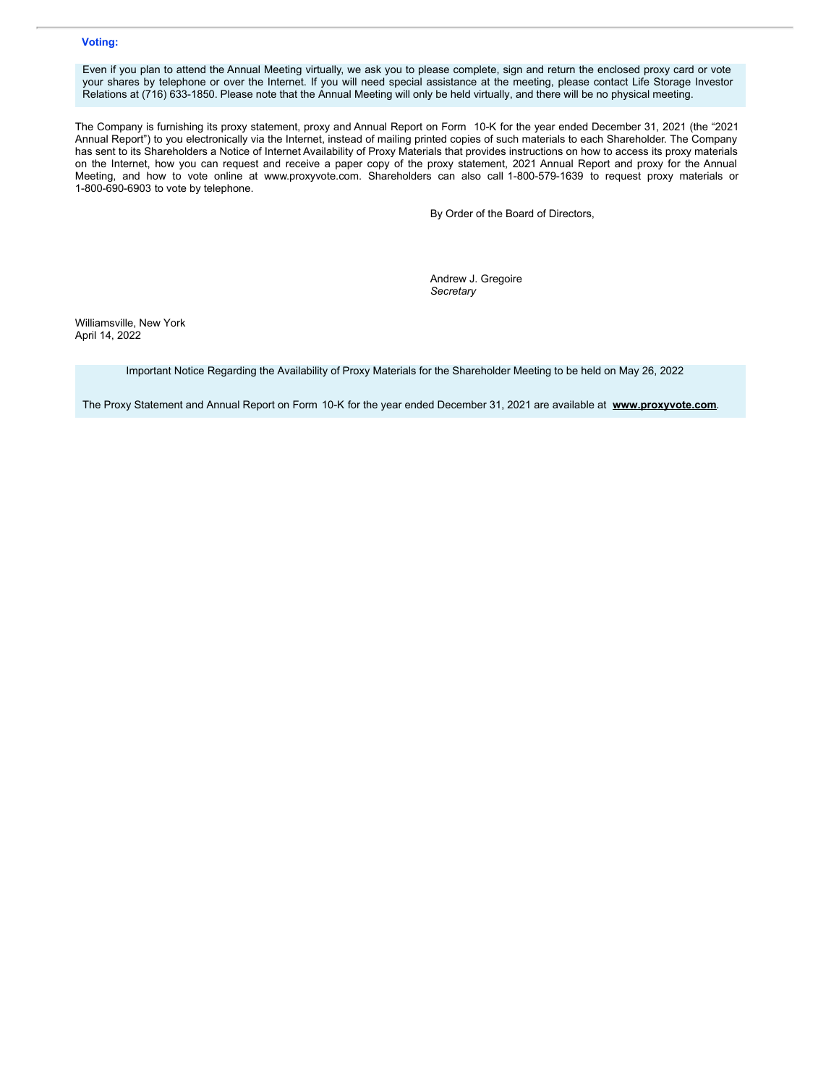#### **Voting:**

Even if you plan to attend the Annual Meeting virtually, we ask you to please complete, sign and return the enclosed proxy card or vote your shares by telephone or over the Internet. If you will need special assistance at the meeting, please contact Life Storage Investor Relations at (716) 633-1850. Please note that the Annual Meeting will only be held virtually, and there will be no physical meeting.

The Company is furnishing its proxy statement, proxy and Annual Report on Form 10-K for the year ended December 31, 2021 (the "2021 Annual Report") to you electronically via the Internet, instead of mailing printed copies of such materials to each Shareholder. The Company has sent to its Shareholders a Notice of Internet Availability of Proxy Materials that provides instructions on how to access its proxy materials on the Internet, how you can request and receive a paper copy of the proxy statement, 2021 Annual Report and proxy for the Annual Meeting, and how to vote online at www.proxyvote.com. Shareholders can also call 1-800-579-1639 to request proxy materials or 1-800-690-6903 to vote by telephone.

By Order of the Board of Directors,

Andrew J. Gregoire *Secretary*

Williamsville, New York April 14, 2022

Important Notice Regarding the Availability of Proxy Materials for the Shareholder Meeting to be held on May 26, 2022

The Proxy Statement and Annual Report on Form 10-K for the year ended December 31, 2021 are available at **www.proxyvote.com**.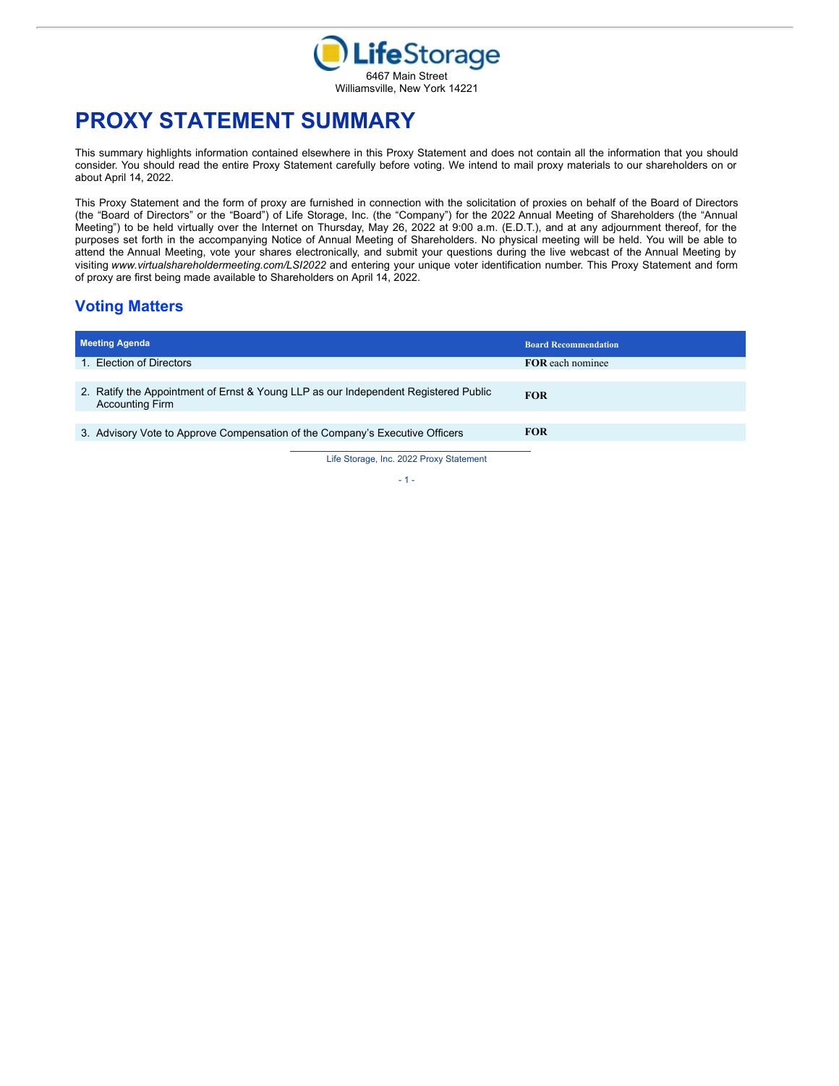

# **PROXY STATEMENT SUMMARY**

This summary highlights information contained elsewhere in this Proxy Statement and does not contain all the information that you should consider. You should read the entire Proxy Statement carefully before voting. We intend to mail proxy materials to our shareholders on or about April 14, 2022.

This Proxy Statement and the form of proxy are furnished in connection with the solicitation of proxies on behalf of the Board of Directors (the "Board of Directors" or the "Board") of Life Storage, Inc. (the "Company") for the 2022 Annual Meeting of Shareholders (the "Annual Meeting") to be held virtually over the Internet on Thursday, May 26, 2022 at 9:00 a.m. (E.D.T.), and at any adjournment thereof, for the purposes set forth in the accompanying Notice of Annual Meeting of Shareholders. No physical meeting will be held. You will be able to attend the Annual Meeting, vote your shares electronically, and submit your questions during the live webcast of the Annual Meeting by visiting *www.virtualshareholdermeeting.com/LSI2022* and entering your unique voter identification number. This Proxy Statement and form of proxy are first being made available to Shareholders on April 14, 2022.

## **Voting Matters**

| <b>Meeting Agenda</b>                                                                                         |                                       | <b>Board Recommendation</b> |
|---------------------------------------------------------------------------------------------------------------|---------------------------------------|-----------------------------|
| 1. Election of Directors                                                                                      |                                       | <b>FOR</b> each nominee     |
|                                                                                                               |                                       |                             |
| 2. Ratify the Appointment of Ernst & Young LLP as our Independent Registered Public<br><b>Accounting Firm</b> |                                       | <b>FOR</b>                  |
|                                                                                                               |                                       |                             |
| 3. Advisory Vote to Approve Compensation of the Company's Executive Officers                                  |                                       | <b>FOR</b>                  |
|                                                                                                               | Life Storage Jne 2022 Provy Statement |                             |

Storage, Inc.

 $- 1 -$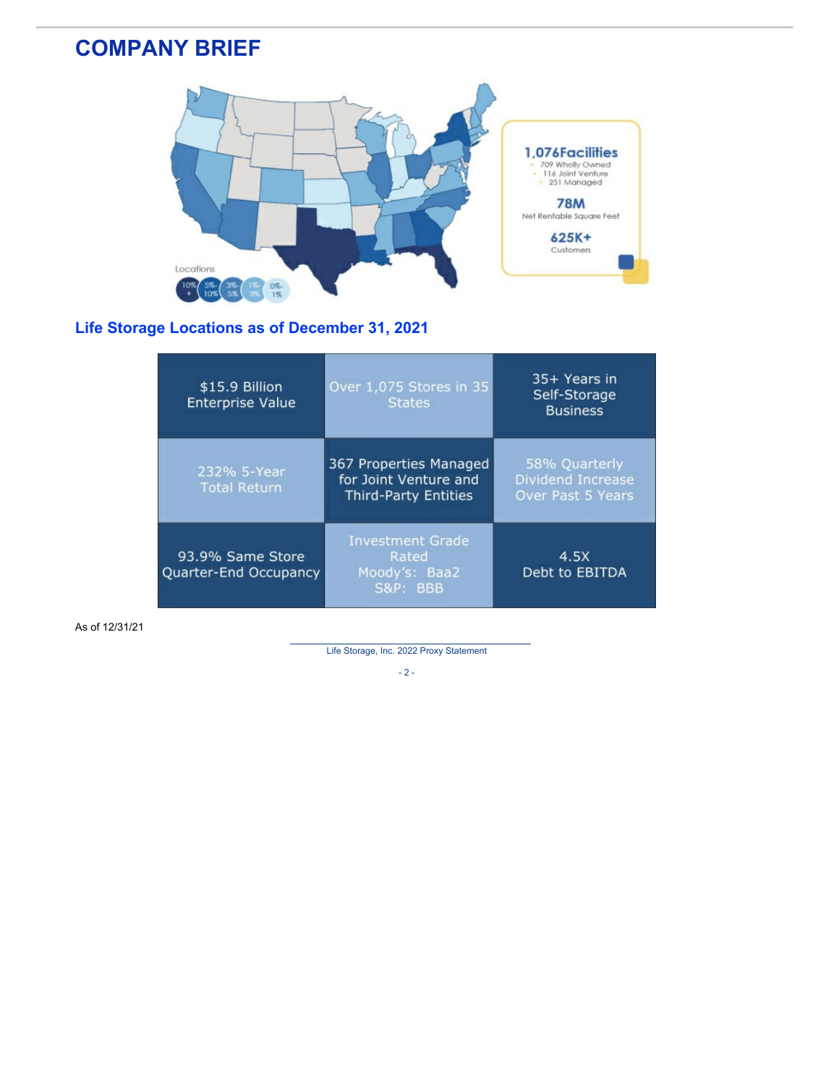# **COMPANY BRIEF**



## **Life Storage Locations as of December 31, 2021**

| \$15.9 Billion<br><b>Enterprise Value</b> | Over 1,075 Stores in 35<br><b>States</b>                                       | 35+ Years in<br>Self-Storage<br><b>Business</b>                |
|-------------------------------------------|--------------------------------------------------------------------------------|----------------------------------------------------------------|
| 232% 5-Year<br><b>Total Return</b>        | 367 Properties Managed<br>for Joint Venture and<br><b>Third-Party Entities</b> | 58% Quarterly<br><b>Dividend Increase</b><br>Over Past 5 Years |
| 93.9% Same Store<br>Quarter-End Occupancy | <b>Investment Grade</b><br>Rated<br>Moody's: Baa2<br><b>S&amp;P: BBB</b>       | 4.5X<br>Debt to EBITDA                                         |

As of 12/31/21

Life Storage, Inc. 2022 Proxy Statement

 $- 2 -$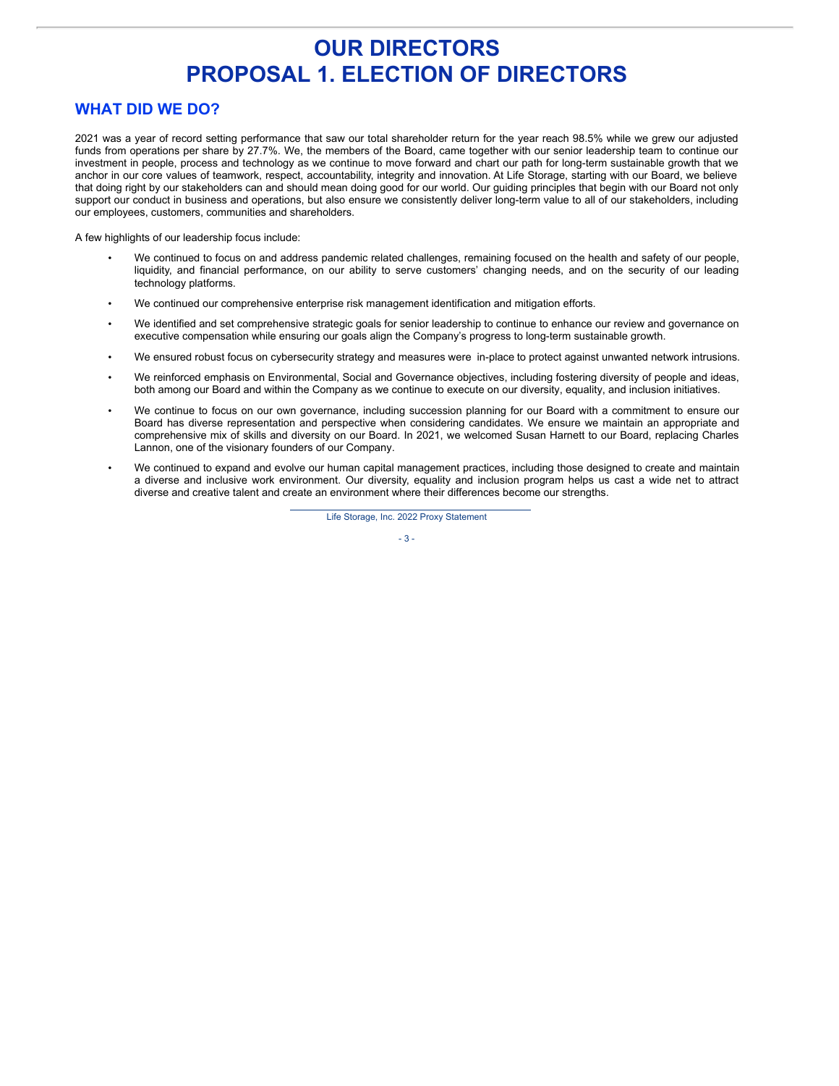# **OUR DIRECTORS PROPOSAL 1. ELECTION OF DIRECTORS**

## **WHAT DID WE DO?**

2021 was a year of record setting performance that saw our total shareholder return for the year reach 98.5% while we grew our adjusted funds from operations per share by 27.7%. We, the members of the Board, came together with our senior leadership team to continue our investment in people, process and technology as we continue to move forward and chart our path for long-term sustainable growth that we anchor in our core values of teamwork, respect, accountability, integrity and innovation. At Life Storage, starting with our Board, we believe that doing right by our stakeholders can and should mean doing good for our world. Our guiding principles that begin with our Board not only support our conduct in business and operations, but also ensure we consistently deliver long-term value to all of our stakeholders, including our employees, customers, communities and shareholders.

A few highlights of our leadership focus include:

- We continued to focus on and address pandemic related challenges, remaining focused on the health and safety of our people, liquidity, and financial performance, on our ability to serve customers' changing needs, and on the security of our leading technology platforms.
- We continued our comprehensive enterprise risk management identification and mitigation efforts.
- We identified and set comprehensive strategic goals for senior leadership to continue to enhance our review and governance on executive compensation while ensuring our goals align the Company's progress to long-term sustainable growth.
- We ensured robust focus on cybersecurity strategy and measures were in-place to protect against unwanted network intrusions.
- We reinforced emphasis on Environmental, Social and Governance objectives, including fostering diversity of people and ideas, both among our Board and within the Company as we continue to execute on our diversity, equality, and inclusion initiatives.
- We continue to focus on our own governance, including succession planning for our Board with a commitment to ensure our Board has diverse representation and perspective when considering candidates. We ensure we maintain an appropriate and comprehensive mix of skills and diversity on our Board. In 2021, we welcomed Susan Harnett to our Board, replacing Charles Lannon, one of the visionary founders of our Company.
- We continued to expand and evolve our human capital management practices, including those designed to create and maintain a diverse and inclusive work environment. Our diversity, equality and inclusion program helps us cast a wide net to attract diverse and creative talent and create an environment where their differences become our strengths.

Life Storage, Inc. 2022 Proxy Statement

- 3 -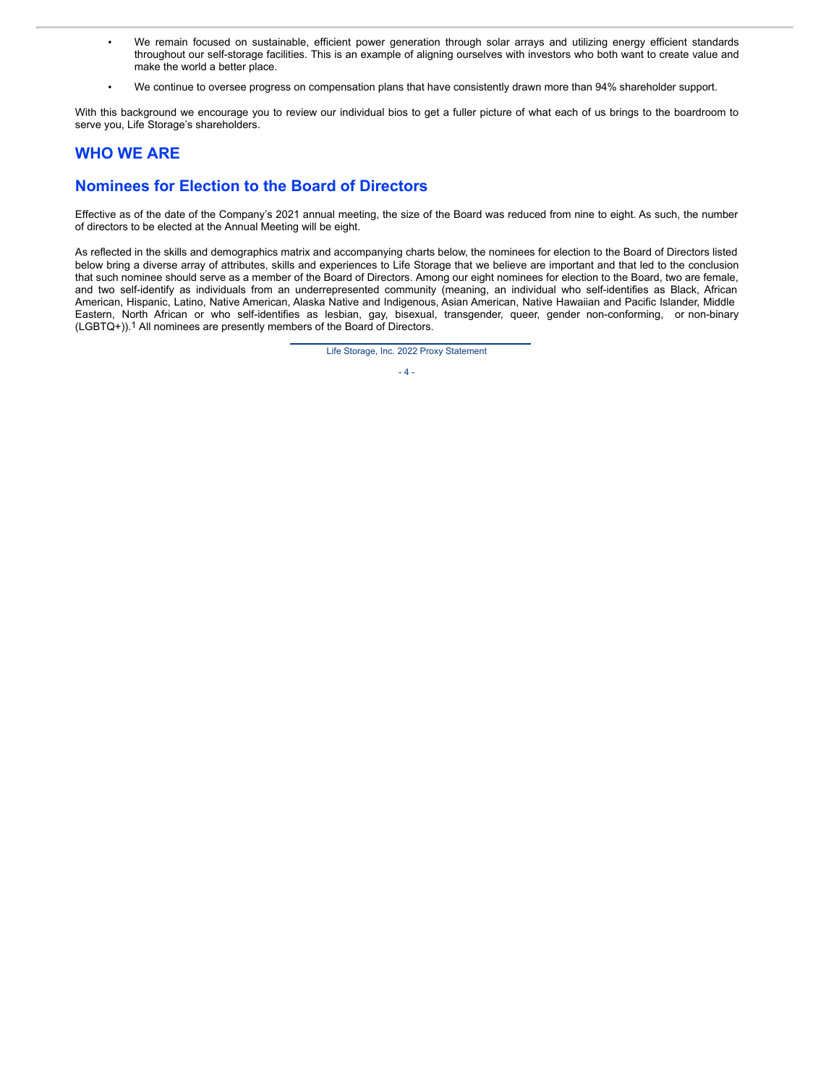- We remain focused on sustainable, efficient power generation through solar arrays and utilizing energy efficient standards throughout our self-storage facilities. This is an example of aligning ourselves with investors who both want to create value and make the world a better place.
- We continue to oversee progress on compensation plans that have consistently drawn more than 94% shareholder support.

With this background we encourage you to review our individual bios to get a fuller picture of what each of us brings to the boardroom to serve you, Life Storage's shareholders.

## **WHO WE ARE**

## **Nominees for Election to the Board of Directors**

Effective as of the date of the Company's 2021 annual meeting, the size of the Board was reduced from nine to eight. As such, the number of directors to be elected at the Annual Meeting will be eight.

As reflected in the skills and demographics matrix and accompanying charts below, the nominees for election to the Board of Directors listed below bring a diverse array of attributes, skills and experiences to Life Storage that we believe are important and that led to the conclusion that such nominee should serve as a member of the Board of Directors. Among our eight nominees for election to the Board, two are female, and two self-identify as individuals from an underrepresented community (meaning, an individual who self-identifies as Black, African American, Hispanic, Latino, Native American, Alaska Native and Indigenous, Asian American, Native Hawaiian and Pacific Islander, Middle Eastern, North African or who self-identifies as lesbian, gay, bisexual, transgender, queer, gender non-conforming, or non-binary (LGBTQ+)).1 All nominees are presently members of the Board of Directors.

Life Storage, Inc. 2022 Proxy Statement

 $-4 -$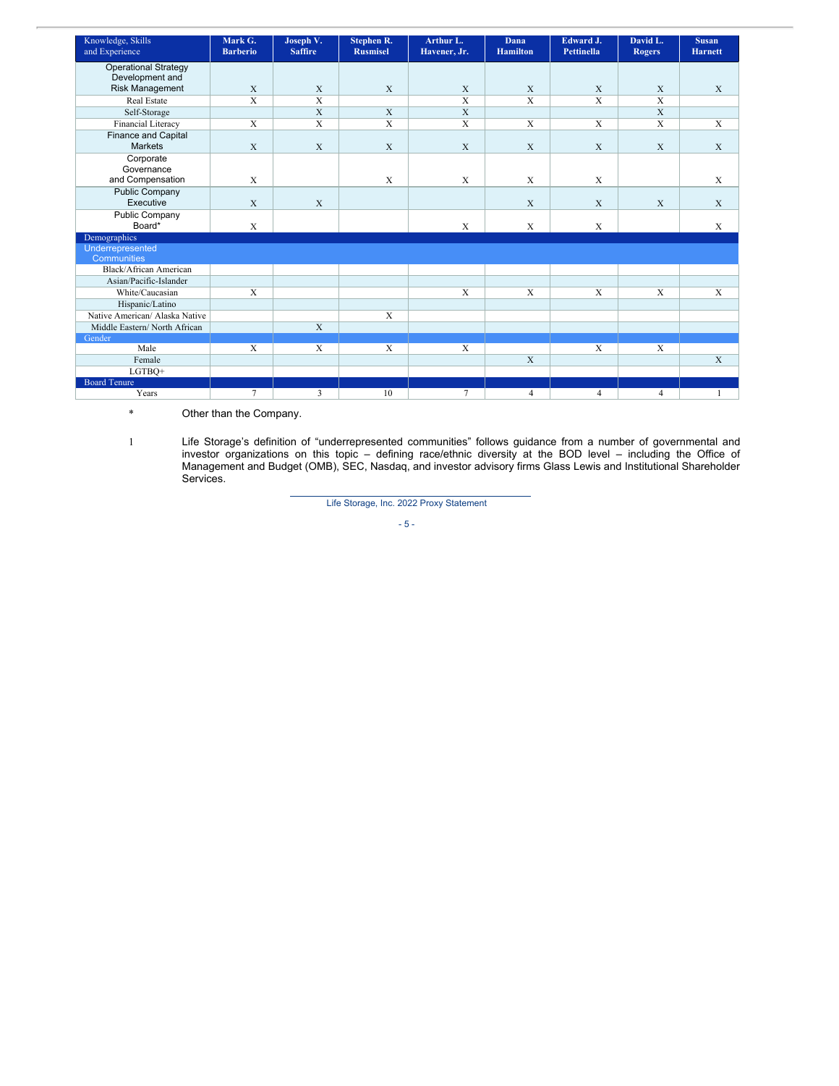| Knowledge, Skills<br>and Experience | Mark G.<br><b>Barberio</b> | Joseph V.<br><b>Saffire</b> | <b>Stephen R.</b><br><b>Rusmisel</b> | Arthur L.<br>Havener, Jr. | <b>Dana</b><br><b>Hamilton</b> | Edward J.<br><b>Pettinella</b> | David L.<br><b>Rogers</b> | <b>Susan</b><br><b>Harnett</b> |
|-------------------------------------|----------------------------|-----------------------------|--------------------------------------|---------------------------|--------------------------------|--------------------------------|---------------------------|--------------------------------|
| <b>Operational Strategy</b>         |                            |                             |                                      |                           |                                |                                |                           |                                |
| Development and                     |                            |                             |                                      |                           |                                |                                |                           |                                |
| <b>Risk Management</b>              | X                          | X                           | $\mathbf{X}$                         | X                         | X                              | X                              | X                         | X                              |
| <b>Real Estate</b>                  | $\overline{X}$             | $\overline{\mathbf{X}}$     |                                      | $\overline{X}$            | $\overline{X}$                 | $\overline{X}$                 | $\overline{X}$            |                                |
| Self-Storage                        |                            | X                           | $\mathbf X$                          | X                         |                                |                                | X                         |                                |
| Financial Literacy                  | X                          | X                           | $\mathbf X$                          | $\mathbf X$               | X                              | X                              | X                         | X                              |
| <b>Finance and Capital</b>          |                            |                             |                                      |                           |                                |                                |                           |                                |
| <b>Markets</b>                      | $\mathbf{X}$               | X                           | $\mathbf X$                          | X                         | X                              | X                              | X                         | X                              |
| Corporate                           |                            |                             |                                      |                           |                                |                                |                           |                                |
| Governance                          |                            |                             |                                      |                           |                                |                                |                           |                                |
| and Compensation                    | X                          |                             | $\mathbf X$                          | X                         | X                              | X                              |                           | X                              |
| <b>Public Company</b>               |                            |                             |                                      |                           |                                |                                |                           |                                |
| Executive                           | $\mathbf{X}$               | X                           |                                      |                           | X                              | X                              | $\mathbf{X}$              | X                              |
| Public Company                      |                            |                             |                                      |                           |                                |                                |                           |                                |
| Board*                              | $\mathbf X$                |                             |                                      | X                         | X                              | $\mathbf X$                    |                           | X                              |
| Demographics                        |                            |                             |                                      |                           |                                |                                |                           |                                |
| Underrepresented                    |                            |                             |                                      |                           |                                |                                |                           |                                |
| Communities                         |                            |                             |                                      |                           |                                |                                |                           |                                |
| Black/African American              |                            |                             |                                      |                           |                                |                                |                           |                                |
| Asian/Pacific-Islander              |                            |                             |                                      |                           |                                |                                |                           |                                |
| White/Caucasian                     | $\overline{X}$             |                             |                                      | $\mathbf X$               | X                              | X                              | $\mathbf{X}$              | X                              |
| Hispanic/Latino                     |                            |                             |                                      |                           |                                |                                |                           |                                |
| Native American/ Alaska Native      |                            |                             | $\mathbf{x}$                         |                           |                                |                                |                           |                                |
| Middle Eastern/North African        |                            | $\overline{X}$              |                                      |                           |                                |                                |                           |                                |
| Gender                              |                            |                             |                                      |                           |                                |                                |                           |                                |
| Male                                | $\mathbf{X}$               | X                           | $\mathbf{X}$                         | X                         |                                | X                              | X                         |                                |
| Female                              |                            |                             |                                      |                           | $\overline{X}$                 |                                |                           | $\overline{X}$                 |
| LGTBQ+                              |                            |                             |                                      |                           |                                |                                |                           |                                |
| <b>Board Tenure</b>                 |                            |                             |                                      |                           |                                |                                |                           |                                |
| Years                               | $\overline{7}$             | 3                           | 10                                   | $\tau$                    | $\overline{4}$                 | $\overline{4}$                 | $\overline{4}$            |                                |

\* Other than the Company.

1 Life Storage's definition of "underrepresented communities" follows guidance from a number of governmental and investor organizations on this topic – defining race/ethnic diversity at the BOD level – including the Office of Management and Budget (OMB), SEC, Nasdaq, and investor advisory firms Glass Lewis and Institutional Shareholder Services.

Life Storage, Inc. 2022 Proxy Statement

$$
\sim 5 \sim
$$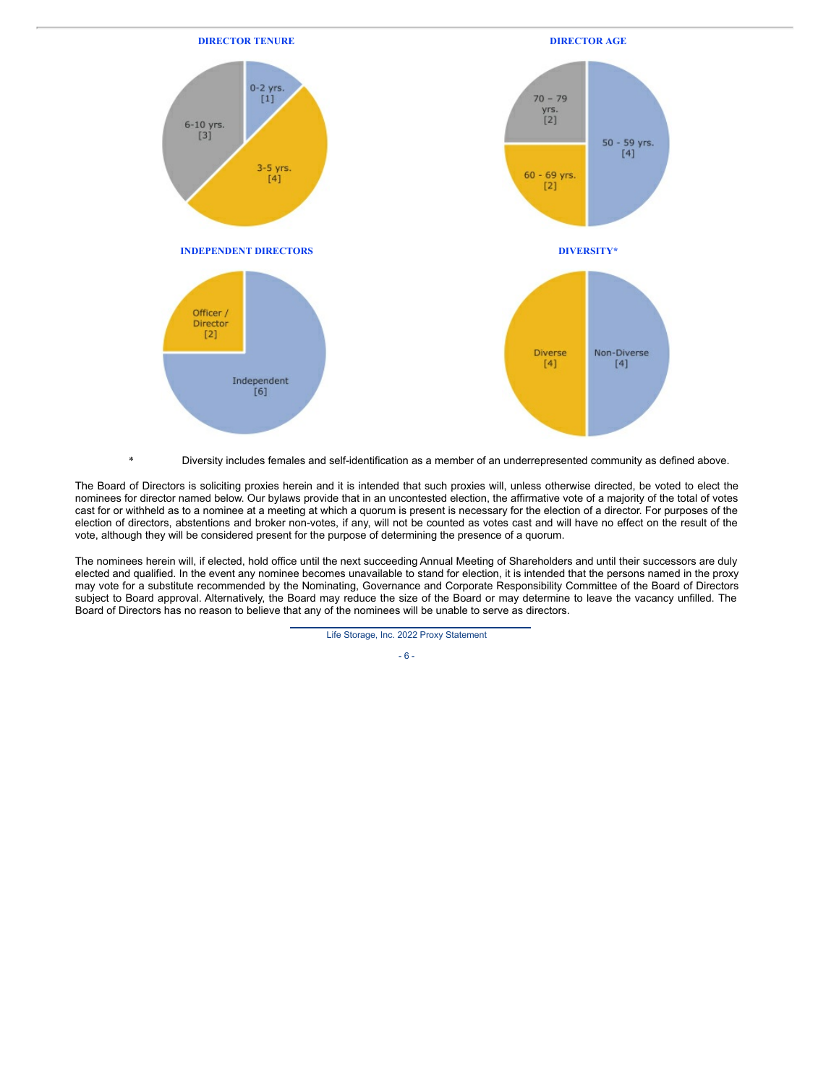

\* Diversity includes females and self-identification as a member of an underrepresented community as defined above.

The Board of Directors is soliciting proxies herein and it is intended that such proxies will, unless otherwise directed, be voted to elect the nominees for director named below. Our bylaws provide that in an uncontested election, the affirmative vote of a majority of the total of votes cast for or withheld as to a nominee at a meeting at which a quorum is present is necessary for the election of a director. For purposes of the election of directors, abstentions and broker non-votes, if any, will not be counted as votes cast and will have no effect on the result of the vote, although they will be considered present for the purpose of determining the presence of a quorum.

The nominees herein will, if elected, hold office until the next succeeding Annual Meeting of Shareholders and until their successors are duly elected and qualified. In the event any nominee becomes unavailable to stand for election, it is intended that the persons named in the proxy may vote for a substitute recommended by the Nominating, Governance and Corporate Responsibility Committee of the Board of Directors subject to Board approval. Alternatively, the Board may reduce the size of the Board or may determine to leave the vacancy unfilled. The Board of Directors has no reason to believe that any of the nominees will be unable to serve as directors.

Life Storage, Inc. 2022 Proxy Statement

- 6 -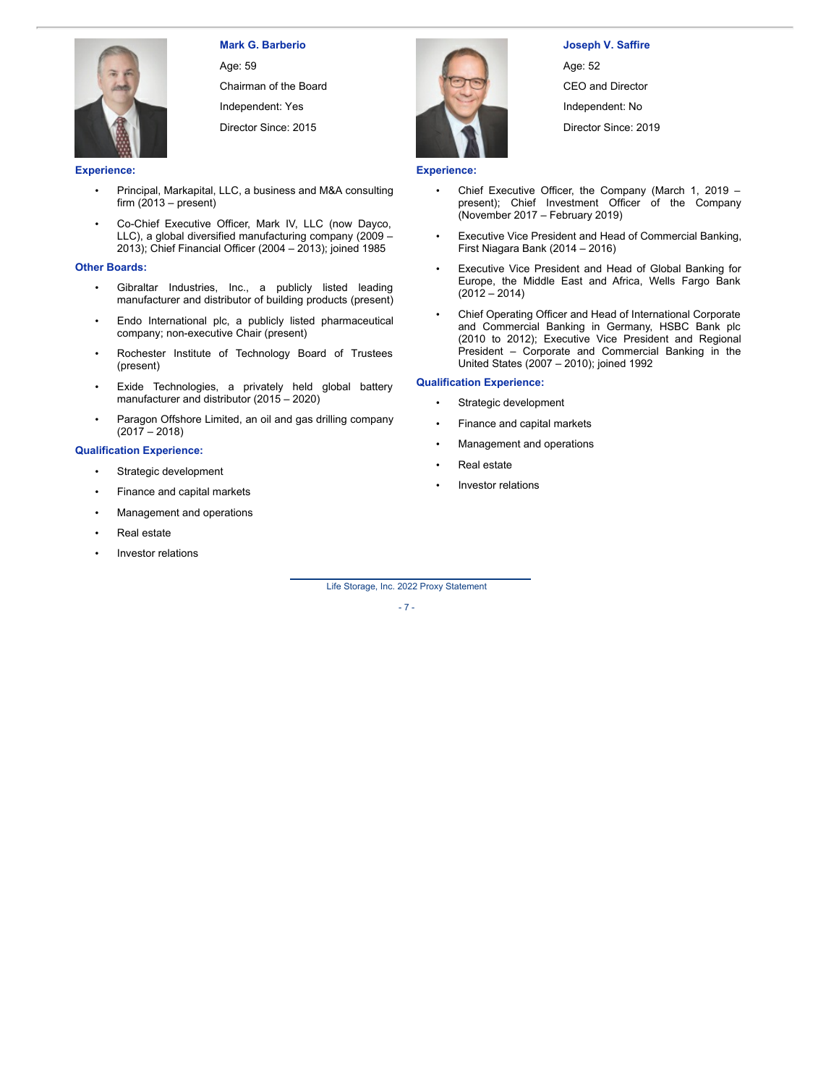## **Mark G. Barberio**

Age: 59 Chairman of the Board

Independent: Yes

Director Since: 2015

**Experience:**

- Principal, Markapital, LLC, a business and M&A consulting firm  $(2013 - present)$
- Co-Chief Executive Officer, Mark IV, LLC (now Dayco, LLC), a global diversified manufacturing company (2009 – 2013); Chief Financial Officer (2004 – 2013); joined 1985

#### **Other Boards:**

- Gibraltar Industries, Inc., a publicly listed leading manufacturer and distributor of building products (present)
- Endo International plc, a publicly listed pharmaceutical company; non-executive Chair (present)
- Rochester Institute of Technology Board of Trustees (present)
- Exide Technologies, a privately held global battery manufacturer and distributor (2015 – 2020)
- Paragon Offshore Limited, an oil and gas drilling company (2017 – 2018)

#### **Qualification Experience:**

- Strategic development
- Finance and capital markets
- Management and operations
- Real estate
- Investor relations



**Joseph V. Saffire** Age: 52 CEO and Director Independent: No Director Since: 2019

#### **Experience:**

- Chief Executive Officer, the Company (March 1, 2019 present); Chief Investment Officer of the Company (November 2017 – February 2019)
- Executive Vice President and Head of Commercial Banking, First Niagara Bank (2014 – 2016)
- Executive Vice President and Head of Global Banking for Europe, the Middle East and Africa, Wells Fargo Bank  $(2012 - 2014)$
- Chief Operating Officer and Head of International Corporate and Commercial Banking in Germany, HSBC Bank plc (2010 to 2012); Executive Vice President and Regional President – Corporate and Commercial Banking in the United States (2007 – 2010); joined 1992

#### **Qualification Experience:**

- Strategic development
- Finance and capital markets
- Management and operations
- Real estate
- Investor relations

Life Storage, Inc. 2022 Proxy Statement

- 7 -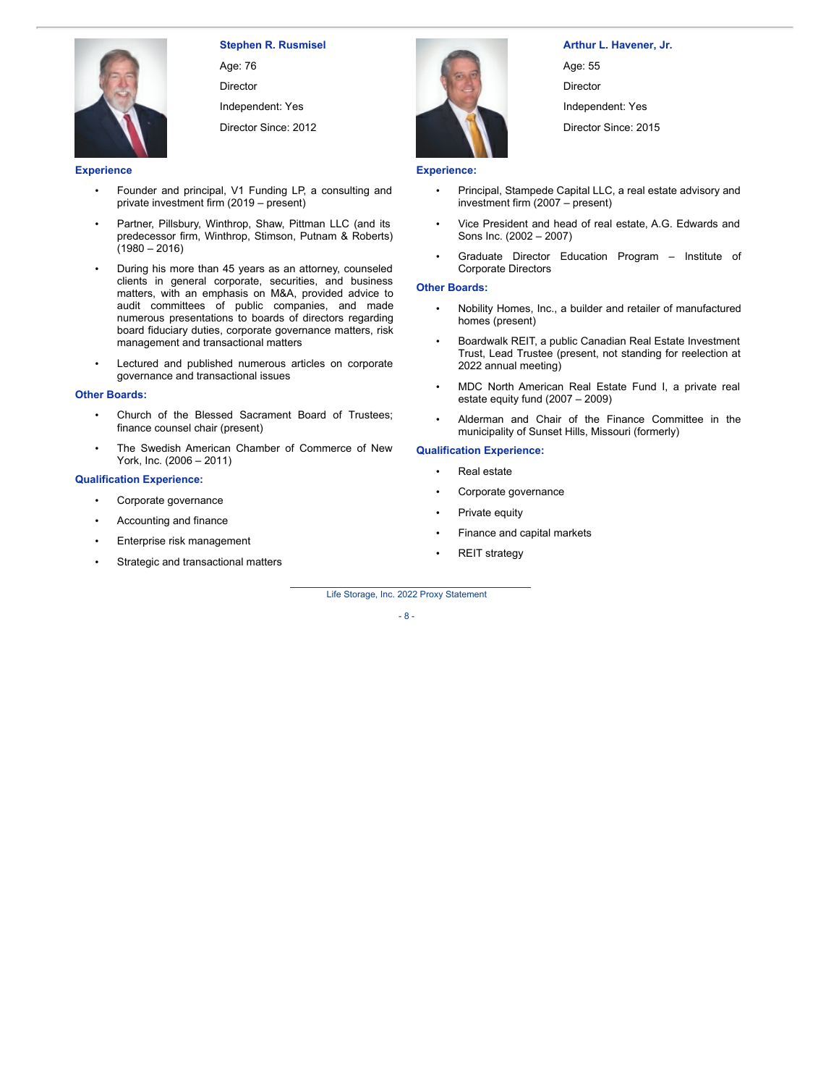

Age: 76 Director Independent: Yes

Director Since: 2012

#### **Experience**

- Founder and principal, V1 Funding LP, a consulting and private investment firm (2019 – present)
- Partner, Pillsbury, Winthrop, Shaw, Pittman LLC (and its predecessor firm, Winthrop, Stimson, Putnam & Roberts)  $(1980 - 2016)$
- During his more than 45 years as an attorney, counseled clients in general corporate, securities, and business matters, with an emphasis on M&A, provided advice to audit committees of public companies, and made numerous presentations to boards of directors regarding board fiduciary duties, corporate governance matters, risk management and transactional matters
- Lectured and published numerous articles on corporate governance and transactional issues

#### **Other Boards:**

- Church of the Blessed Sacrament Board of Trustees; finance counsel chair (present)
- The Swedish American Chamber of Commerce of New York, Inc. (2006 – 2011)

#### **Qualification Experience:**

- Corporate governance
- Accounting and finance
- Enterprise risk management
- Strategic and transactional matters



### **Arthur L. Havener, Jr.**

Age: 55 Director

Independent: Yes

Director Since: 2015

#### **Experience:**

- Principal, Stampede Capital LLC, a real estate advisory and investment firm (2007 – present)
- Vice President and head of real estate, A.G. Edwards and Sons Inc. (2002 – 2007)
- Graduate Director Education Program Institute of Corporate Directors

#### **Other Boards:**

- Nobility Homes, Inc., a builder and retailer of manufactured homes (present)
- Boardwalk REIT, a public Canadian Real Estate Investment Trust, Lead Trustee (present, not standing for reelection at 2022 annual meeting)
- MDC North American Real Estate Fund I, a private real estate equity fund (2007 – 2009)
- Alderman and Chair of the Finance Committee in the municipality of Sunset Hills, Missouri (formerly)

#### **Qualification Experience:**

- Real estate
- Corporate governance
- Private equity
- Finance and capital markets
- REIT strategy

Life Storage, Inc. 2022 Proxy Statement

#### - 8 -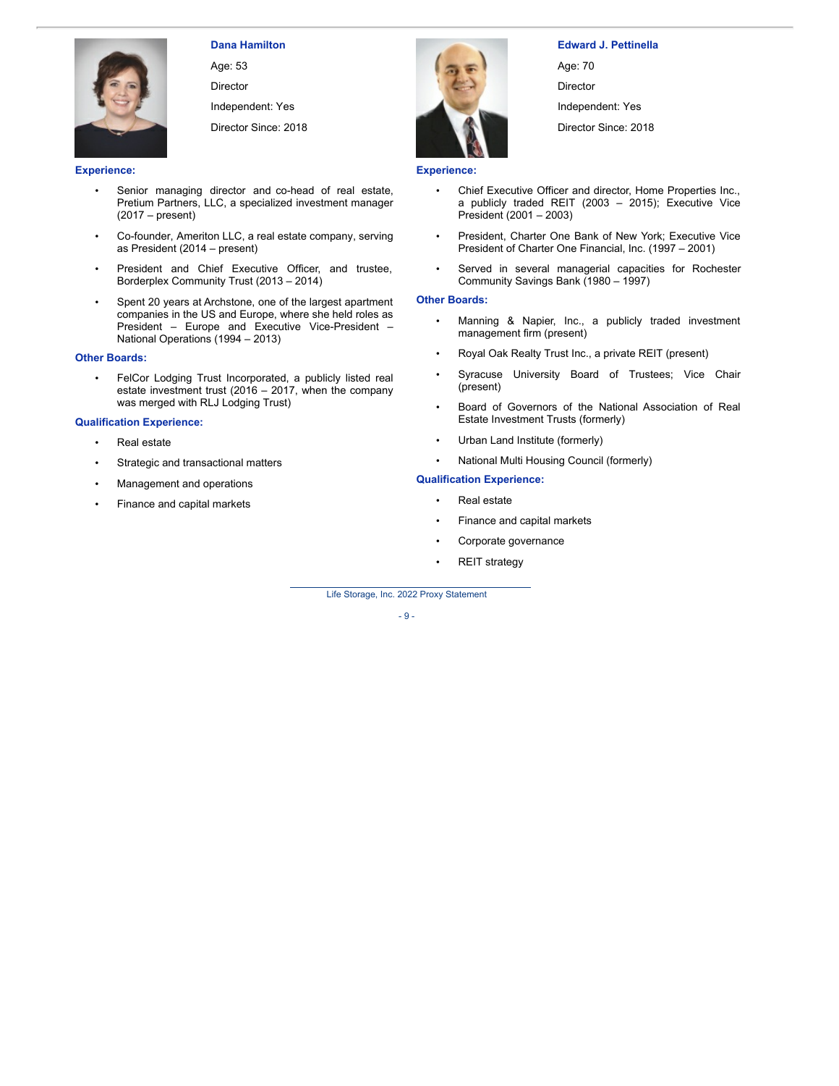

### **Dana Hamilton**

Age: 53

Director Independent: Yes

Director Since: 2018

#### **Experience:**

- Senior managing director and co-head of real estate, Pretium Partners, LLC, a specialized investment manager (2017 – present)
- Co-founder, Ameriton LLC, a real estate company, serving as President (2014 – present)
- President and Chief Executive Officer, and trustee, Borderplex Community Trust (2013 – 2014)
- Spent 20 years at Archstone, one of the largest apartment companies in the US and Europe, where she held roles as President – Europe and Executive Vice-President – National Operations (1994 – 2013)

#### **Other Boards:**

• FelCor Lodging Trust Incorporated, a publicly listed real estate investment trust (2016 – 2017, when the company was merged with RLJ Lodging Trust)

#### **Qualification Experience:**

- Real estate
- Strategic and transactional matters
- Management and operations
- Finance and capital markets



# **Edward J. Pettinella**

Age: 70 Director Independent: Yes Director Since: 2018

#### **Experience:**

- Chief Executive Officer and director, Home Properties Inc., a publicly traded REIT (2003 – 2015); Executive Vice President (2001 – 2003)
- President, Charter One Bank of New York; Executive Vice President of Charter One Financial, Inc. (1997 – 2001)
- Served in several managerial capacities for Rochester Community Savings Bank (1980 – 1997)

#### **Other Boards:**

- Manning & Napier, Inc., a publicly traded investment management firm (present)
- Royal Oak Realty Trust Inc., a private REIT (present)
- Syracuse University Board of Trustees; Vice Chair (present)
- Board of Governors of the National Association of Real Estate Investment Trusts (formerly)
- Urban Land Institute (formerly)
- National Multi Housing Council (formerly)

#### **Qualification Experience:**

- Real estate
- Finance and capital markets
- Corporate governance
- REIT strategy

Life Storage, Inc. 2022 Proxy Statement

- 9 -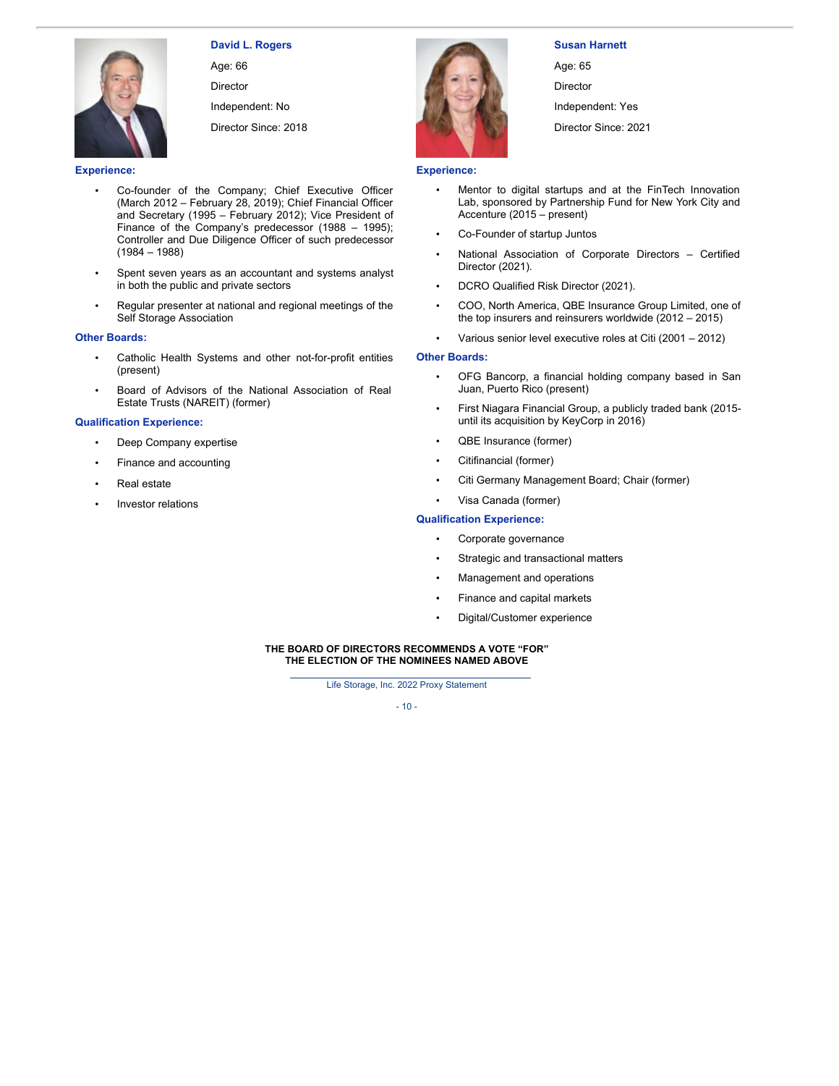

Age: 66

Director

Independent: No Director Since: 2018



- Co-founder of the Company; Chief Executive Officer (March 2012 – February 28, 2019); Chief Financial Officer and Secretary (1995 – February 2012); Vice President of Finance of the Company's predecessor (1988 – 1995); Controller and Due Diligence Officer of such predecessor (1984 – 1988)
- Spent seven years as an accountant and systems analyst in both the public and private sectors
- Regular presenter at national and regional meetings of the Self Storage Association

#### **Other Boards:**

- Catholic Health Systems and other not-for-profit entities (present)
- Board of Advisors of the National Association of Real Estate Trusts (NAREIT) (former)

#### **Qualification Experience:**

- Deep Company expertise
- Finance and accounting
- Real estate
- Investor relations



#### **Susan Harnett**

Age: 65 Director Independent: Yes

Director Since: 2021

#### **Experience:**

- Mentor to digital startups and at the FinTech Innovation Lab, sponsored by Partnership Fund for New York City and Accenture (2015 – present)
- Co-Founder of startup Juntos
- National Association of Corporate Directors Certified Director (2021).
- DCRO Qualified Risk Director (2021).
- COO, North America, QBE Insurance Group Limited, one of the top insurers and reinsurers worldwide (2012 – 2015)
- Various senior level executive roles at Citi (2001 2012)

#### **Other Boards:**

- OFG Bancorp, a financial holding company based in San Juan, Puerto Rico (present)
- First Niagara Financial Group, a publicly traded bank (2015 until its acquisition by KeyCorp in 2016)
- QBE Insurance (former)
- Citifinancial (former)
- Citi Germany Management Board; Chair (former)
- Visa Canada (former)

#### **Qualification Experience:**

- Corporate governance
- Strategic and transactional matters
- Management and operations
- Finance and capital markets
- Digital/Customer experience

#### **THE BOARD OF DIRECTORS RECOMMENDS A VOTE "FOR" THE ELECTION OF THE NOMINEES NAMED ABOVE**

Life Storage, Inc. 2022 Proxy Statement

 $-10-$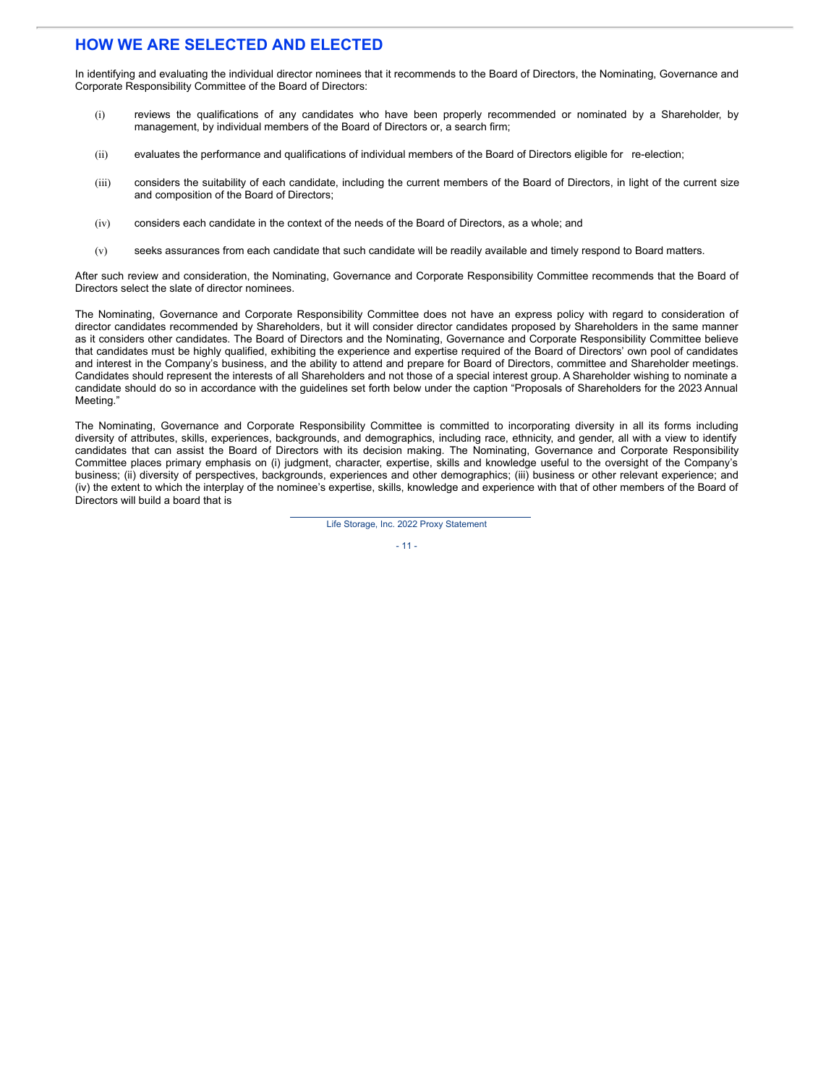## **HOW WE ARE SELECTED AND ELECTED**

In identifying and evaluating the individual director nominees that it recommends to the Board of Directors, the Nominating, Governance and Corporate Responsibility Committee of the Board of Directors:

- (i) reviews the qualifications of any candidates who have been properly recommended or nominated by a Shareholder, by management, by individual members of the Board of Directors or, a search firm;
- (ii) evaluates the performance and qualifications of individual members of the Board of Directors eligible for re-election;
- (iii) considers the suitability of each candidate, including the current members of the Board of Directors, in light of the current size and composition of the Board of Directors;
- (iv) considers each candidate in the context of the needs of the Board of Directors, as a whole; and
- (v) seeks assurances from each candidate that such candidate will be readily available and timely respond to Board matters.

After such review and consideration, the Nominating, Governance and Corporate Responsibility Committee recommends that the Board of Directors select the slate of director nominees.

The Nominating, Governance and Corporate Responsibility Committee does not have an express policy with regard to consideration of director candidates recommended by Shareholders, but it will consider director candidates proposed by Shareholders in the same manner as it considers other candidates. The Board of Directors and the Nominating, Governance and Corporate Responsibility Committee believe that candidates must be highly qualified, exhibiting the experience and expertise required of the Board of Directors' own pool of candidates and interest in the Company's business, and the ability to attend and prepare for Board of Directors, committee and Shareholder meetings. Candidates should represent the interests of all Shareholders and not those of a special interest group. A Shareholder wishing to nominate a candidate should do so in accordance with the guidelines set forth below under the caption "Proposals of Shareholders for the 2023 Annual Meeting."

The Nominating, Governance and Corporate Responsibility Committee is committed to incorporating diversity in all its forms including diversity of attributes, skills, experiences, backgrounds, and demographics, including race, ethnicity, and gender, all with a view to identify candidates that can assist the Board of Directors with its decision making. The Nominating, Governance and Corporate Responsibility Committee places primary emphasis on (i) judgment, character, expertise, skills and knowledge useful to the oversight of the Company's business; (ii) diversity of perspectives, backgrounds, experiences and other demographics; (iii) business or other relevant experience; and (iv) the extent to which the interplay of the nominee's expertise, skills, knowledge and experience with that of other members of the Board of Directors will build a board that is

Life Storage, Inc. 2022 Proxy Statement

- 11 -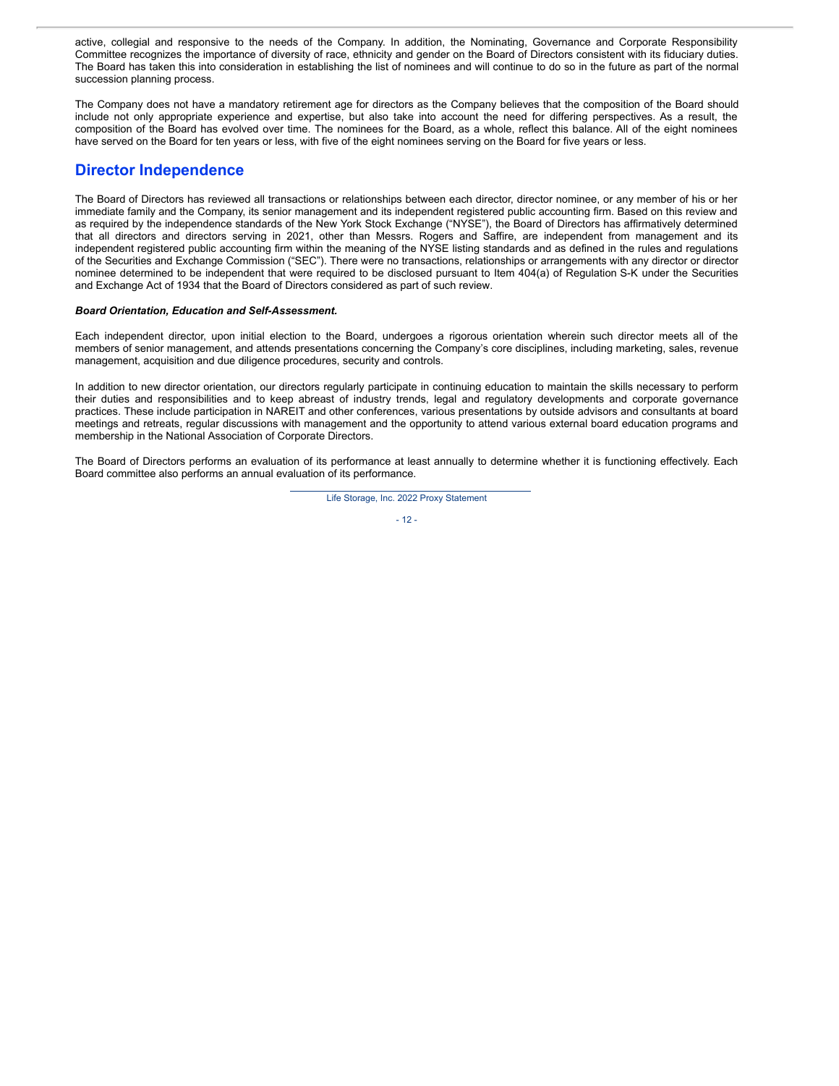active, collegial and responsive to the needs of the Company. In addition, the Nominating, Governance and Corporate Responsibility Committee recognizes the importance of diversity of race, ethnicity and gender on the Board of Directors consistent with its fiduciary duties. The Board has taken this into consideration in establishing the list of nominees and will continue to do so in the future as part of the normal succession planning process.

The Company does not have a mandatory retirement age for directors as the Company believes that the composition of the Board should include not only appropriate experience and expertise, but also take into account the need for differing perspectives. As a result, the composition of the Board has evolved over time. The nominees for the Board, as a whole, reflect this balance. All of the eight nominees have served on the Board for ten years or less, with five of the eight nominees serving on the Board for five years or less.

## **Director Independence**

The Board of Directors has reviewed all transactions or relationships between each director, director nominee, or any member of his or her immediate family and the Company, its senior management and its independent registered public accounting firm. Based on this review and as required by the independence standards of the New York Stock Exchange ("NYSE"), the Board of Directors has affirmatively determined that all directors and directors serving in 2021, other than Messrs. Rogers and Saffire, are independent from management and its independent registered public accounting firm within the meaning of the NYSE listing standards and as defined in the rules and regulations of the Securities and Exchange Commission ("SEC"). There were no transactions, relationships or arrangements with any director or director nominee determined to be independent that were required to be disclosed pursuant to Item 404(a) of Regulation S-K under the Securities and Exchange Act of 1934 that the Board of Directors considered as part of such review.

#### *Board Orientation, Education and Self-Assessment.*

Each independent director, upon initial election to the Board, undergoes a rigorous orientation wherein such director meets all of the members of senior management, and attends presentations concerning the Company's core disciplines, including marketing, sales, revenue management, acquisition and due diligence procedures, security and controls.

In addition to new director orientation, our directors regularly participate in continuing education to maintain the skills necessary to perform their duties and responsibilities and to keep abreast of industry trends, legal and regulatory developments and corporate governance practices. These include participation in NAREIT and other conferences, various presentations by outside advisors and consultants at board meetings and retreats, regular discussions with management and the opportunity to attend various external board education programs and membership in the National Association of Corporate Directors.

The Board of Directors performs an evaluation of its performance at least annually to determine whether it is functioning effectively. Each Board committee also performs an annual evaluation of its performance.

Life Storage, Inc. 2022 Proxy Statement

#### $-12 -$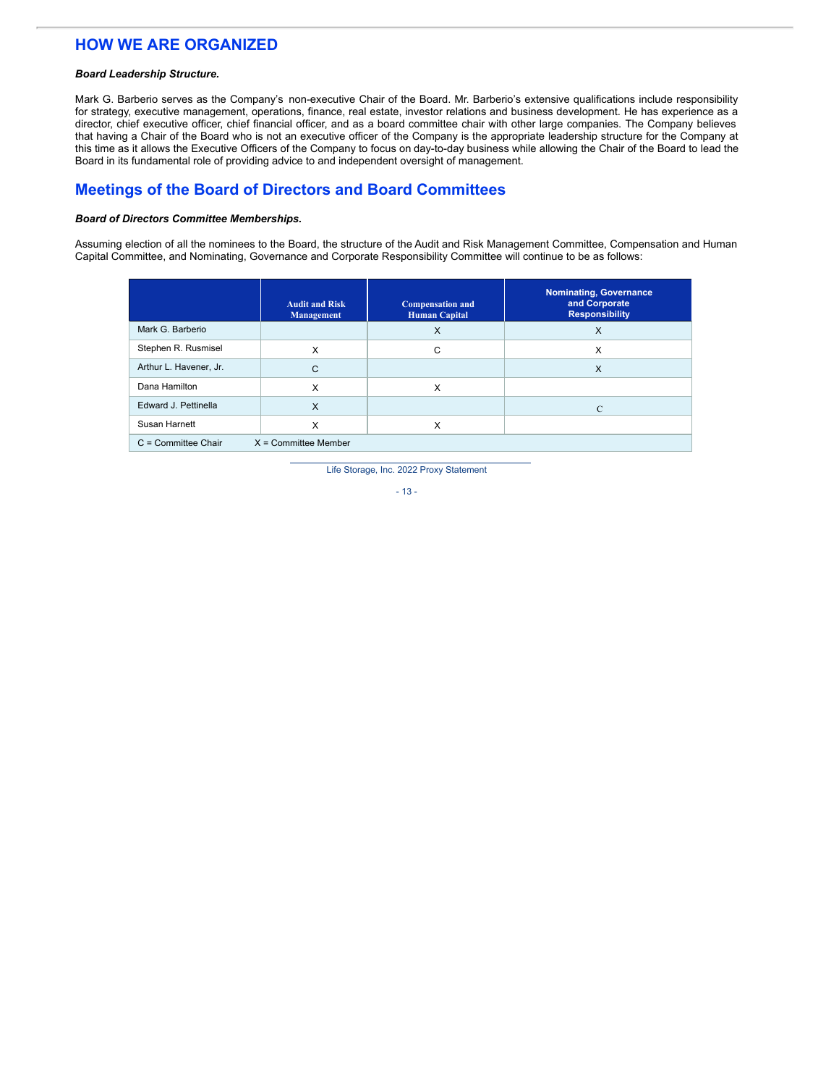## **HOW WE ARE ORGANIZED**

#### *Board Leadership Structure.*

Mark G. Barberio serves as the Company's non-executive Chair of the Board. Mr. Barberio's extensive qualifications include responsibility for strategy, executive management, operations, finance, real estate, investor relations and business development. He has experience as a director, chief executive officer, chief financial officer, and as a board committee chair with other large companies. The Company believes that having a Chair of the Board who is not an executive officer of the Company is the appropriate leadership structure for the Company at this time as it allows the Executive Officers of the Company to focus on day-to-day business while allowing the Chair of the Board to lead the Board in its fundamental role of providing advice to and independent oversight of management.

## **Meetings of the Board of Directors and Board Committees**

#### *Board of Directors Committee Memberships.*

Assuming election of all the nominees to the Board, the structure of the Audit and Risk Management Committee, Compensation and Human Capital Committee, and Nominating, Governance and Corporate Responsibility Committee will continue to be as follows:

|                        | <b>Audit and Risk</b><br><b>Management</b> | <b>Compensation and</b><br><b>Human Capital</b> | <b>Nominating, Governance</b><br>and Corporate<br><b>Responsibility</b> |
|------------------------|--------------------------------------------|-------------------------------------------------|-------------------------------------------------------------------------|
| Mark G. Barberio       |                                            | X                                               | $\times$                                                                |
| Stephen R. Rusmisel    | X                                          | С                                               | X                                                                       |
| Arthur L. Havener, Jr. | C                                          |                                                 | $\times$                                                                |
| Dana Hamilton          | X                                          | X                                               |                                                                         |
| Edward J. Pettinella   | $\times$                                   |                                                 | $\mathcal{C}$                                                           |
| Susan Harnett          | X                                          | х                                               |                                                                         |
| $C =$ Committee Chair  | $X =$ Committee Member                     |                                                 |                                                                         |

Life Storage, Inc. 2022 Proxy Statement

- 13 -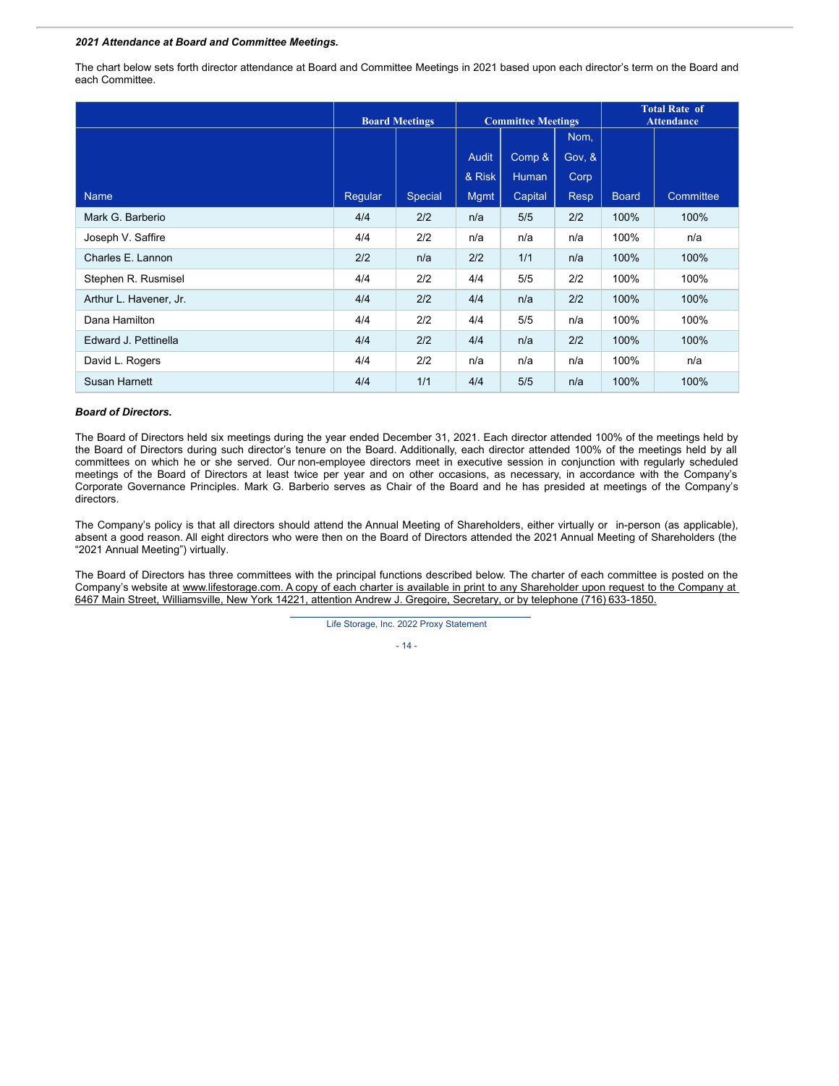#### *2021 Attendance at Board and Committee Meetings.*

The chart below sets forth director attendance at Board and Committee Meetings in 2021 based upon each director's term on the Board and each Committee.

|                        | <b>Board Meetings</b> |         | <b>Committee Meetings</b> |              | <b>Total Rate of</b><br><b>Attendance</b> |              |           |
|------------------------|-----------------------|---------|---------------------------|--------------|-------------------------------------------|--------------|-----------|
|                        |                       |         |                           |              | Nom,                                      |              |           |
|                        |                       |         | <b>Audit</b>              | Comp &       | Gov, &                                    |              |           |
|                        |                       |         | & Risk                    | <b>Human</b> | Corp                                      |              |           |
| <b>Name</b>            | Regular               | Special | Mgmt                      | Capital      | <b>Resp</b>                               | <b>Board</b> | Committee |
| Mark G. Barberio       | 4/4                   | 2/2     | n/a                       | 5/5          | 2/2                                       | 100%         | 100%      |
| Joseph V. Saffire      | 4/4                   | 2/2     | n/a                       | n/a          | n/a                                       | 100%         | n/a       |
| Charles E. Lannon      | 2/2                   | n/a     | 2/2                       | 1/1          | n/a                                       | 100%         | 100%      |
| Stephen R. Rusmisel    | 4/4                   | 2/2     | 4/4                       | 5/5          | 2/2                                       | 100%         | 100%      |
| Arthur L. Havener, Jr. | 4/4                   | 2/2     | 4/4                       | n/a          | 2/2                                       | 100%         | 100%      |
| Dana Hamilton          | 4/4                   | 2/2     | 4/4                       | 5/5          | n/a                                       | 100%         | 100%      |
| Edward J. Pettinella   | 4/4                   | 2/2     | 4/4                       | n/a          | 2/2                                       | 100%         | 100%      |
| David L. Rogers        | 4/4                   | 2/2     | n/a                       | n/a          | n/a                                       | 100%         | n/a       |
| Susan Harnett          | 4/4                   | 1/1     | 4/4                       | 5/5          | n/a                                       | 100%         | 100%      |

#### *Board of Directors.*

The Board of Directors held six meetings during the year ended December 31, 2021. Each director attended 100% of the meetings held by the Board of Directors during such director's tenure on the Board. Additionally, each director attended 100% of the meetings held by all committees on which he or she served. Our non-employee directors meet in executive session in conjunction with regularly scheduled meetings of the Board of Directors at least twice per year and on other occasions, as necessary, in accordance with the Company's Corporate Governance Principles. Mark G. Barberio serves as Chair of the Board and he has presided at meetings of the Company's directors.

The Company's policy is that all directors should attend the Annual Meeting of Shareholders, either virtually or in-person (as applicable), absent a good reason. All eight directors who were then on the Board of Directors attended the 2021 Annual Meeting of Shareholders (the "2021 Annual Meeting") virtually.

The Board of Directors has three committees with the principal functions described below. The charter of each committee is posted on the Company's website at www.lifestorage.com. A copy of each charter is available in print to any Shareholder upon request to the Company at 6467 Main Street, Williamsville, New York 14221, attention Andrew J. Gregoire, Secretary, or by telephone (716) 633-1850.

Life Storage, Inc. 2022 Proxy Statement

- 14 -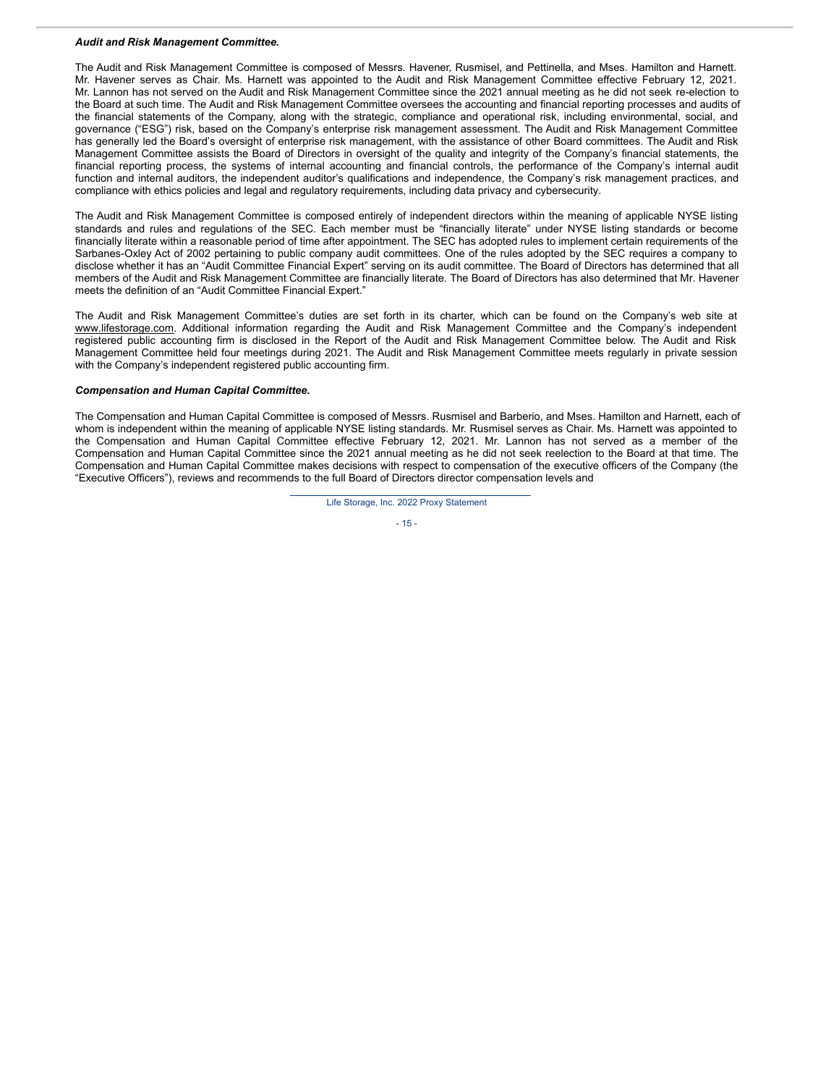#### *Audit and Risk Management Committee.*

The Audit and Risk Management Committee is composed of Messrs. Havener, Rusmisel, and Pettinella, and Mses. Hamilton and Harnett. Mr. Havener serves as Chair. Ms. Harnett was appointed to the Audit and Risk Management Committee effective February 12, 2021. Mr. Lannon has not served on the Audit and Risk Management Committee since the 2021 annual meeting as he did not seek re-election to the Board at such time. The Audit and Risk Management Committee oversees the accounting and financial reporting processes and audits of the financial statements of the Company, along with the strategic, compliance and operational risk, including environmental, social, and governance ("ESG") risk, based on the Company's enterprise risk management assessment. The Audit and Risk Management Committee has generally led the Board's oversight of enterprise risk management, with the assistance of other Board committees. The Audit and Risk Management Committee assists the Board of Directors in oversight of the quality and integrity of the Company's financial statements, the financial reporting process, the systems of internal accounting and financial controls, the performance of the Company's internal audit function and internal auditors, the independent auditor's qualifications and independence, the Company's risk management practices, and compliance with ethics policies and legal and regulatory requirements, including data privacy and cybersecurity.

The Audit and Risk Management Committee is composed entirely of independent directors within the meaning of applicable NYSE listing standards and rules and regulations of the SEC. Each member must be "financially literate" under NYSE listing standards or become financially literate within a reasonable period of time after appointment. The SEC has adopted rules to implement certain requirements of the Sarbanes-Oxley Act of 2002 pertaining to public company audit committees. One of the rules adopted by the SEC requires a company to disclose whether it has an "Audit Committee Financial Expert" serving on its audit committee. The Board of Directors has determined that all members of the Audit and Risk Management Committee are financially literate. The Board of Directors has also determined that Mr. Havener meets the definition of an "Audit Committee Financial Expert."

The Audit and Risk Management Committee's duties are set forth in its charter, which can be found on the Company's web site at www.lifestorage.com. Additional information regarding the Audit and Risk Management Committee and the Company's independent registered public accounting firm is disclosed in the Report of the Audit and Risk Management Committee below. The Audit and Risk Management Committee held four meetings during 2021. The Audit and Risk Management Committee meets regularly in private session with the Company's independent registered public accounting firm.

#### *Compensation and Human Capital Committee.*

The Compensation and Human Capital Committee is composed of Messrs. Rusmisel and Barberio, and Mses. Hamilton and Harnett, each of whom is independent within the meaning of applicable NYSE listing standards. Mr. Rusmisel serves as Chair. Ms. Harnett was appointed to the Compensation and Human Capital Committee effective February 12, 2021. Mr. Lannon has not served as a member of the Compensation and Human Capital Committee since the 2021 annual meeting as he did not seek reelection to the Board at that time. The Compensation and Human Capital Committee makes decisions with respect to compensation of the executive officers of the Company (the "Executive Officers"), reviews and recommends to the full Board of Directors director compensation levels and

Life Storage, Inc. 2022 Proxy Statement

$$
-15 -
$$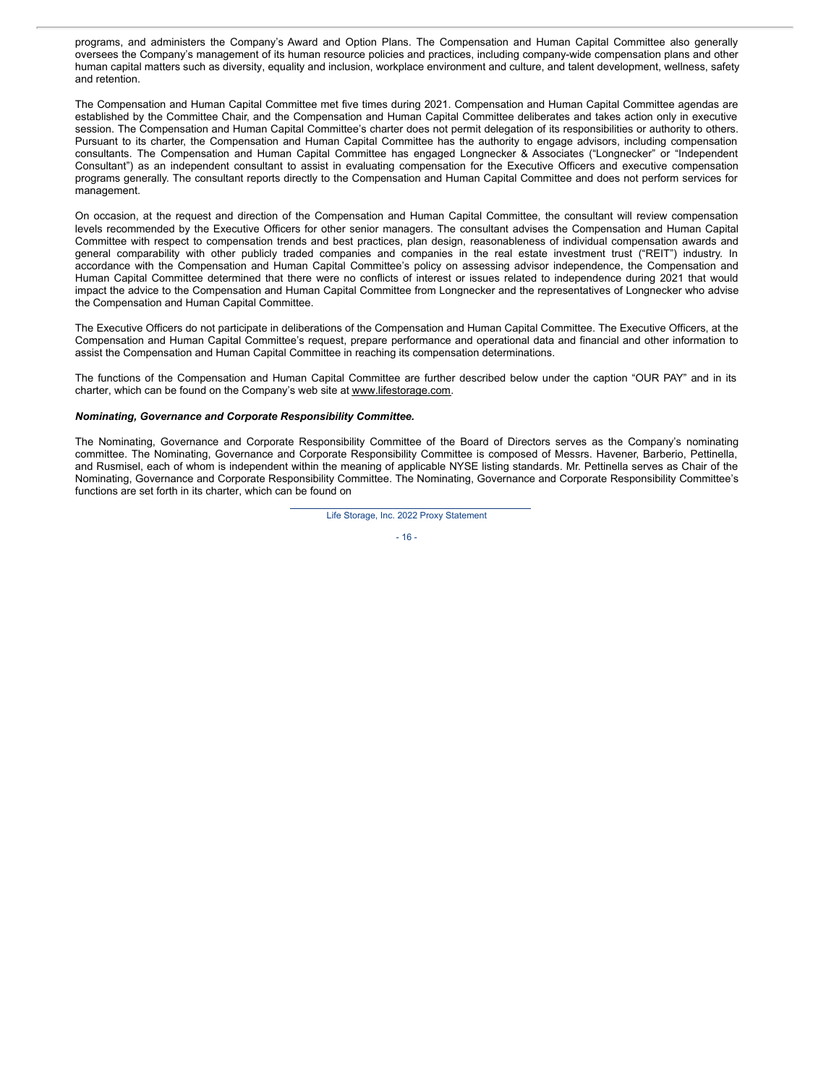programs, and administers the Company's Award and Option Plans. The Compensation and Human Capital Committee also generally oversees the Company's management of its human resource policies and practices, including company-wide compensation plans and other human capital matters such as diversity, equality and inclusion, workplace environment and culture, and talent development, wellness, safety and retention.

The Compensation and Human Capital Committee met five times during 2021. Compensation and Human Capital Committee agendas are established by the Committee Chair, and the Compensation and Human Capital Committee deliberates and takes action only in executive session. The Compensation and Human Capital Committee's charter does not permit delegation of its responsibilities or authority to others. Pursuant to its charter, the Compensation and Human Capital Committee has the authority to engage advisors, including compensation consultants. The Compensation and Human Capital Committee has engaged Longnecker & Associates ("Longnecker" or "Independent Consultant") as an independent consultant to assist in evaluating compensation for the Executive Officers and executive compensation programs generally. The consultant reports directly to the Compensation and Human Capital Committee and does not perform services for management.

On occasion, at the request and direction of the Compensation and Human Capital Committee, the consultant will review compensation levels recommended by the Executive Officers for other senior managers. The consultant advises the Compensation and Human Capital Committee with respect to compensation trends and best practices, plan design, reasonableness of individual compensation awards and general comparability with other publicly traded companies and companies in the real estate investment trust ("REIT") industry. In accordance with the Compensation and Human Capital Committee's policy on assessing advisor independence, the Compensation and Human Capital Committee determined that there were no conflicts of interest or issues related to independence during 2021 that would impact the advice to the Compensation and Human Capital Committee from Longnecker and the representatives of Longnecker who advise the Compensation and Human Capital Committee.

The Executive Officers do not participate in deliberations of the Compensation and Human Capital Committee. The Executive Officers, at the Compensation and Human Capital Committee's request, prepare performance and operational data and financial and other information to assist the Compensation and Human Capital Committee in reaching its compensation determinations.

The functions of the Compensation and Human Capital Committee are further described below under the caption "OUR PAY" and in its charter, which can be found on the Company's web site at www.lifestorage.com.

#### *Nominating, Governance and Corporate Responsibility Committee.*

The Nominating, Governance and Corporate Responsibility Committee of the Board of Directors serves as the Company's nominating committee. The Nominating, Governance and Corporate Responsibility Committee is composed of Messrs. Havener, Barberio, Pettinella, and Rusmisel, each of whom is independent within the meaning of applicable NYSE listing standards. Mr. Pettinella serves as Chair of the Nominating, Governance and Corporate Responsibility Committee. The Nominating, Governance and Corporate Responsibility Committee's functions are set forth in its charter, which can be found on

Life Storage, Inc. 2022 Proxy Statement

- 16 -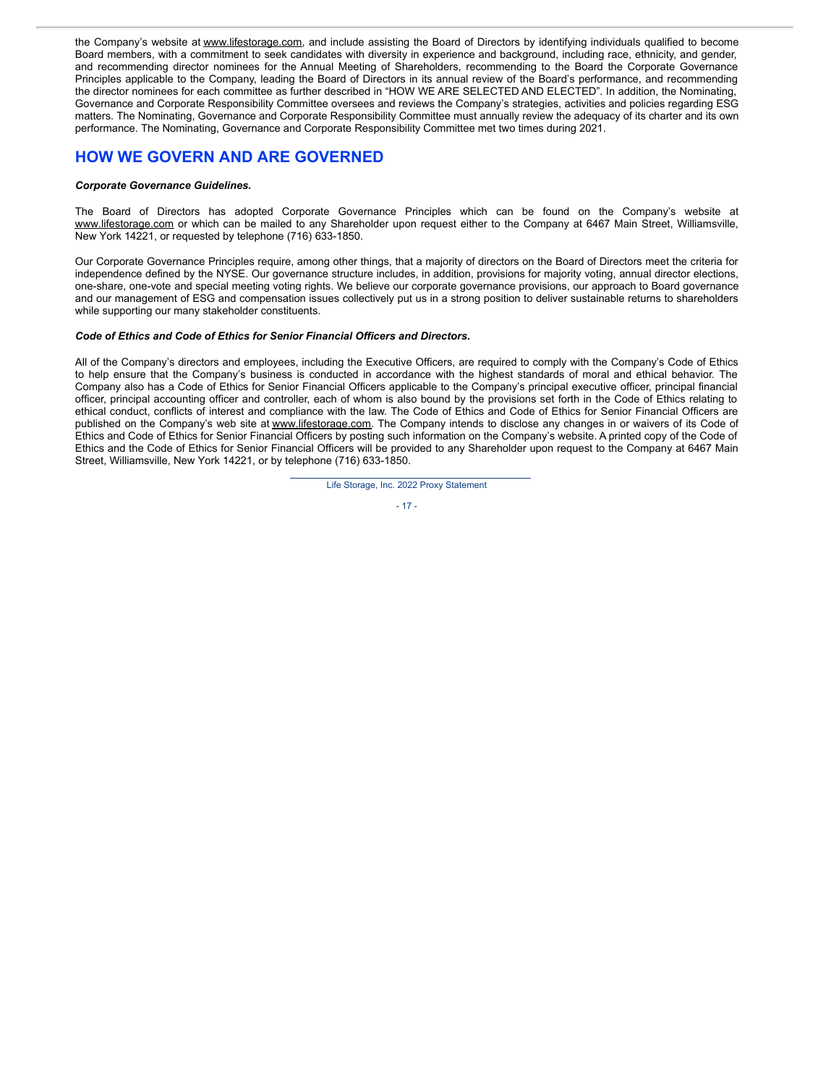the Company's website at www.lifestorage.com, and include assisting the Board of Directors by identifying individuals qualified to become Board members, with a commitment to seek candidates with diversity in experience and background, including race, ethnicity, and gender, and recommending director nominees for the Annual Meeting of Shareholders, recommending to the Board the Corporate Governance Principles applicable to the Company, leading the Board of Directors in its annual review of the Board's performance, and recommending the director nominees for each committee as further described in "HOW WE ARE SELECTED AND ELECTED". In addition, the Nominating, Governance and Corporate Responsibility Committee oversees and reviews the Company's strategies, activities and policies regarding ESG matters. The Nominating, Governance and Corporate Responsibility Committee must annually review the adequacy of its charter and its own performance. The Nominating, Governance and Corporate Responsibility Committee met two times during 2021.

## **HOW WE GOVERN AND ARE GOVERNED**

#### *Corporate Governance Guidelines.*

The Board of Directors has adopted Corporate Governance Principles which can be found on the Company's website at www.lifestorage.com or which can be mailed to any Shareholder upon request either to the Company at 6467 Main Street, Williamsville, New York 14221, or requested by telephone (716) 633-1850.

Our Corporate Governance Principles require, among other things, that a majority of directors on the Board of Directors meet the criteria for independence defined by the NYSE. Our governance structure includes, in addition, provisions for majority voting, annual director elections, one-share, one-vote and special meeting voting rights. We believe our corporate governance provisions, our approach to Board governance and our management of ESG and compensation issues collectively put us in a strong position to deliver sustainable returns to shareholders while supporting our many stakeholder constituents.

#### *Code of Ethics and Code of Ethics for Senior Financial Officers and Directors.*

All of the Company's directors and employees, including the Executive Officers, are required to comply with the Company's Code of Ethics to help ensure that the Company's business is conducted in accordance with the highest standards of moral and ethical behavior. The Company also has a Code of Ethics for Senior Financial Officers applicable to the Company's principal executive officer, principal financial officer, principal accounting officer and controller, each of whom is also bound by the provisions set forth in the Code of Ethics relating to ethical conduct, conflicts of interest and compliance with the law. The Code of Ethics and Code of Ethics for Senior Financial Officers are published on the Company's web site at www.lifestorage.com. The Company intends to disclose any changes in or waivers of its Code of Ethics and Code of Ethics for Senior Financial Officers by posting such information on the Company's website. A printed copy of the Code of Ethics and the Code of Ethics for Senior Financial Officers will be provided to any Shareholder upon request to the Company at 6467 Main Street, Williamsville, New York 14221, or by telephone (716) 633-1850.



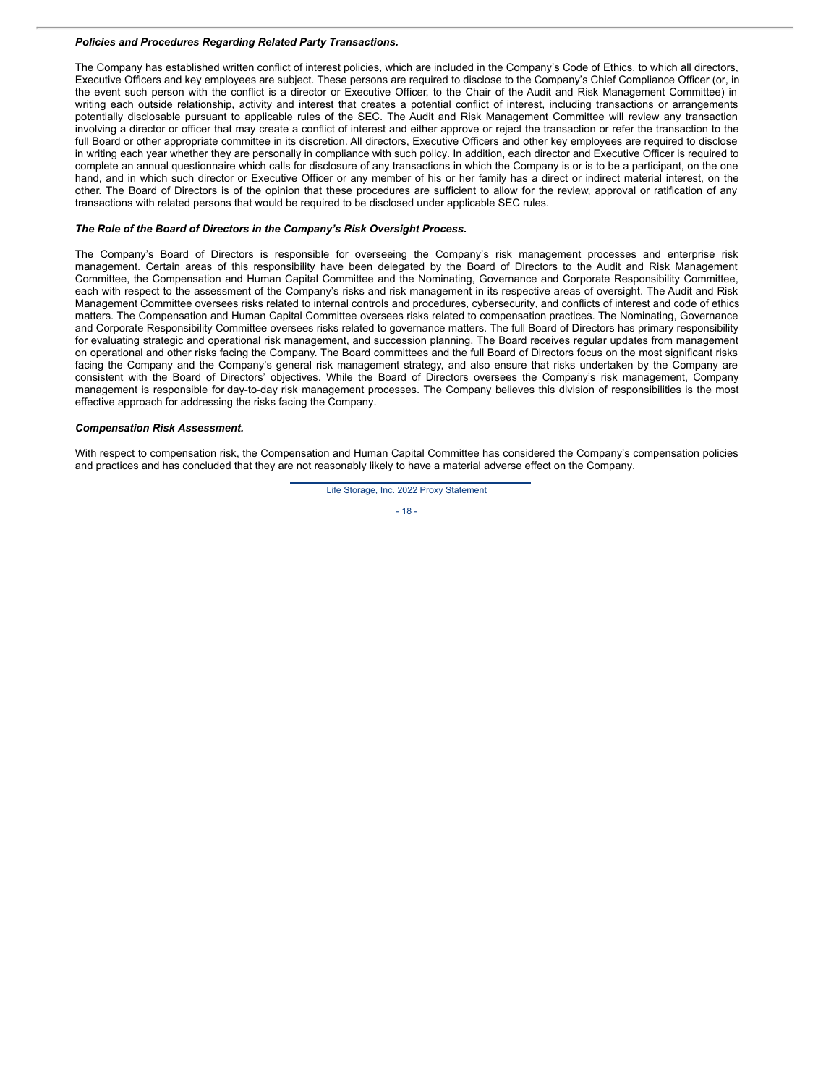#### *Policies and Procedures Regarding Related Party Transactions.*

The Company has established written conflict of interest policies, which are included in the Company's Code of Ethics, to which all directors, Executive Officers and key employees are subject. These persons are required to disclose to the Company's Chief Compliance Officer (or, in the event such person with the conflict is a director or Executive Officer, to the Chair of the Audit and Risk Management Committee) in writing each outside relationship, activity and interest that creates a potential conflict of interest, including transactions or arrangements potentially disclosable pursuant to applicable rules of the SEC. The Audit and Risk Management Committee will review any transaction involving a director or officer that may create a conflict of interest and either approve or reject the transaction or refer the transaction to the full Board or other appropriate committee in its discretion. All directors, Executive Officers and other key employees are required to disclose in writing each year whether they are personally in compliance with such policy. In addition, each director and Executive Officer is required to complete an annual questionnaire which calls for disclosure of any transactions in which the Company is or is to be a participant, on the one hand, and in which such director or Executive Officer or any member of his or her family has a direct or indirect material interest, on the other. The Board of Directors is of the opinion that these procedures are sufficient to allow for the review, approval or ratification of any transactions with related persons that would be required to be disclosed under applicable SEC rules.

#### *The Role of the Board of Directors in the Company's Risk Oversight Process.*

The Company's Board of Directors is responsible for overseeing the Company's risk management processes and enterprise risk management. Certain areas of this responsibility have been delegated by the Board of Directors to the Audit and Risk Management Committee, the Compensation and Human Capital Committee and the Nominating, Governance and Corporate Responsibility Committee, each with respect to the assessment of the Company's risks and risk management in its respective areas of oversight. The Audit and Risk Management Committee oversees risks related to internal controls and procedures, cybersecurity, and conflicts of interest and code of ethics matters. The Compensation and Human Capital Committee oversees risks related to compensation practices. The Nominating, Governance and Corporate Responsibility Committee oversees risks related to governance matters. The full Board of Directors has primary responsibility for evaluating strategic and operational risk management, and succession planning. The Board receives regular updates from management on operational and other risks facing the Company. The Board committees and the full Board of Directors focus on the most significant risks facing the Company and the Company's general risk management strategy, and also ensure that risks undertaken by the Company are consistent with the Board of Directors' objectives. While the Board of Directors oversees the Company's risk management, Company management is responsible for day-to-day risk management processes. The Company believes this division of responsibilities is the most effective approach for addressing the risks facing the Company.

#### *Compensation Risk Assessment.*

With respect to compensation risk, the Compensation and Human Capital Committee has considered the Company's compensation policies and practices and has concluded that they are not reasonably likely to have a material adverse effect on the Company.

Life Storage, Inc. 2022 Proxy Statement

$$
-18
$$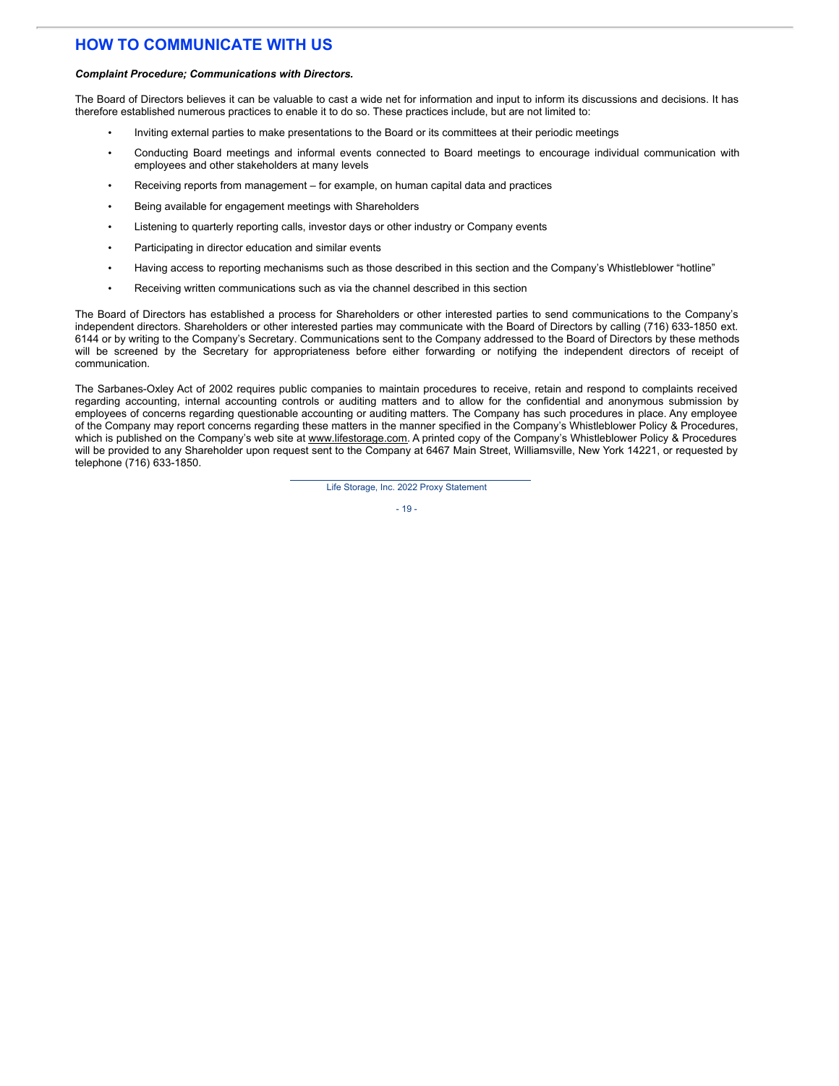## **HOW TO COMMUNICATE WITH US**

#### *Complaint Procedure; Communications with Directors.*

The Board of Directors believes it can be valuable to cast a wide net for information and input to inform its discussions and decisions. It has therefore established numerous practices to enable it to do so. These practices include, but are not limited to:

- Inviting external parties to make presentations to the Board or its committees at their periodic meetings
- Conducting Board meetings and informal events connected to Board meetings to encourage individual communication with employees and other stakeholders at many levels
- Receiving reports from management for example, on human capital data and practices
- Being available for engagement meetings with Shareholders
- Listening to quarterly reporting calls, investor days or other industry or Company events
- Participating in director education and similar events
- Having access to reporting mechanisms such as those described in this section and the Company's Whistleblower "hotline"
- Receiving written communications such as via the channel described in this section

The Board of Directors has established a process for Shareholders or other interested parties to send communications to the Company's independent directors. Shareholders or other interested parties may communicate with the Board of Directors by calling (716) 633-1850 ext. 6144 or by writing to the Company's Secretary. Communications sent to the Company addressed to the Board of Directors by these methods will be screened by the Secretary for appropriateness before either forwarding or notifying the independent directors of receipt of communication.

The Sarbanes-Oxley Act of 2002 requires public companies to maintain procedures to receive, retain and respond to complaints received regarding accounting, internal accounting controls or auditing matters and to allow for the confidential and anonymous submission by employees of concerns regarding questionable accounting or auditing matters. The Company has such procedures in place. Any employee of the Company may report concerns regarding these matters in the manner specified in the Company's Whistleblower Policy & Procedures, which is published on the Company's web site at www.lifestorage.com. A printed copy of the Company's Whistleblower Policy & Procedures will be provided to any Shareholder upon request sent to the Company at 6467 Main Street, Williamsville, New York 14221, or requested by telephone (716) 633-1850.

Life Storage, Inc. 2022 Proxy Statement

 $-19-$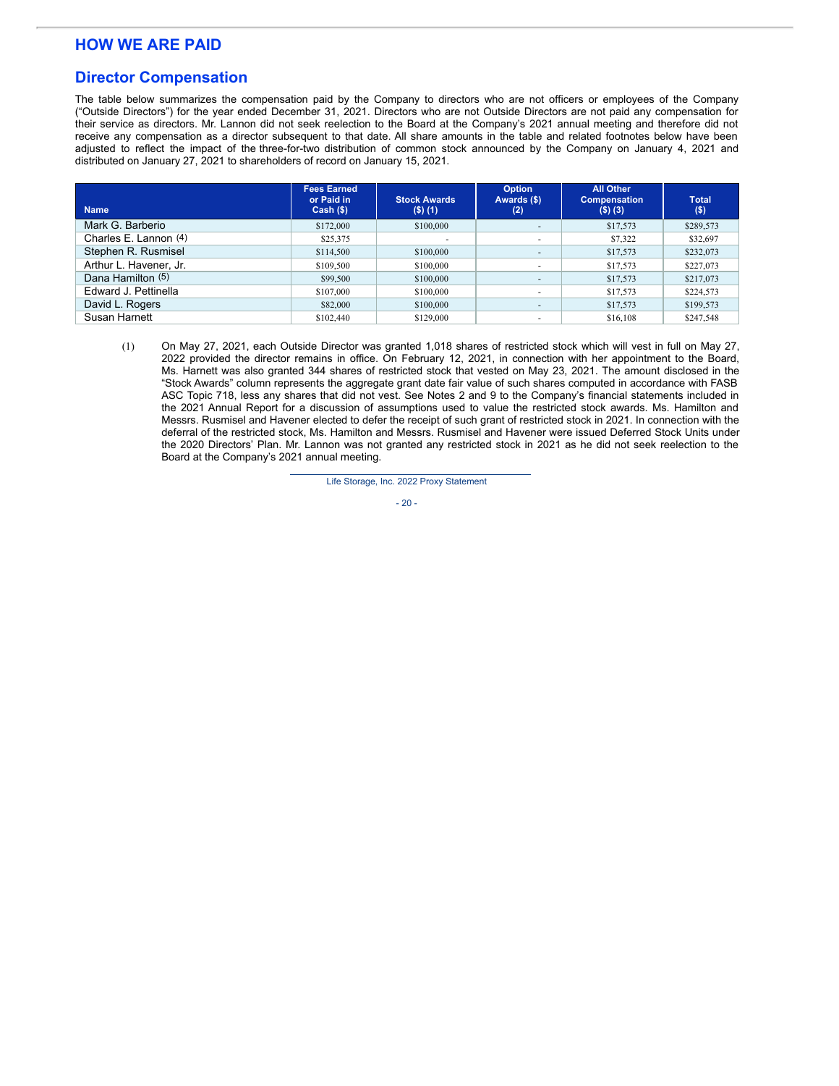## **HOW WE ARE PAID**

### **Director Compensation**

The table below summarizes the compensation paid by the Company to directors who are not officers or employees of the Company ("Outside Directors") for the year ended December 31, 2021. Directors who are not Outside Directors are not paid any compensation for their service as directors. Mr. Lannon did not seek reelection to the Board at the Company's 2021 annual meeting and therefore did not receive any compensation as a director subsequent to that date. All share amounts in the table and related footnotes below have been adjusted to reflect the impact of the three-for-two distribution of common stock announced by the Company on January 4, 2021 and distributed on January 27, 2021 to shareholders of record on January 15, 2021.

| <b>Name</b>            | <b>Fees Earned</b><br>or Paid in<br>$Cash (\$))$ | <b>Stock Awards</b><br>$($ \$) $(1)$ | <b>Option</b><br>Awards (\$)<br>(2) | <b>All Other</b><br><b>Compensation</b><br>$($ \$) $($ 3 $)$ | <b>Total</b><br>$($ \$) |
|------------------------|--------------------------------------------------|--------------------------------------|-------------------------------------|--------------------------------------------------------------|-------------------------|
| Mark G. Barberio       | \$172,000                                        | \$100,000                            | $\overline{\phantom{a}}$            | \$17,573                                                     | \$289,573               |
| Charles E. Lannon (4)  | \$25,375                                         |                                      | $\overline{\phantom{a}}$            | \$7,322                                                      | \$32,697                |
| Stephen R. Rusmisel    | \$114,500                                        | \$100,000                            | $\overline{\phantom{a}}$            | \$17,573                                                     | \$232,073               |
| Arthur L. Havener, Jr. | \$109,500                                        | \$100,000                            | $\overline{\phantom{a}}$            | \$17,573                                                     | \$227,073               |
| Dana Hamilton (5)      | \$99,500                                         | \$100,000                            | $\overline{\phantom{a}}$            | \$17,573                                                     | \$217,073               |
| Edward J. Pettinella   | \$107,000                                        | \$100,000                            | $\overline{\phantom{a}}$            | \$17,573                                                     | \$224,573               |
| David L. Rogers        | \$82,000                                         | \$100,000                            | $\overline{\phantom{a}}$            | \$17,573                                                     | \$199,573               |
| Susan Harnett          | \$102,440                                        | \$129,000                            | $\overline{\phantom{a}}$            | \$16,108                                                     | \$247,548               |

<sup>(1)</sup> On May 27, 2021, each Outside Director was granted 1,018 shares of restricted stock which will vest in full on May 27, 2022 provided the director remains in office. On February 12, 2021, in connection with her appointment to the Board, Ms. Harnett was also granted 344 shares of restricted stock that vested on May 23, 2021. The amount disclosed in the "Stock Awards" column represents the aggregate grant date fair value of such shares computed in accordance with FASB ASC Topic 718, less any shares that did not vest. See Notes 2 and 9 to the Company's financial statements included in the 2021 Annual Report for a discussion of assumptions used to value the restricted stock awards. Ms. Hamilton and Messrs. Rusmisel and Havener elected to defer the receipt of such grant of restricted stock in 2021. In connection with the deferral of the restricted stock, Ms. Hamilton and Messrs. Rusmisel and Havener were issued Deferred Stock Units under the 2020 Directors' Plan. Mr. Lannon was not granted any restricted stock in 2021 as he did not seek reelection to the Board at the Company's 2021 annual meeting.

Life Storage, Inc. 2022 Proxy Statement

 $-20 -$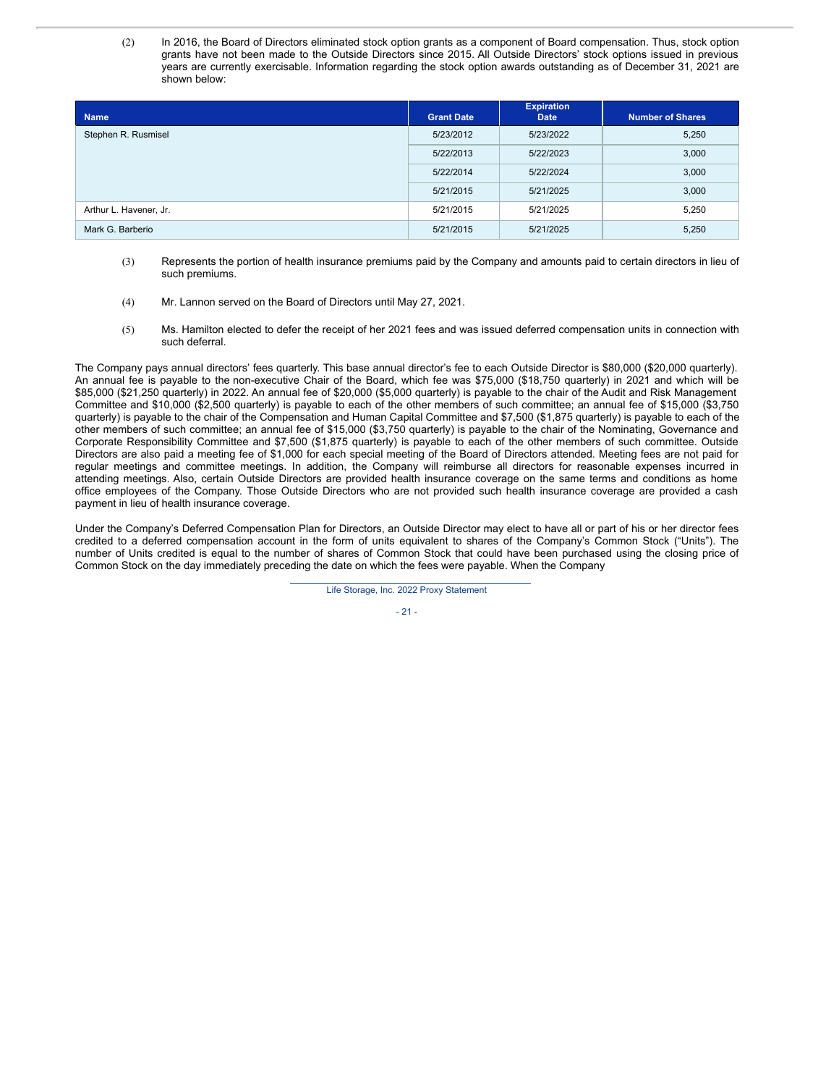(2) In 2016, the Board of Directors eliminated stock option grants as a component of Board compensation. Thus, stock option grants have not been made to the Outside Directors since 2015. All Outside Directors' stock options issued in previous years are currently exercisable. Information regarding the stock option awards outstanding as of December 31, 2021 are shown below:

| <b>Name</b>            | <b>Grant Date</b> | <b>Expiration</b><br><b>Date</b> | <b>Number of Shares</b> |
|------------------------|-------------------|----------------------------------|-------------------------|
| Stephen R. Rusmisel    | 5/23/2012         | 5/23/2022                        | 5,250                   |
|                        | 5/22/2013         | 5/22/2023                        | 3,000                   |
|                        | 5/22/2014         | 5/22/2024                        | 3,000                   |
|                        | 5/21/2015         | 5/21/2025                        | 3,000                   |
| Arthur L. Havener, Jr. | 5/21/2015         | 5/21/2025                        | 5,250                   |
| Mark G. Barberio       | 5/21/2015         | 5/21/2025                        | 5,250                   |

- (3) Represents the portion of health insurance premiums paid by the Company and amounts paid to certain directors in lieu of such premiums.
- (4) Mr. Lannon served on the Board of Directors until May 27, 2021.
- (5) Ms. Hamilton elected to defer the receipt of her 2021 fees and was issued deferred compensation units in connection with such deferral.

The Company pays annual directors' fees quarterly. This base annual director's fee to each Outside Director is \$80,000 (\$20,000 quarterly). An annual fee is payable to the non-executive Chair of the Board, which fee was \$75,000 (\$18,750 quarterly) in 2021 and which will be \$85,000 (\$21,250 quarterly) in 2022. An annual fee of \$20,000 (\$5,000 quarterly) is payable to the chair of the Audit and Risk Management Committee and \$10,000 (\$2,500 quarterly) is payable to each of the other members of such committee; an annual fee of \$15,000 (\$3,750 quarterly) is payable to the chair of the Compensation and Human Capital Committee and \$7,500 (\$1,875 quarterly) is payable to each of the other members of such committee; an annual fee of \$15,000 (\$3,750 quarterly) is payable to the chair of the Nominating, Governance and Corporate Responsibility Committee and \$7,500 (\$1,875 quarterly) is payable to each of the other members of such committee. Outside Directors are also paid a meeting fee of \$1,000 for each special meeting of the Board of Directors attended. Meeting fees are not paid for regular meetings and committee meetings. In addition, the Company will reimburse all directors for reasonable expenses incurred in attending meetings. Also, certain Outside Directors are provided health insurance coverage on the same terms and conditions as home office employees of the Company. Those Outside Directors who are not provided such health insurance coverage are provided a cash payment in lieu of health insurance coverage.

Under the Company's Deferred Compensation Plan for Directors, an Outside Director may elect to have all or part of his or her director fees credited to a deferred compensation account in the form of units equivalent to shares of the Company's Common Stock ("Units"). The number of Units credited is equal to the number of shares of Common Stock that could have been purchased using the closing price of Common Stock on the day immediately preceding the date on which the fees were payable. When the Company

Life Storage, Inc. 2022 Proxy Statement

- 21 -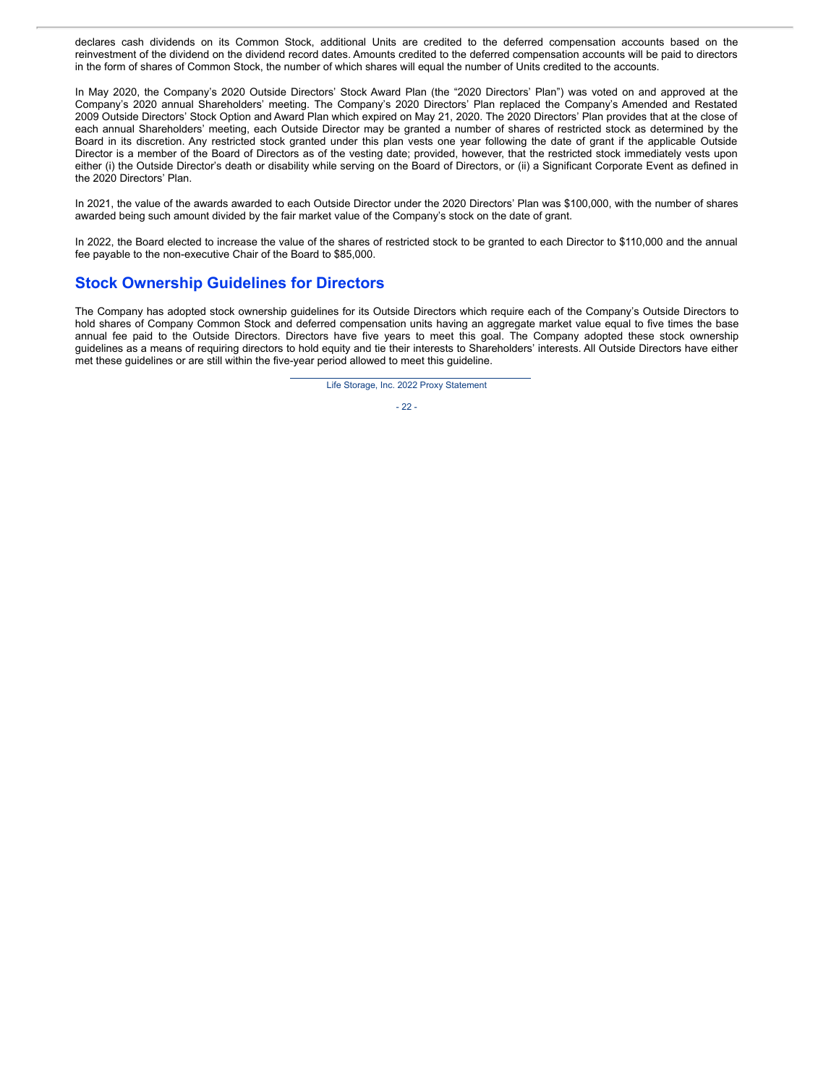declares cash dividends on its Common Stock, additional Units are credited to the deferred compensation accounts based on the reinvestment of the dividend on the dividend record dates. Amounts credited to the deferred compensation accounts will be paid to directors in the form of shares of Common Stock, the number of which shares will equal the number of Units credited to the accounts.

In May 2020, the Company's 2020 Outside Directors' Stock Award Plan (the "2020 Directors' Plan") was voted on and approved at the Company's 2020 annual Shareholders' meeting. The Company's 2020 Directors' Plan replaced the Company's Amended and Restated 2009 Outside Directors' Stock Option and Award Plan which expired on May 21, 2020. The 2020 Directors' Plan provides that at the close of each annual Shareholders' meeting, each Outside Director may be granted a number of shares of restricted stock as determined by the Board in its discretion. Any restricted stock granted under this plan vests one year following the date of grant if the applicable Outside Director is a member of the Board of Directors as of the vesting date; provided, however, that the restricted stock immediately vests upon either (i) the Outside Director's death or disability while serving on the Board of Directors, or (ii) a Significant Corporate Event as defined in the 2020 Directors' Plan.

In 2021, the value of the awards awarded to each Outside Director under the 2020 Directors' Plan was \$100,000, with the number of shares awarded being such amount divided by the fair market value of the Company's stock on the date of grant.

In 2022, the Board elected to increase the value of the shares of restricted stock to be granted to each Director to \$110,000 and the annual fee payable to the non-executive Chair of the Board to \$85,000.

### **Stock Ownership Guidelines for Directors**

The Company has adopted stock ownership guidelines for its Outside Directors which require each of the Company's Outside Directors to hold shares of Company Common Stock and deferred compensation units having an aggregate market value equal to five times the base annual fee paid to the Outside Directors. Directors have five years to meet this goal. The Company adopted these stock ownership guidelines as a means of requiring directors to hold equity and tie their interests to Shareholders' interests. All Outside Directors have either met these guidelines or are still within the five-year period allowed to meet this guideline.

Life Storage, Inc. 2022 Proxy Statement

 $-22 -$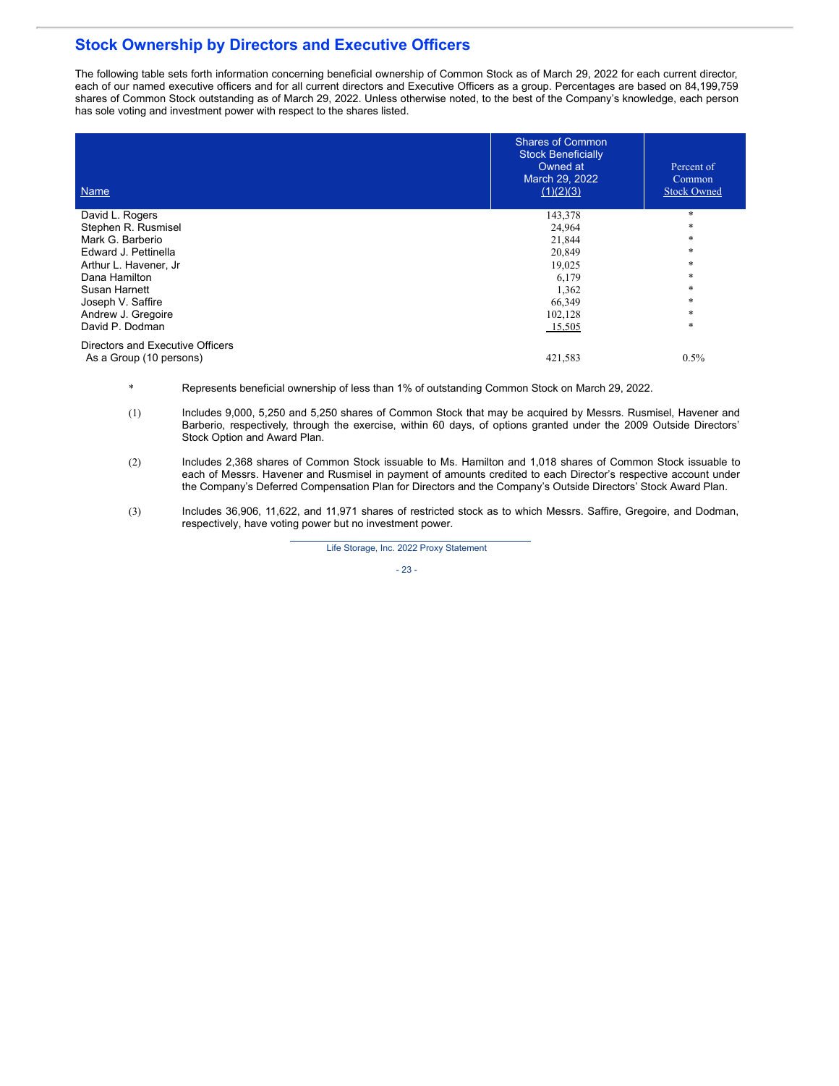## **Stock Ownership by Directors and Executive Officers**

The following table sets forth information concerning beneficial ownership of Common Stock as of March 29, 2022 for each current director, each of our named executive officers and for all current directors and Executive Officers as a group. Percentages are based on 84,199,759 shares of Common Stock outstanding as of March 29, 2022. Unless otherwise noted, to the best of the Company's knowledge, each person has sole voting and investment power with respect to the shares listed.

| Name                                                        | <b>Shares of Common</b><br><b>Stock Beneficially</b><br>Owned at<br>March 29, 2022<br>(1)(2)(3) | Percent of<br><b>Common</b><br><b>Stock Owned</b> |
|-------------------------------------------------------------|-------------------------------------------------------------------------------------------------|---------------------------------------------------|
| David L. Rogers                                             | 143,378                                                                                         | $\ast$                                            |
| Stephen R. Rusmisel                                         | 24,964                                                                                          | $\ast$                                            |
| Mark G. Barberio                                            | 21,844                                                                                          | $\ast$                                            |
| Edward J. Pettinella                                        | 20,849                                                                                          | $\ast$                                            |
| Arthur L. Havener, Jr                                       | 19,025                                                                                          | *                                                 |
| Dana Hamilton                                               | 6,179                                                                                           | *                                                 |
| Susan Harnett                                               | 1,362                                                                                           | *                                                 |
| Joseph V. Saffire                                           | 66,349                                                                                          | *                                                 |
| Andrew J. Gregoire                                          | 102,128                                                                                         | *                                                 |
| David P. Dodman                                             | 15,505                                                                                          | *                                                 |
| Directors and Executive Officers<br>As a Group (10 persons) | 421,583                                                                                         | $0.5\%$                                           |

- \* Represents beneficial ownership of less than 1% of outstanding Common Stock on March 29, 2022.
- (1) Includes 9,000, 5,250 and 5,250 shares of Common Stock that may be acquired by Messrs. Rusmisel, Havener and Barberio, respectively, through the exercise, within 60 days, of options granted under the 2009 Outside Directors' Stock Option and Award Plan.
- (2) Includes 2,368 shares of Common Stock issuable to Ms. Hamilton and 1,018 shares of Common Stock issuable to each of Messrs. Havener and Rusmisel in payment of amounts credited to each Director's respective account under the Company's Deferred Compensation Plan for Directors and the Company's Outside Directors' Stock Award Plan.
- (3) Includes 36,906, 11,622, and 11,971 shares of restricted stock as to which Messrs. Saffire, Gregoire, and Dodman, respectively, have voting power but no investment power.

Life Storage, Inc. 2022 Proxy Statement

- 23 -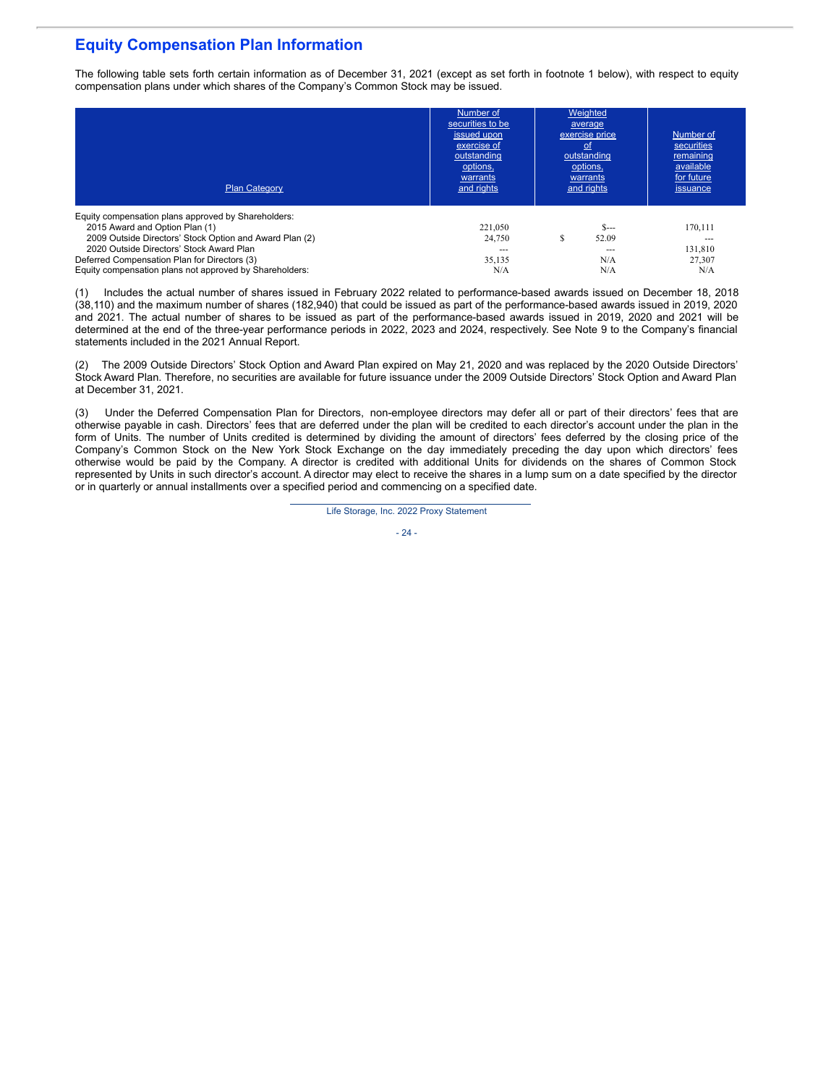## **Equity Compensation Plan Information**

The following table sets forth certain information as of December 31, 2021 (except as set forth in footnote 1 below), with respect to equity compensation plans under which shares of the Company's Common Stock may be issued.

| <b>Plan Category</b>                                                                                                                                                                                                                                                                                    | Number of<br>securities to be<br>issued upon<br>exercise of<br>outstanding<br>options,<br>warrants<br>and rights | Weighted<br>average<br>exercise price<br><u>ot</u><br>outstanding<br>options,<br>warrants<br>and rights | Number of<br>securities<br>remaining<br>available<br>for future<br>issuance |
|---------------------------------------------------------------------------------------------------------------------------------------------------------------------------------------------------------------------------------------------------------------------------------------------------------|------------------------------------------------------------------------------------------------------------------|---------------------------------------------------------------------------------------------------------|-----------------------------------------------------------------------------|
| Equity compensation plans approved by Shareholders:<br>2015 Award and Option Plan (1)<br>2009 Outside Directors' Stock Option and Award Plan (2)<br>2020 Outside Directors' Stock Award Plan<br>Deferred Compensation Plan for Directors (3)<br>Equity compensation plans not approved by Shareholders: | 221.050<br>24,750<br>$- - -$<br>35,135<br>N/A                                                                    | $S_{---}$<br>S<br>52.09<br>$- - -$<br>N/A<br>N/A                                                        | 170.111<br>131,810<br>27,307<br>N/A                                         |

(1) Includes the actual number of shares issued in February 2022 related to performance-based awards issued on December 18, 2018 (38,110) and the maximum number of shares (182,940) that could be issued as part of the performance-based awards issued in 2019, 2020 and 2021. The actual number of shares to be issued as part of the performance-based awards issued in 2019, 2020 and 2021 will be determined at the end of the three-year performance periods in 2022, 2023 and 2024, respectively. See Note 9 to the Company's financial statements included in the 2021 Annual Report.

(2) The 2009 Outside Directors' Stock Option and Award Plan expired on May 21, 2020 and was replaced by the 2020 Outside Directors' Stock Award Plan. Therefore, no securities are available for future issuance under the 2009 Outside Directors' Stock Option and Award Plan at December 31, 2021.

(3) Under the Deferred Compensation Plan for Directors, non-employee directors may defer all or part of their directors' fees that are otherwise payable in cash. Directors' fees that are deferred under the plan will be credited to each director's account under the plan in the form of Units. The number of Units credited is determined by dividing the amount of directors' fees deferred by the closing price of the Company's Common Stock on the New York Stock Exchange on the day immediately preceding the day upon which directors' fees otherwise would be paid by the Company. A director is credited with additional Units for dividends on the shares of Common Stock represented by Units in such director's account. A director may elect to receive the shares in a lump sum on a date specified by the director or in quarterly or annual installments over a specified period and commencing on a specified date.

Life Storage, Inc. 2022 Proxy Statement

 $-24$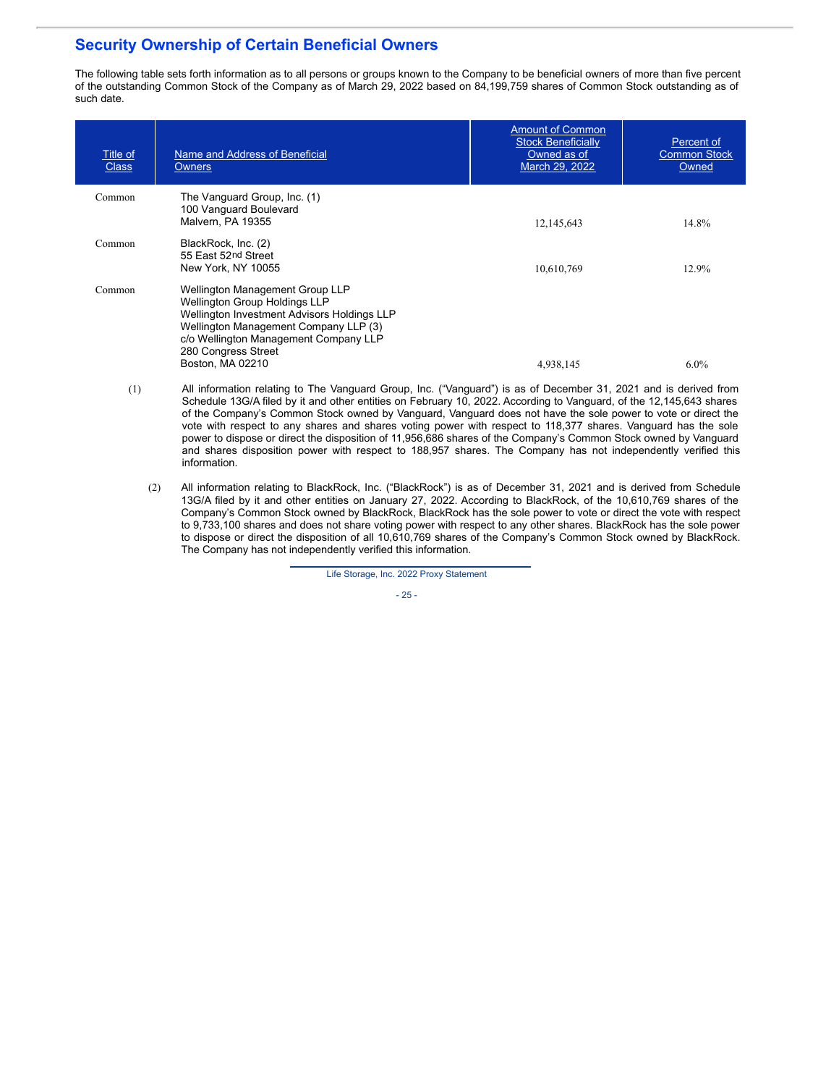## **Security Ownership of Certain Beneficial Owners**

The following table sets forth information as to all persons or groups known to the Company to be beneficial owners of more than five percent of the outstanding Common Stock of the Company as of March 29, 2022 based on 84,199,759 shares of Common Stock outstanding as of such date.

| Title of<br><b>Class</b> | Name and Address of Beneficial<br><b>Owners</b>                                                                                                                                                                                                            | <b>Amount of Common</b><br><b>Stock Beneficially</b><br>Owned as of<br>March 29, 2022 | Percent of<br><b>Common Stock</b><br>Owned |
|--------------------------|------------------------------------------------------------------------------------------------------------------------------------------------------------------------------------------------------------------------------------------------------------|---------------------------------------------------------------------------------------|--------------------------------------------|
| Common                   | The Vanguard Group, Inc. (1)<br>100 Vanguard Boulevard<br>Malvern, PA 19355                                                                                                                                                                                | 12, 145, 643                                                                          | 14.8%                                      |
| Common                   | BlackRock, Inc. (2)<br>55 East 52nd Street<br>New York, NY 10055                                                                                                                                                                                           | 10,610,769                                                                            | 12.9%                                      |
| Common                   | <b>Wellington Management Group LLP</b><br><b>Wellington Group Holdings LLP</b><br>Wellington Investment Advisors Holdings LLP<br>Wellington Management Company LLP (3)<br>c/o Wellington Management Company LLP<br>280 Congress Street<br>Boston, MA 02210 | 4,938,145                                                                             | $6.0\%$                                    |

- (1) All information relating to The Vanguard Group, Inc. ("Vanguard") is as of December 31, 2021 and is derived from Schedule 13G/A filed by it and other entities on February 10, 2022. According to Vanguard, of the 12,145,643 shares of the Company's Common Stock owned by Vanguard, Vanguard does not have the sole power to vote or direct the vote with respect to any shares and shares voting power with respect to 118,377 shares. Vanguard has the sole power to dispose or direct the disposition of 11,956,686 shares of the Company's Common Stock owned by Vanguard and shares disposition power with respect to 188,957 shares. The Company has not independently verified this information.
	- (2) All information relating to BlackRock, Inc. ("BlackRock") is as of December 31, 2021 and is derived from Schedule 13G/A filed by it and other entities on January 27, 2022. According to BlackRock, of the 10,610,769 shares of the Company's Common Stock owned by BlackRock, BlackRock has the sole power to vote or direct the vote with respect to 9,733,100 shares and does not share voting power with respect to any other shares. BlackRock has the sole power to dispose or direct the disposition of all 10,610,769 shares of the Company's Common Stock owned by BlackRock. The Company has not independently verified this information.

Life Storage, Inc. 2022 Proxy Statement

- 25 -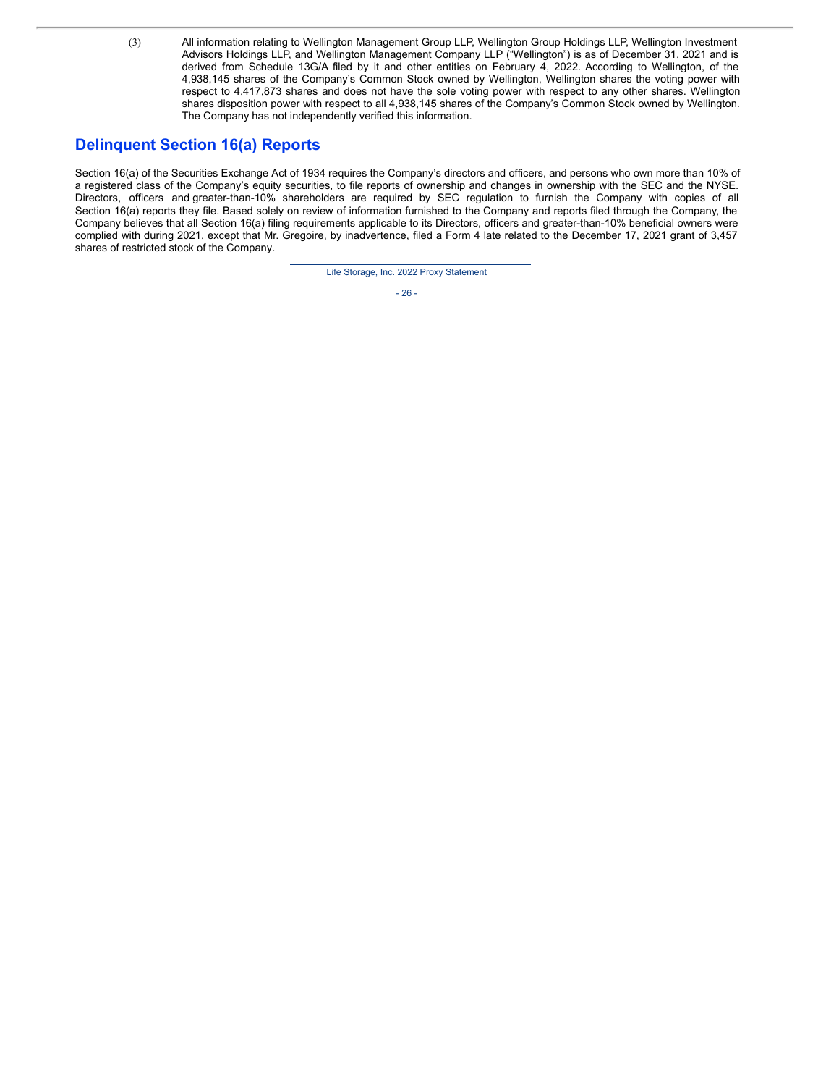(3) All information relating to Wellington Management Group LLP, Wellington Group Holdings LLP, Wellington Investment Advisors Holdings LLP, and Wellington Management Company LLP ("Wellington") is as of December 31, 2021 and is derived from Schedule 13G/A filed by it and other entities on February 4, 2022. According to Wellington, of the 4,938,145 shares of the Company's Common Stock owned by Wellington, Wellington shares the voting power with respect to 4,417,873 shares and does not have the sole voting power with respect to any other shares. Wellington shares disposition power with respect to all 4,938,145 shares of the Company's Common Stock owned by Wellington. The Company has not independently verified this information.

## **Delinquent Section 16(a) Reports**

Section 16(a) of the Securities Exchange Act of 1934 requires the Company's directors and officers, and persons who own more than 10% of a registered class of the Company's equity securities, to file reports of ownership and changes in ownership with the SEC and the NYSE. Directors, officers and greater-than-10% shareholders are required by SEC regulation to furnish the Company with copies of all Section 16(a) reports they file. Based solely on review of information furnished to the Company and reports filed through the Company, the Company believes that all Section 16(a) filing requirements applicable to its Directors, officers and greater-than-10% beneficial owners were complied with during 2021, except that Mr. Gregoire, by inadvertence, filed a Form 4 late related to the December 17, 2021 grant of 3,457 shares of restricted stock of the Company.

Life Storage, Inc. 2022 Proxy Statement

- 26 -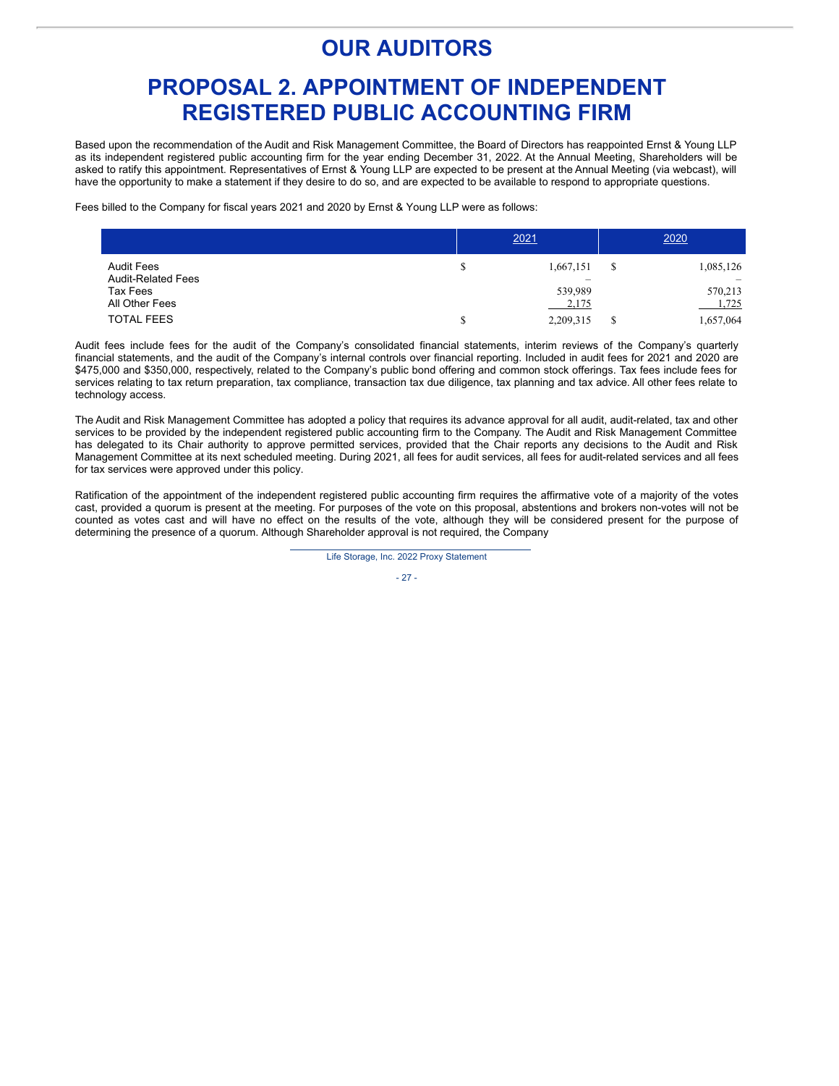# **OUR AUDITORS**

# **PROPOSAL 2. APPOINTMENT OF INDEPENDENT REGISTERED PUBLIC ACCOUNTING FIRM**

Based upon the recommendation of the Audit and Risk Management Committee, the Board of Directors has reappointed Ernst & Young LLP as its independent registered public accounting firm for the year ending December 31, 2022. At the Annual Meeting, Shareholders will be asked to ratify this appointment. Representatives of Ernst & Young LLP are expected to be present at the Annual Meeting (via webcast), will have the opportunity to make a statement if they desire to do so, and are expected to be available to respond to appropriate questions.

Fees billed to the Company for fiscal years 2021 and 2020 by Ernst & Young LLP were as follows:

|                           | 2021      |   | 2020      |
|---------------------------|-----------|---|-----------|
| <b>Audit Fees</b>         | 1,667,151 | S | 1,085,126 |
| <b>Audit-Related Fees</b> |           |   |           |
| Tax Fees                  | 539,989   |   | 570,213   |
| All Other Fees            | 2,175     |   | 1,725     |
| <b>TOTAL FEES</b>         | 2,209,315 |   | 1,657,064 |

Audit fees include fees for the audit of the Company's consolidated financial statements, interim reviews of the Company's quarterly financial statements, and the audit of the Company's internal controls over financial reporting. Included in audit fees for 2021 and 2020 are \$475,000 and \$350,000, respectively, related to the Company's public bond offering and common stock offerings. Tax fees include fees for services relating to tax return preparation, tax compliance, transaction tax due diligence, tax planning and tax advice. All other fees relate to technology access.

The Audit and Risk Management Committee has adopted a policy that requires its advance approval for all audit, audit-related, tax and other services to be provided by the independent registered public accounting firm to the Company. The Audit and Risk Management Committee has delegated to its Chair authority to approve permitted services, provided that the Chair reports any decisions to the Audit and Risk Management Committee at its next scheduled meeting. During 2021, all fees for audit services, all fees for audit-related services and all fees for tax services were approved under this policy.

Ratification of the appointment of the independent registered public accounting firm requires the affirmative vote of a majority of the votes cast, provided a quorum is present at the meeting. For purposes of the vote on this proposal, abstentions and brokers non-votes will not be counted as votes cast and will have no effect on the results of the vote, although they will be considered present for the purpose of determining the presence of a quorum. Although Shareholder approval is not required, the Company

Life Storage, Inc. 2022 Proxy Statement

- 27 -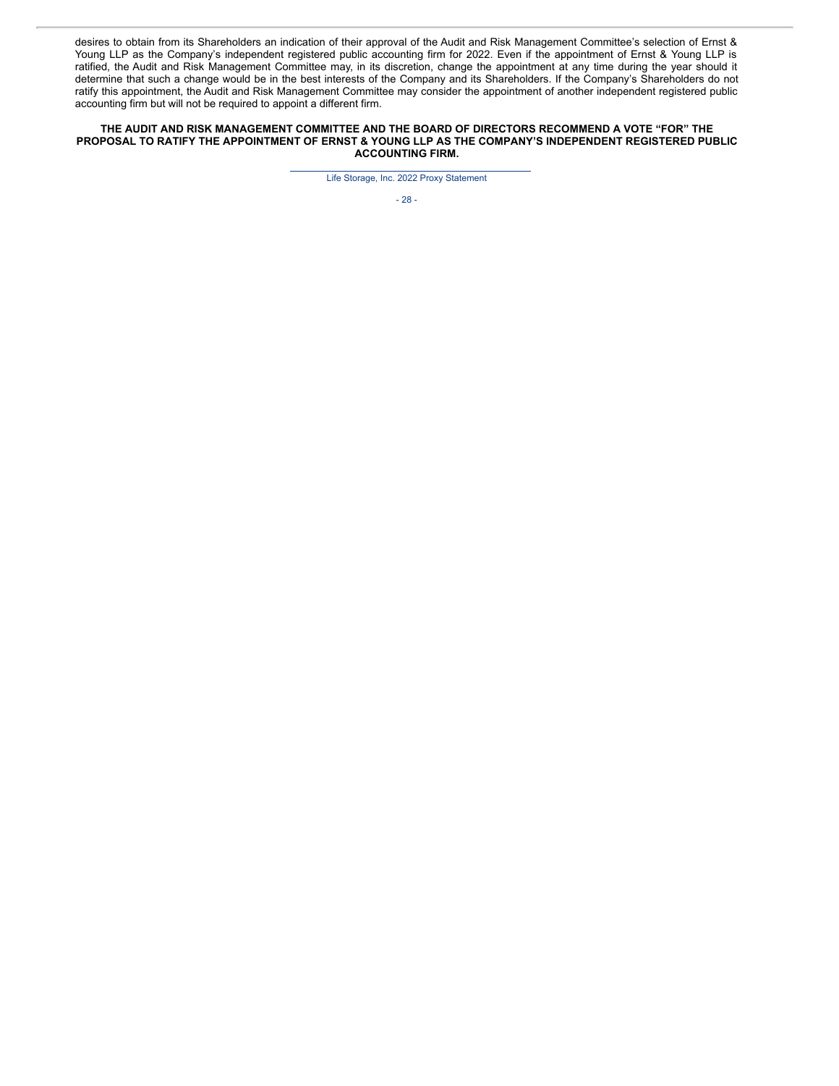desires to obtain from its Shareholders an indication of their approval of the Audit and Risk Management Committee's selection of Ernst & Young LLP as the Company's independent registered public accounting firm for 2022. Even if the appointment of Ernst & Young LLP is ratified, the Audit and Risk Management Committee may, in its discretion, change the appointment at any time during the year should it determine that such a change would be in the best interests of the Company and its Shareholders. If the Company's Shareholders do not ratify this appointment, the Audit and Risk Management Committee may consider the appointment of another independent registered public accounting firm but will not be required to appoint a different firm.

#### **THE AUDIT AND RISK MANAGEMENT COMMITTEE AND THE BOARD OF DIRECTORS RECOMMEND A VOTE "FOR" THE PROPOSAL TO RATIFY THE APPOINTMENT OF ERNST & YOUNG LLP AS THE COMPANY'S INDEPENDENT REGISTERED PUBLIC ACCOUNTING FIRM.**

Life Storage, Inc. 2022 Proxy Statement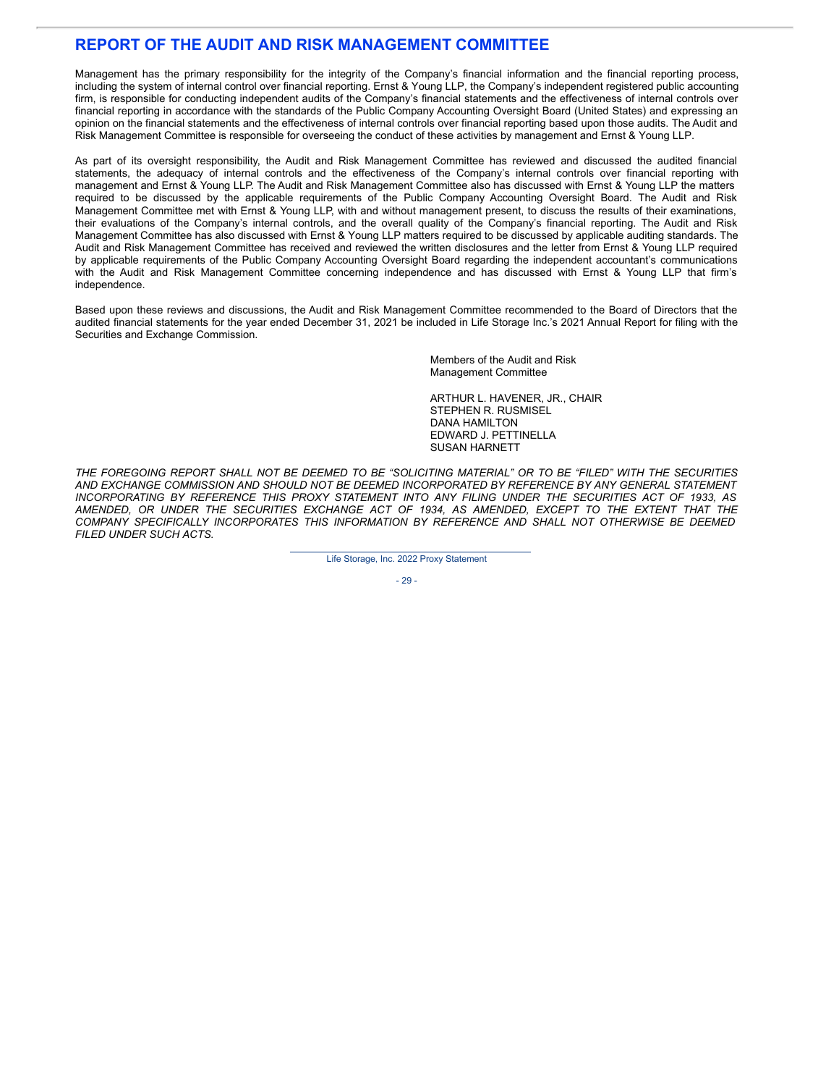## **REPORT OF THE AUDIT AND RISK MANAGEMENT COMMITTEE**

Management has the primary responsibility for the integrity of the Company's financial information and the financial reporting process, including the system of internal control over financial reporting. Ernst & Young LLP, the Company's independent registered public accounting firm, is responsible for conducting independent audits of the Company's financial statements and the effectiveness of internal controls over financial reporting in accordance with the standards of the Public Company Accounting Oversight Board (United States) and expressing an opinion on the financial statements and the effectiveness of internal controls over financial reporting based upon those audits. The Audit and Risk Management Committee is responsible for overseeing the conduct of these activities by management and Ernst & Young LLP.

As part of its oversight responsibility, the Audit and Risk Management Committee has reviewed and discussed the audited financial statements, the adequacy of internal controls and the effectiveness of the Company's internal controls over financial reporting with management and Ernst & Young LLP. The Audit and Risk Management Committee also has discussed with Ernst & Young LLP the matters required to be discussed by the applicable requirements of the Public Company Accounting Oversight Board. The Audit and Risk Management Committee met with Ernst & Young LLP, with and without management present, to discuss the results of their examinations, their evaluations of the Company's internal controls, and the overall quality of the Company's financial reporting. The Audit and Risk Management Committee has also discussed with Ernst & Young LLP matters required to be discussed by applicable auditing standards. The Audit and Risk Management Committee has received and reviewed the written disclosures and the letter from Ernst & Young LLP required by applicable requirements of the Public Company Accounting Oversight Board regarding the independent accountant's communications with the Audit and Risk Management Committee concerning independence and has discussed with Ernst & Young LLP that firm's independence.

Based upon these reviews and discussions, the Audit and Risk Management Committee recommended to the Board of Directors that the audited financial statements for the year ended December 31, 2021 be included in Life Storage Inc.'s 2021 Annual Report for filing with the Securities and Exchange Commission.

> Members of the Audit and Risk Management Committee

ARTHUR L. HAVENER, JR., CHAIR STEPHEN R. RUSMISEL DANA HAMILTON EDWARD J. PETTINELLA SUSAN HARNETT

THE FOREGOING REPORT SHALL NOT BE DEEMED TO BE "SOLICITING MATERIAL" OR TO BE "FILED" WITH THE SECURITIES *AND EXCHANGE COMMISSION AND SHOULD NOT BE DEEMED INCORPORATED BY REFERENCE BY ANY GENERAL STATEMENT INCORPORATING BY REFERENCE THIS PROXY STATEMENT INTO ANY FILING UNDER THE SECURITIES ACT OF 1933, AS AMENDED, OR UNDER THE SECURITIES EXCHANGE ACT OF 1934, AS AMENDED, EXCEPT TO THE EXTENT THAT THE COMPANY SPECIFICALLY INCORPORATES THIS INFORMATION BY REFERENCE AND SHALL NOT OTHERWISE BE DEEMED FILED UNDER SUCH ACTS.*

Life Storage, Inc. 2022 Proxy Statement

- 29 -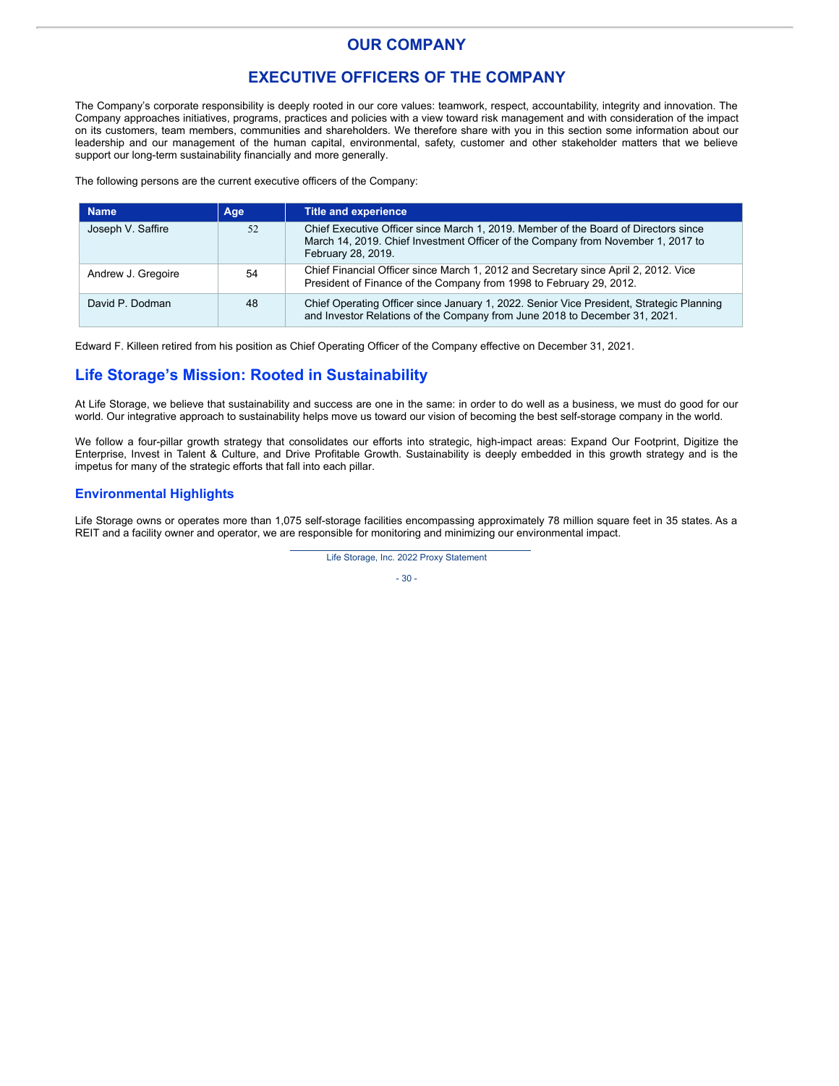## **OUR COMPANY**

## **EXECUTIVE OFFICERS OF THE COMPANY**

The Company's corporate responsibility is deeply rooted in our core values: teamwork, respect, accountability, integrity and innovation. The Company approaches initiatives, programs, practices and policies with a view toward risk management and with consideration of the impact on its customers, team members, communities and shareholders. We therefore share with you in this section some information about our leadership and our management of the human capital, environmental, safety, customer and other stakeholder matters that we believe support our long-term sustainability financially and more generally.

The following persons are the current executive officers of the Company:

| <b>Name</b>        | Age | Title and experience                                                                                                                                                                          |
|--------------------|-----|-----------------------------------------------------------------------------------------------------------------------------------------------------------------------------------------------|
| Joseph V. Saffire  | 52  | Chief Executive Officer since March 1, 2019. Member of the Board of Directors since<br>March 14, 2019. Chief Investment Officer of the Company from November 1, 2017 to<br>February 28, 2019. |
| Andrew J. Gregoire | 54  | Chief Financial Officer since March 1, 2012 and Secretary since April 2, 2012. Vice<br>President of Finance of the Company from 1998 to February 29, 2012.                                    |
| David P. Dodman    | 48  | Chief Operating Officer since January 1, 2022. Senior Vice President, Strategic Planning<br>and Investor Relations of the Company from June 2018 to December 31, 2021.                        |

Edward F. Killeen retired from his position as Chief Operating Officer of the Company effective on December 31, 2021.

## **Life Storage's Mission: Rooted in Sustainability**

At Life Storage, we believe that sustainability and success are one in the same: in order to do well as a business, we must do good for our world. Our integrative approach to sustainability helps move us toward our vision of becoming the best self-storage company in the world.

We follow a four-pillar growth strategy that consolidates our efforts into strategic, high-impact areas: Expand Our Footprint, Digitize the Enterprise, Invest in Talent & Culture, and Drive Profitable Growth. Sustainability is deeply embedded in this growth strategy and is the impetus for many of the strategic efforts that fall into each pillar.

#### **Environmental Highlights**

Life Storage owns or operates more than 1,075 self-storage facilities encompassing approximately 78 million square feet in 35 states. As a REIT and a facility owner and operator, we are responsible for monitoring and minimizing our environmental impact.

Life Storage, Inc. 2022 Proxy Statement

- 30 -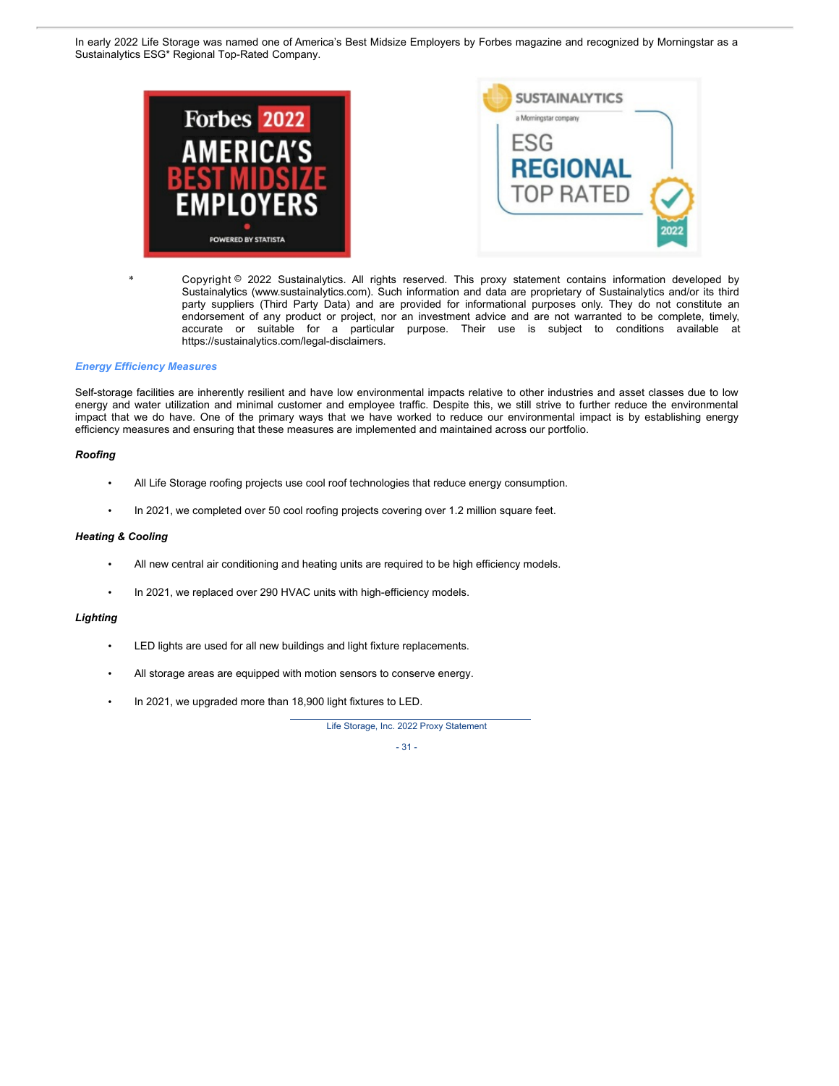In early 2022 Life Storage was named one of America's Best Midsize Employers by Forbes magazine and recognized by Morningstar as a Sustainalytics ESG\* Regional Top-Rated Company.



Copyright @ 2022 Sustainalytics. All rights reserved. This proxy statement contains information developed by Sustainalytics (www.sustainalytics.com). Such information and data are proprietary of Sustainalytics and/or its third party suppliers (Third Party Data) and are provided for informational purposes only. They do not constitute an endorsement of any product or project, nor an investment advice and are not warranted to be complete, timely, accurate or suitable for a particular purpose. Their use is subject to conditions available at https://sustainalytics.com/legal-disclaimers.

#### *Energy Efficiency Measures*

Self-storage facilities are inherently resilient and have low environmental impacts relative to other industries and asset classes due to low energy and water utilization and minimal customer and employee traffic. Despite this, we still strive to further reduce the environmental impact that we do have. One of the primary ways that we have worked to reduce our environmental impact is by establishing energy efficiency measures and ensuring that these measures are implemented and maintained across our portfolio.

#### *Roofing*

- All Life Storage roofing projects use cool roof technologies that reduce energy consumption.
- In 2021, we completed over 50 cool roofing projects covering over 1.2 million square feet.

### *Heating & Cooling*

- All new central air conditioning and heating units are required to be high efficiency models.
- In 2021, we replaced over 290 HVAC units with high-efficiency models.

### *Lighting*

- LED lights are used for all new buildings and light fixture replacements.
- All storage areas are equipped with motion sensors to conserve energy.
- In 2021, we upgraded more than 18,900 light fixtures to LED.

Life Storage, Inc. 2022 Proxy Statement

 $-31 -$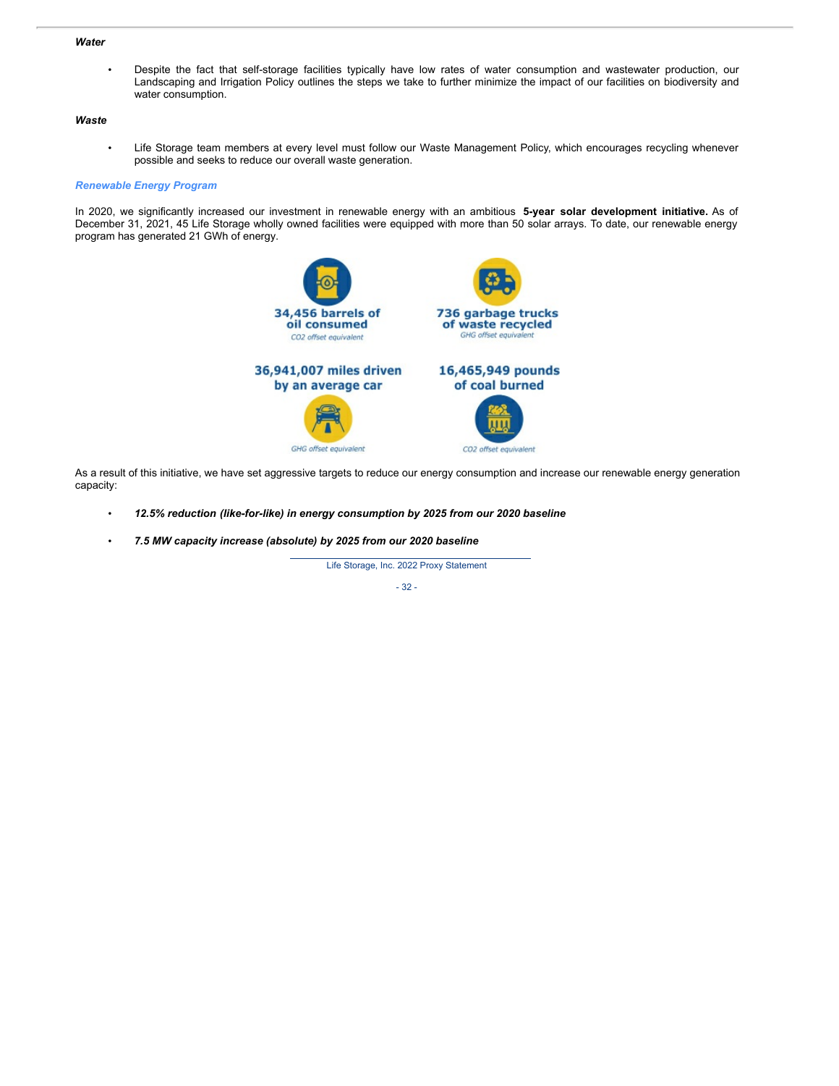### *Water*

• Despite the fact that self-storage facilities typically have low rates of water consumption and wastewater production, our Landscaping and Irrigation Policy outlines the steps we take to further minimize the impact of our facilities on biodiversity and water consumption.

### *Waste*

• Life Storage team members at every level must follow our Waste Management Policy, which encourages recycling whenever possible and seeks to reduce our overall waste generation.

#### *Renewable Energy Program*

In 2020, we significantly increased our investment in renewable energy with an ambitious **5-year solar development initiative.** As of December 31, 2021, 45 Life Storage wholly owned facilities were equipped with more than 50 solar arrays. To date, our renewable energy program has generated 21 GWh of energy.



As a result of this initiative, we have set aggressive targets to reduce our energy consumption and increase our renewable energy generation capacity:

- *12.5% reduction (like-for-like) in energy consumption by 2025 from our 2020 baseline*
- *7.5 MW capacity increase (absolute) by 2025 from our 2020 baseline*

Life Storage, Inc. 2022 Proxy Statement

- 32 -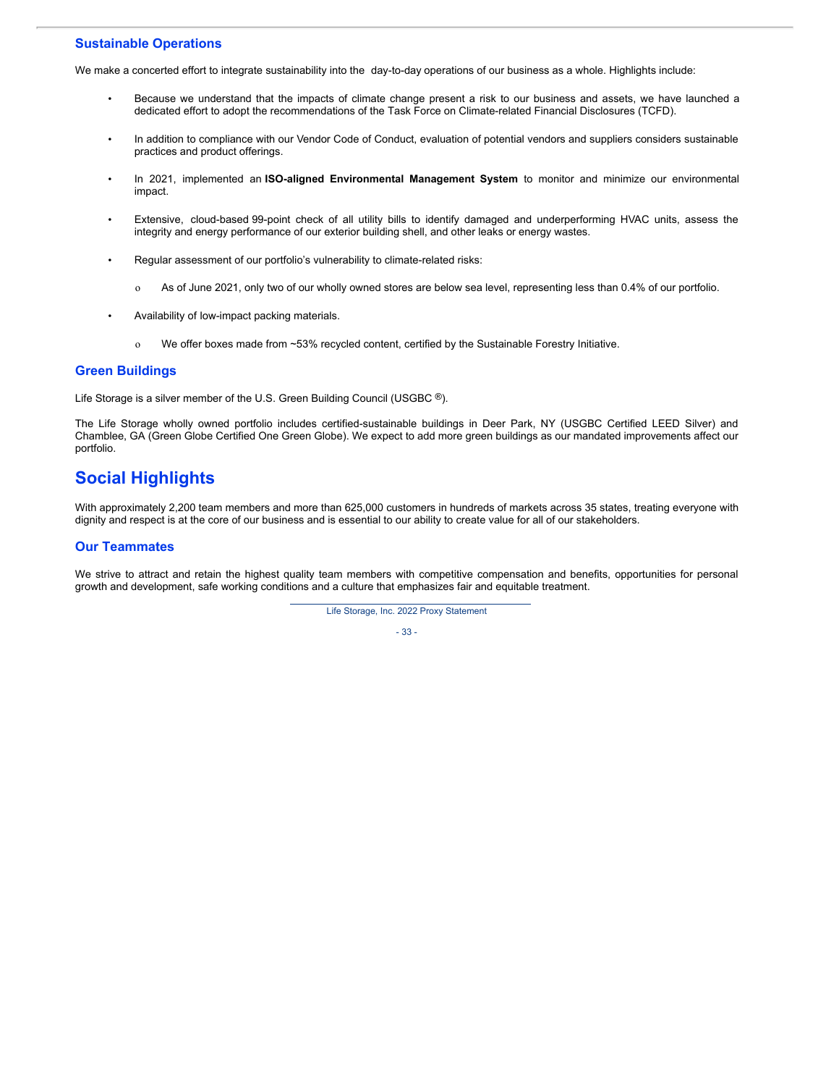### **Sustainable Operations**

We make a concerted effort to integrate sustainability into the day-to-day operations of our business as a whole. Highlights include:

- Because we understand that the impacts of climate change present a risk to our business and assets, we have launched a dedicated effort to adopt the recommendations of the Task Force on Climate-related Financial Disclosures (TCFD).
- In addition to compliance with our Vendor Code of Conduct, evaluation of potential vendors and suppliers considers sustainable practices and product offerings.
- In 2021, implemented an **ISO-aligned Environmental Management System** to monitor and minimize our environmental impact.
- Extensive, cloud-based 99-point check of all utility bills to identify damaged and underperforming HVAC units, assess the integrity and energy performance of our exterior building shell, and other leaks or energy wastes.
- Regular assessment of our portfolio's vulnerability to climate-related risks:
	- o As of June 2021, only two of our wholly owned stores are below sea level, representing less than 0.4% of our portfolio.
- Availability of low-impact packing materials.
	- o We offer boxes made from ~53% recycled content, certified by the Sustainable Forestry Initiative.

### **Green Buildings**

Life Storage is a silver member of the U.S. Green Building Council (USGBC ®).

The Life Storage wholly owned portfolio includes certified-sustainable buildings in Deer Park, NY (USGBC Certified LEED Silver) and Chamblee, GA (Green Globe Certified One Green Globe). We expect to add more green buildings as our mandated improvements affect our portfolio.

# **Social Highlights**

With approximately 2,200 team members and more than 625,000 customers in hundreds of markets across 35 states, treating everyone with dignity and respect is at the core of our business and is essential to our ability to create value for all of our stakeholders.

### **Our Teammates**

We strive to attract and retain the highest quality team members with competitive compensation and benefits, opportunities for personal growth and development, safe working conditions and a culture that emphasizes fair and equitable treatment.

Life Storage, Inc. 2022 Proxy Statement

- 33 -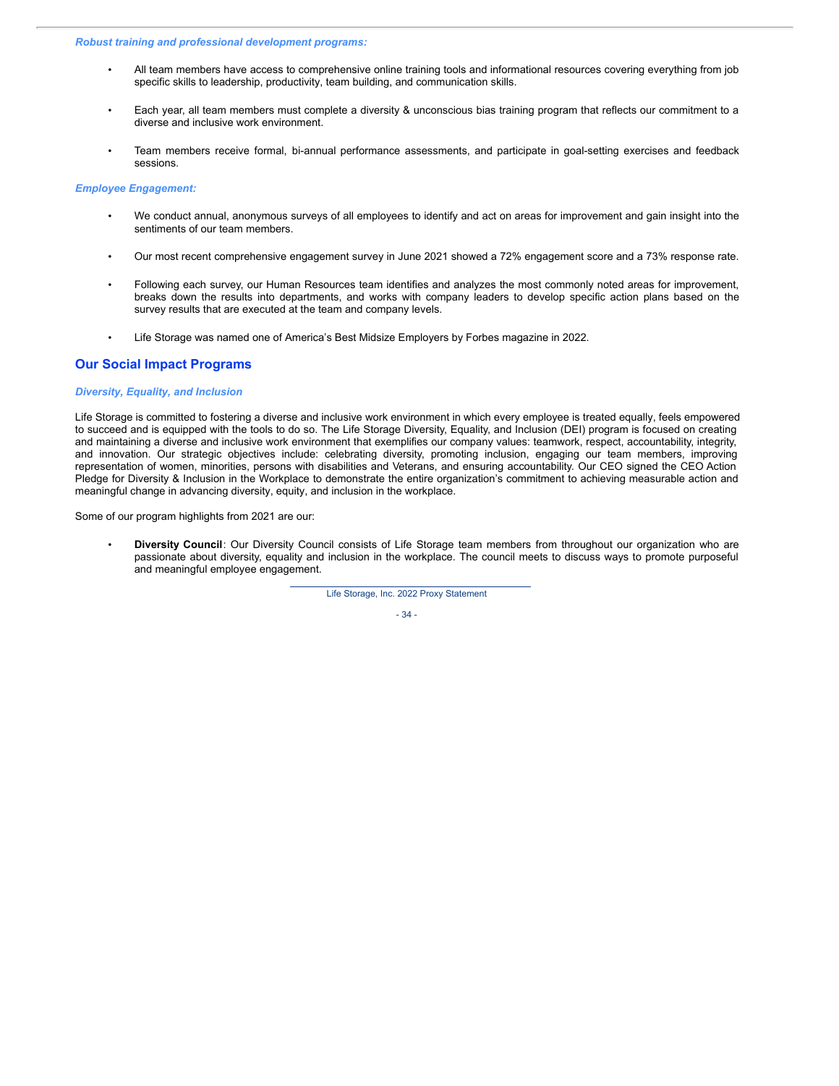#### *Robust training and professional development programs:*

- All team members have access to comprehensive online training tools and informational resources covering everything from job specific skills to leadership, productivity, team building, and communication skills.
- Each year, all team members must complete a diversity & unconscious bias training program that reflects our commitment to a diverse and inclusive work environment.
- Team members receive formal, bi-annual performance assessments, and participate in goal-setting exercises and feedback sessions.

#### *Employee Engagement:*

- We conduct annual, anonymous surveys of all employees to identify and act on areas for improvement and gain insight into the sentiments of our team members.
- Our most recent comprehensive engagement survey in June 2021 showed a 72% engagement score and a 73% response rate.
- Following each survey, our Human Resources team identifies and analyzes the most commonly noted areas for improvement, breaks down the results into departments, and works with company leaders to develop specific action plans based on the survey results that are executed at the team and company levels.
- Life Storage was named one of America's Best Midsize Employers by Forbes magazine in 2022.

### **Our Social Impact Programs**

### *Diversity, Equality, and Inclusion*

Life Storage is committed to fostering a diverse and inclusive work environment in which every employee is treated equally, feels empowered to succeed and is equipped with the tools to do so. The Life Storage Diversity, Equality, and Inclusion (DEI) program is focused on creating and maintaining a diverse and inclusive work environment that exemplifies our company values: teamwork, respect, accountability, integrity, and innovation. Our strategic objectives include: celebrating diversity, promoting inclusion, engaging our team members, improving representation of women, minorities, persons with disabilities and Veterans, and ensuring accountability. Our CEO signed the CEO Action Pledge for Diversity & Inclusion in the Workplace to demonstrate the entire organization's commitment to achieving measurable action and meaningful change in advancing diversity, equity, and inclusion in the workplace.

Some of our program highlights from 2021 are our:

• **Diversity Council**: Our Diversity Council consists of Life Storage team members from throughout our organization who are passionate about diversity, equality and inclusion in the workplace. The council meets to discuss ways to promote purposeful and meaningful employee engagement.

Life Storage, Inc. 2022 Proxy Statement

- 34 -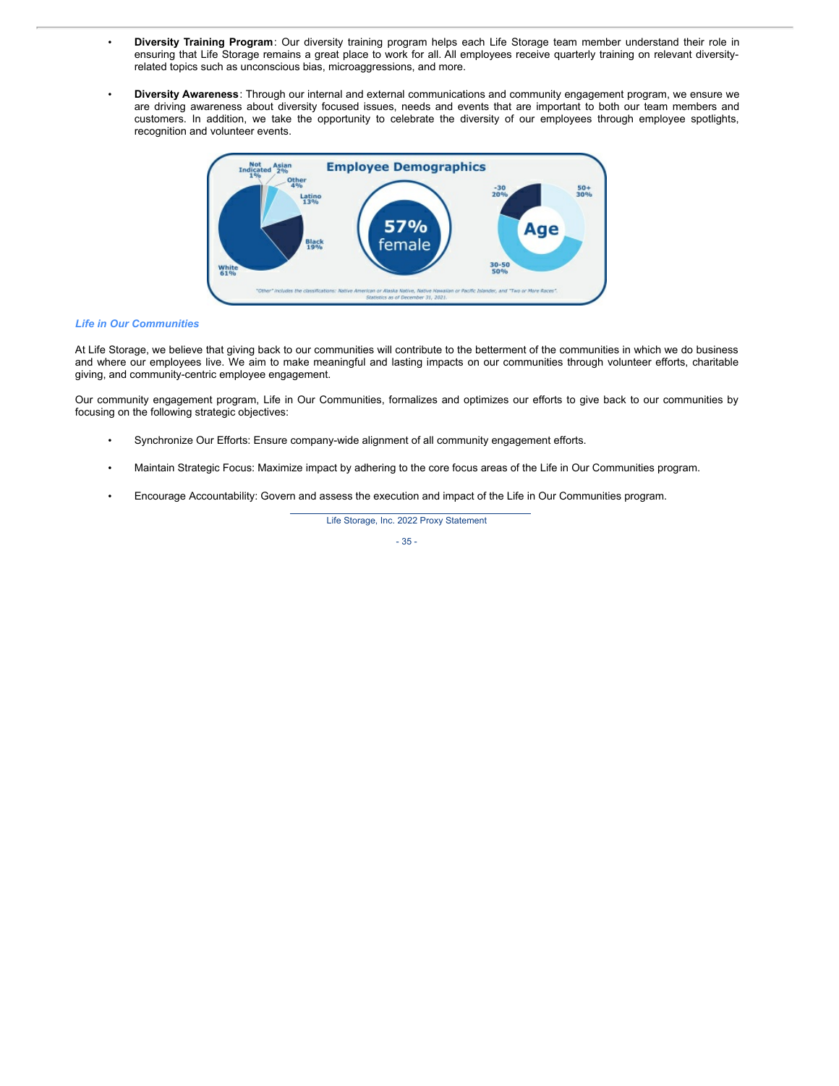- **Diversity Training Program**: Our diversity training program helps each Life Storage team member understand their role in ensuring that Life Storage remains a great place to work for all. All employees receive quarterly training on relevant diversityrelated topics such as unconscious bias, microaggressions, and more.
- **Diversity Awareness**: Through our internal and external communications and community engagement program, we ensure we are driving awareness about diversity focused issues, needs and events that are important to both our team members and customers. In addition, we take the opportunity to celebrate the diversity of our employees through employee spotlights, recognition and volunteer events.



#### *Life in Our Communities*

At Life Storage, we believe that giving back to our communities will contribute to the betterment of the communities in which we do business and where our employees live. We aim to make meaningful and lasting impacts on our communities through volunteer efforts, charitable giving, and community-centric employee engagement.

Our community engagement program, Life in Our Communities, formalizes and optimizes our efforts to give back to our communities by focusing on the following strategic objectives:

- Synchronize Our Efforts: Ensure company-wide alignment of all community engagement efforts.
- Maintain Strategic Focus: Maximize impact by adhering to the core focus areas of the Life in Our Communities program.
- Encourage Accountability: Govern and assess the execution and impact of the Life in Our Communities program.

Life Storage, Inc. 2022 Proxy Statement

- 35 -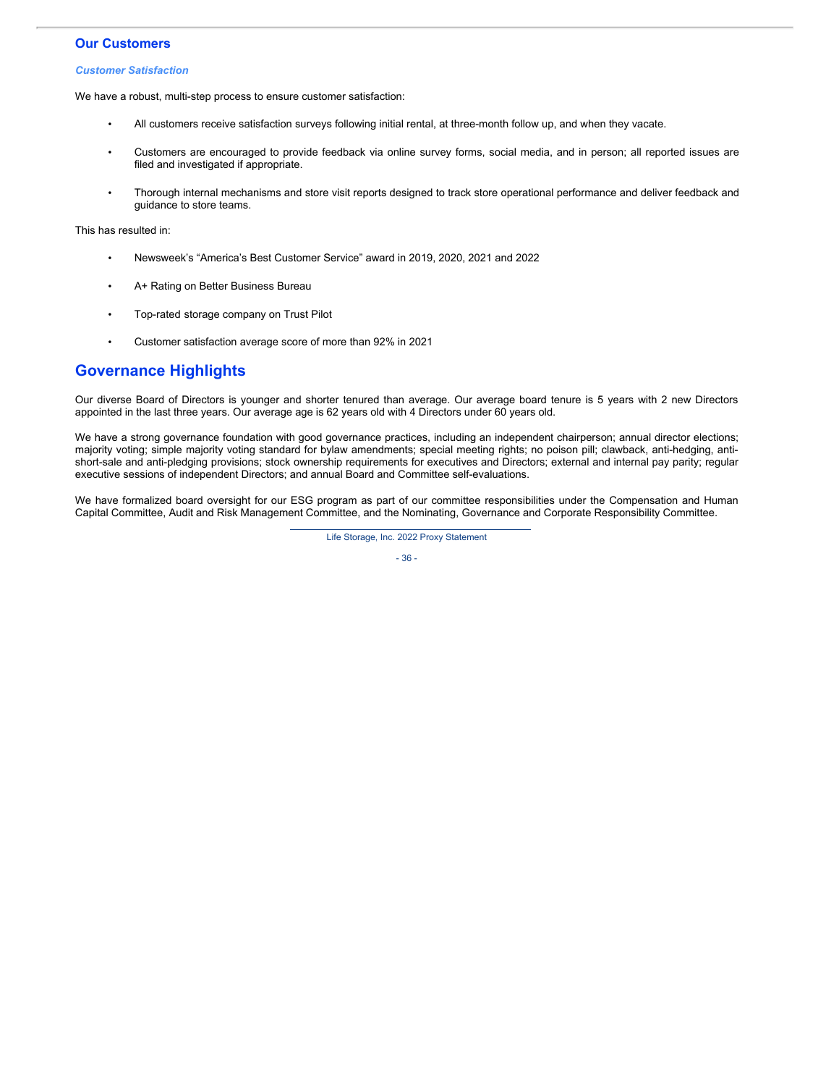### **Our Customers**

#### *Customer Satisfaction*

We have a robust, multi-step process to ensure customer satisfaction:

- All customers receive satisfaction surveys following initial rental, at three-month follow up, and when they vacate.
- Customers are encouraged to provide feedback via online survey forms, social media, and in person; all reported issues are filed and investigated if appropriate.
- Thorough internal mechanisms and store visit reports designed to track store operational performance and deliver feedback and guidance to store teams.

This has resulted in:

- Newsweek's "America's Best Customer Service" award in 2019, 2020, 2021 and 2022
- A+ Rating on Better Business Bureau
- Top-rated storage company on Trust Pilot
- Customer satisfaction average score of more than 92% in 2021

## **Governance Highlights**

Our diverse Board of Directors is younger and shorter tenured than average. Our average board tenure is 5 years with 2 new Directors appointed in the last three years. Our average age is 62 years old with 4 Directors under 60 years old.

We have a strong governance foundation with good governance practices, including an independent chairperson; annual director elections; majority voting; simple majority voting standard for bylaw amendments; special meeting rights; no poison pill; clawback, anti-hedging, antishort-sale and anti-pledging provisions; stock ownership requirements for executives and Directors; external and internal pay parity; regular executive sessions of independent Directors; and annual Board and Committee self-evaluations.

We have formalized board oversight for our ESG program as part of our committee responsibilities under the Compensation and Human Capital Committee, Audit and Risk Management Committee, and the Nominating, Governance and Corporate Responsibility Committee.

Life Storage, Inc. 2022 Proxy Statement

- 36 -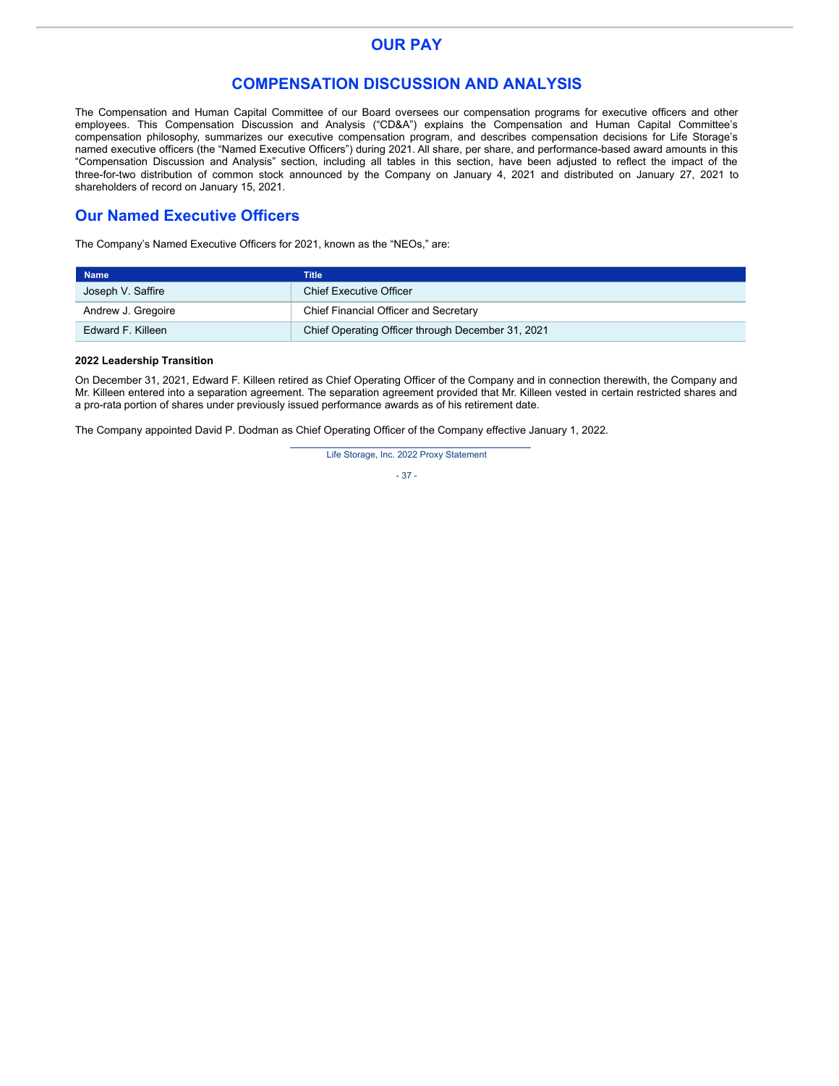## **OUR PAY**

## **COMPENSATION DISCUSSION AND ANALYSIS**

The Compensation and Human Capital Committee of our Board oversees our compensation programs for executive officers and other employees. This Compensation Discussion and Analysis ("CD&A") explains the Compensation and Human Capital Committee's compensation philosophy, summarizes our executive compensation program, and describes compensation decisions for Life Storage's named executive officers (the "Named Executive Officers") during 2021. All share, per share, and performance-based award amounts in this "Compensation Discussion and Analysis" section, including all tables in this section, have been adjusted to reflect the impact of the three-for-two distribution of common stock announced by the Company on January 4, 2021 and distributed on January 27, 2021 to shareholders of record on January 15, 2021.

# **Our Named Executive Officers**

The Company's Named Executive Officers for 2021, known as the "NEOs," are:

| <b>Name</b>        | Title                                             |
|--------------------|---------------------------------------------------|
| Joseph V. Saffire  | <b>Chief Executive Officer</b>                    |
| Andrew J. Gregoire | Chief Financial Officer and Secretary             |
| Edward F. Killeen  | Chief Operating Officer through December 31, 2021 |

### **2022 Leadership Transition**

On December 31, 2021, Edward F. Killeen retired as Chief Operating Officer of the Company and in connection therewith, the Company and Mr. Killeen entered into a separation agreement. The separation agreement provided that Mr. Killeen vested in certain restricted shares and a pro-rata portion of shares under previously issued performance awards as of his retirement date.

The Company appointed David P. Dodman as Chief Operating Officer of the Company effective January 1, 2022.

Life Storage, Inc. 2022 Proxy Statement

- 37 -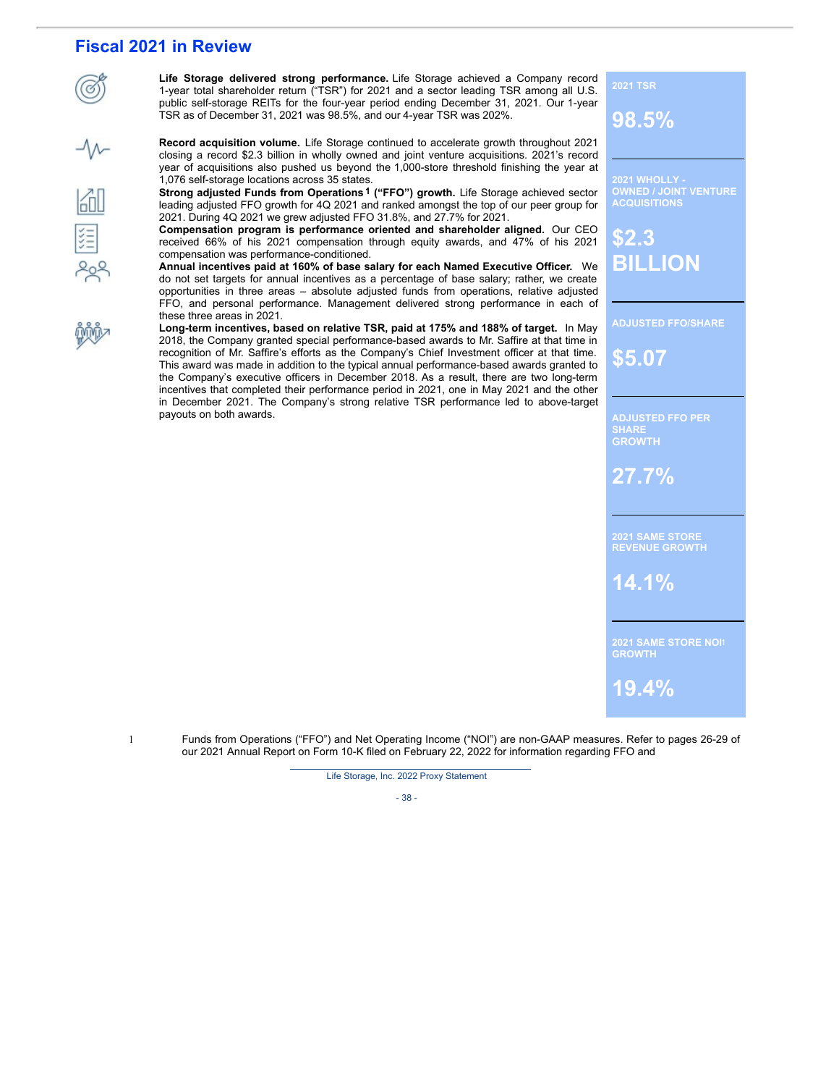# **Fiscal 2021 in Review**

**Life Storage delivered strong performance.** Life Storage achieved a Company record 1-year total shareholder return ("TSR") for 2021 and a sector leading TSR among all U.S. public self-storage REITs for the four-year period ending December 31, 2021. Our 1-year TSR as of December 31, 2021 was 98.5%, and our 4-year TSR was 202%.

**Record acquisition volume.** Life Storage continued to accelerate growth throughout 2021 closing a record \$2.3 billion in wholly owned and joint venture acquisitions. 2021's record year of acquisitions also pushed us beyond the 1,000-store threshold finishing the year at 1,076 self-storage locations across 35 states.

**Strong adjusted Funds from Operations 1 ("FFO") growth.** Life Storage achieved sector leading adjusted FFO growth for 4Q 2021 and ranked amongst the top of our peer group for 2021. During 4Q 2021 we grew adjusted FFO 31.8%, and 27.7% for 2021.

**Compensation program is performance oriented and shareholder aligned.** Our CEO received 66% of his 2021 compensation through equity awards, and 47% of his 2021 compensation was performance-conditioned.

**Annual incentives paid at 160% of base salary for each Named Executive Officer.** We do not set targets for annual incentives as a percentage of base salary; rather, we create opportunities in three areas – absolute adjusted funds from operations, relative adjusted FFO, and personal performance. Management delivered strong performance in each of these three areas in 2021.

**Long-term incentives, based on relative TSR, paid at 175% and 188% of target.** In May 2018, the Company granted special performance-based awards to Mr. Saffire at that time in recognition of Mr. Saffire's efforts as the Company's Chief Investment officer at that time. This award was made in addition to the typical annual performance-based awards granted to the Company's executive officers in December 2018. As a result, there are two long-term incentives that completed their performance period in 2021, one in May 2021 and the other in December 2021. The Company's strong relative TSR performance led to above-target payouts on both awards.

**2021 WHOLLY - OWNED / JOINT VENTURE ACQUISITIONS**

**\$2.3 BILLION**

**2021 TSR**

**98.5%**

**ADJUSTED FFO/SHARE**

**\$5.07**

**SHARE GROWTH**

**27.7%**

**2021 SAME STORE REVENUE GROWTH**

**14.1%**

**2021 SAME STORE NOI**1 **GROWTH**

**19.4%**

1 Funds from Operations ("FFO") and Net Operating Income ("NOI") are non-GAAP measures. Refer to pages 26-29 of our 2021 Annual Report on Form 10-K filed on February 22, 2022 for information regarding FFO and

Life Storage, Inc. 2022 Proxy Statement

- 38 -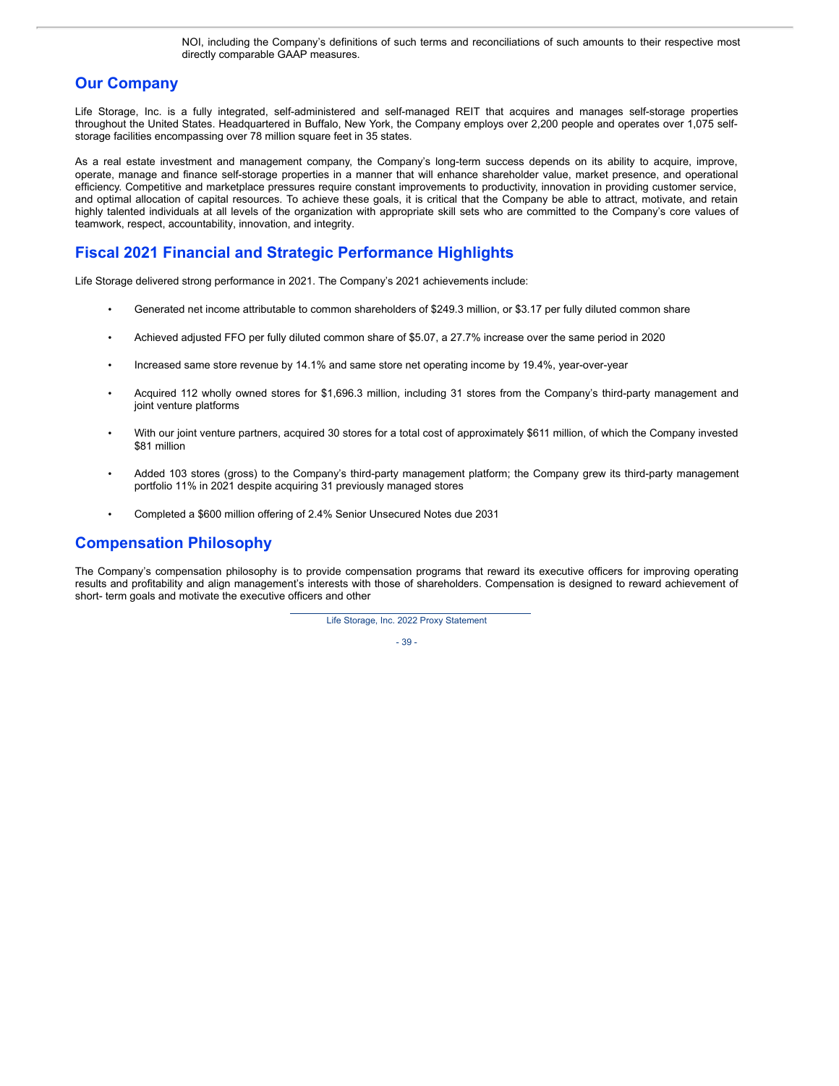NOI, including the Company's definitions of such terms and reconciliations of such amounts to their respective most directly comparable GAAP measures.

# **Our Company**

Life Storage, Inc. is a fully integrated, self-administered and self-managed REIT that acquires and manages self-storage properties throughout the United States. Headquartered in Buffalo, New York, the Company employs over 2,200 people and operates over 1,075 selfstorage facilities encompassing over 78 million square feet in 35 states.

As a real estate investment and management company, the Company's long-term success depends on its ability to acquire, improve, operate, manage and finance self-storage properties in a manner that will enhance shareholder value, market presence, and operational efficiency. Competitive and marketplace pressures require constant improvements to productivity, innovation in providing customer service, and optimal allocation of capital resources. To achieve these goals, it is critical that the Company be able to attract, motivate, and retain highly talented individuals at all levels of the organization with appropriate skill sets who are committed to the Company's core values of teamwork, respect, accountability, innovation, and integrity.

# **Fiscal 2021 Financial and Strategic Performance Highlights**

Life Storage delivered strong performance in 2021. The Company's 2021 achievements include:

- Generated net income attributable to common shareholders of \$249.3 million, or \$3.17 per fully diluted common share
- Achieved adjusted FFO per fully diluted common share of \$5.07, a 27.7% increase over the same period in 2020
- Increased same store revenue by 14.1% and same store net operating income by 19.4%, year-over-year
- Acquired 112 wholly owned stores for \$1,696.3 million, including 31 stores from the Company's third-party management and joint venture platforms
- With our joint venture partners, acquired 30 stores for a total cost of approximately \$611 million, of which the Company invested \$81 million
- Added 103 stores (gross) to the Company's third-party management platform; the Company grew its third-party management portfolio 11% in 2021 despite acquiring 31 previously managed stores
- Completed a \$600 million offering of 2.4% Senior Unsecured Notes due 2031

## **Compensation Philosophy**

The Company's compensation philosophy is to provide compensation programs that reward its executive officers for improving operating results and profitability and align management's interests with those of shareholders. Compensation is designed to reward achievement of short- term goals and motivate the executive officers and other

Life Storage, Inc. 2022 Proxy Statement

- 39 -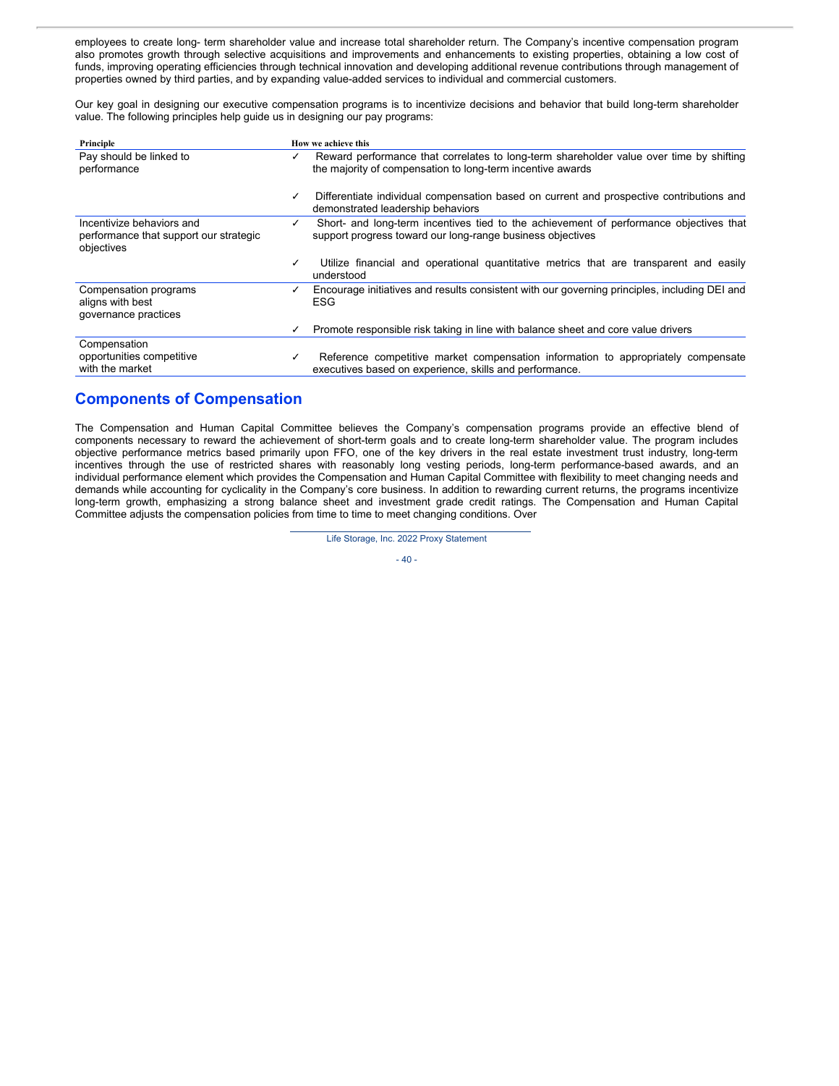employees to create long- term shareholder value and increase total shareholder return. The Company's incentive compensation program also promotes growth through selective acquisitions and improvements and enhancements to existing properties, obtaining a low cost of funds, improving operating efficiencies through technical innovation and developing additional revenue contributions through management of properties owned by third parties, and by expanding value-added services to individual and commercial customers.

Our key goal in designing our executive compensation programs is to incentivize decisions and behavior that build long-term shareholder value. The following principles help guide us in designing our pay programs:

| Principle                                                                         | How we achieve this                                                                                                                                        |
|-----------------------------------------------------------------------------------|------------------------------------------------------------------------------------------------------------------------------------------------------------|
| Pay should be linked to<br>performance                                            | Reward performance that correlates to long-term shareholder value over time by shifting<br>✓<br>the majority of compensation to long-term incentive awards |
|                                                                                   | Differentiate individual compensation based on current and prospective contributions and<br>✓<br>demonstrated leadership behaviors                         |
| Incentivize behaviors and<br>performance that support our strategic<br>objectives | Short- and long-term incentives tied to the achievement of performance objectives that<br>✓<br>support progress toward our long-range business objectives  |
|                                                                                   | Utilize financial and operational quantitative metrics that are transparent and easily<br>✓<br>understood                                                  |
| Compensation programs<br>aligns with best<br>governance practices                 | Encourage initiatives and results consistent with our governing principles, including DEI and<br><b>ESG</b>                                                |
|                                                                                   | Promote responsible risk taking in line with balance sheet and core value drivers<br>✓                                                                     |
| Compensation<br>opportunities competitive<br>with the market                      | Reference competitive market compensation information to appropriately compensate<br>✓<br>executives based on experience, skills and performance.          |

# **Components of Compensation**

The Compensation and Human Capital Committee believes the Company's compensation programs provide an effective blend of components necessary to reward the achievement of short-term goals and to create long-term shareholder value. The program includes objective performance metrics based primarily upon FFO, one of the key drivers in the real estate investment trust industry, long-term incentives through the use of restricted shares with reasonably long vesting periods, long-term performance-based awards, and an individual performance element which provides the Compensation and Human Capital Committee with flexibility to meet changing needs and demands while accounting for cyclicality in the Company's core business. In addition to rewarding current returns, the programs incentivize long-term growth, emphasizing a strong balance sheet and investment grade credit ratings. The Compensation and Human Capital Committee adjusts the compensation policies from time to time to meet changing conditions. Over

Life Storage, Inc. 2022 Proxy Statement

$$
-40
$$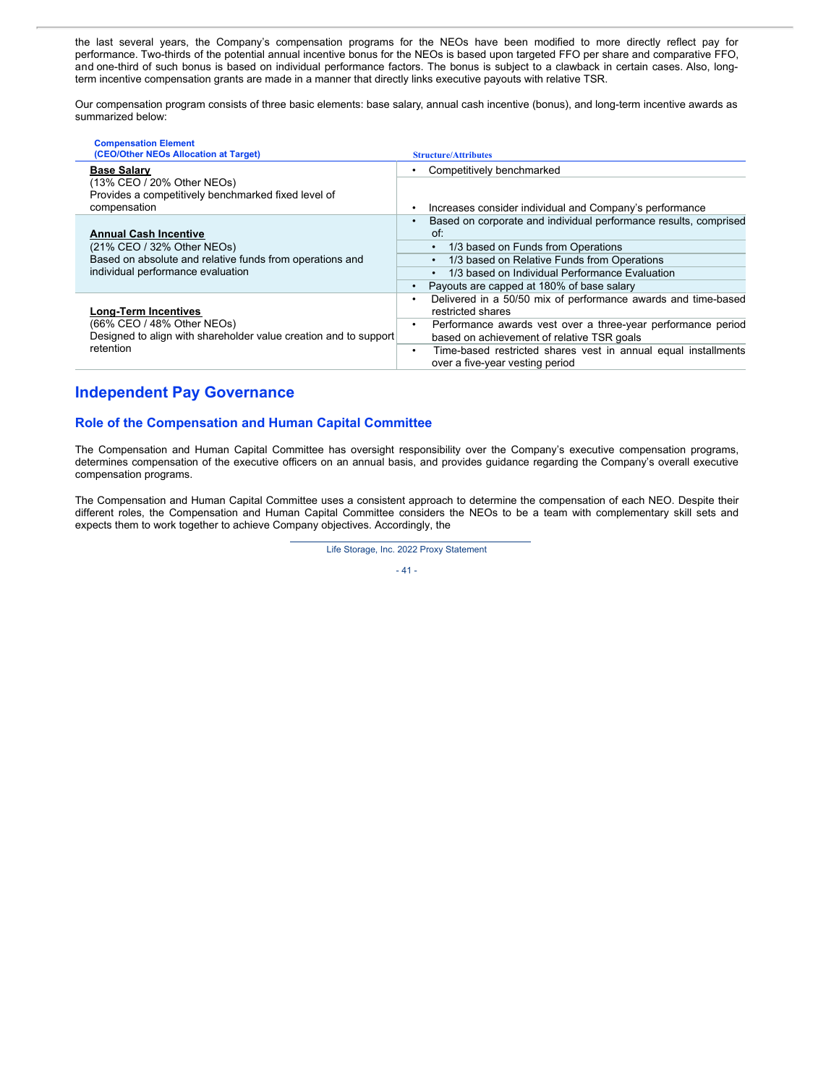the last several years, the Company's compensation programs for the NEOs have been modified to more directly reflect pay for performance. Two-thirds of the potential annual incentive bonus for the NEOs is based upon targeted FFO per share and comparative FFO, and one-third of such bonus is based on individual performance factors. The bonus is subject to a clawback in certain cases. Also, longterm incentive compensation grants are made in a manner that directly links executive payouts with relative TSR.

Our compensation program consists of three basic elements: base salary, annual cash incentive (bonus), and long-term incentive awards as summarized below:

| <b>Compensation Element</b><br>(CEO/Other NEOs Allocation at Target)                                        | <b>Structure/Attributes</b>                                                                                    |
|-------------------------------------------------------------------------------------------------------------|----------------------------------------------------------------------------------------------------------------|
| <b>Base Salary</b>                                                                                          | Competitively benchmarked                                                                                      |
| (13% CEO / 20% Other NEOs)<br>Provides a competitively benchmarked fixed level of<br>compensation           | Increases consider individual and Company's performance<br>٠                                                   |
| <b>Annual Cash Incentive</b><br>(21% CEO / 32% Other NEOs)                                                  | Based on corporate and individual performance results, comprised<br>$\bullet$<br>of:                           |
|                                                                                                             | 1/3 based on Funds from Operations<br>$\bullet$                                                                |
| Based on absolute and relative funds from operations and                                                    | 1/3 based on Relative Funds from Operations<br>$\bullet$                                                       |
| individual performance evaluation                                                                           | 1/3 based on Individual Performance Evaluation<br>$\bullet$                                                    |
|                                                                                                             | Payouts are capped at 180% of base salary<br>$\bullet$                                                         |
| <b>Long-Term Incentives</b>                                                                                 | Delivered in a 50/50 mix of performance awards and time-based<br>٠<br>restricted shares                        |
| (66% CEO / 48% Other NEOs)<br>Designed to align with shareholder value creation and to support<br>retention | Performance awards vest over a three-year performance period<br>٠                                              |
|                                                                                                             | based on achievement of relative TSR goals                                                                     |
|                                                                                                             | Time-based restricted shares vest in annual equal installments<br>$\bullet$<br>over a five-year vesting period |

## **Independent Pay Governance**

### **Role of the Compensation and Human Capital Committee**

The Compensation and Human Capital Committee has oversight responsibility over the Company's executive compensation programs, determines compensation of the executive officers on an annual basis, and provides guidance regarding the Company's overall executive compensation programs.

The Compensation and Human Capital Committee uses a consistent approach to determine the compensation of each NEO. Despite their different roles, the Compensation and Human Capital Committee considers the NEOs to be a team with complementary skill sets and expects them to work together to achieve Company objectives. Accordingly, the

Life Storage, Inc. 2022 Proxy Statement

 $-41 -$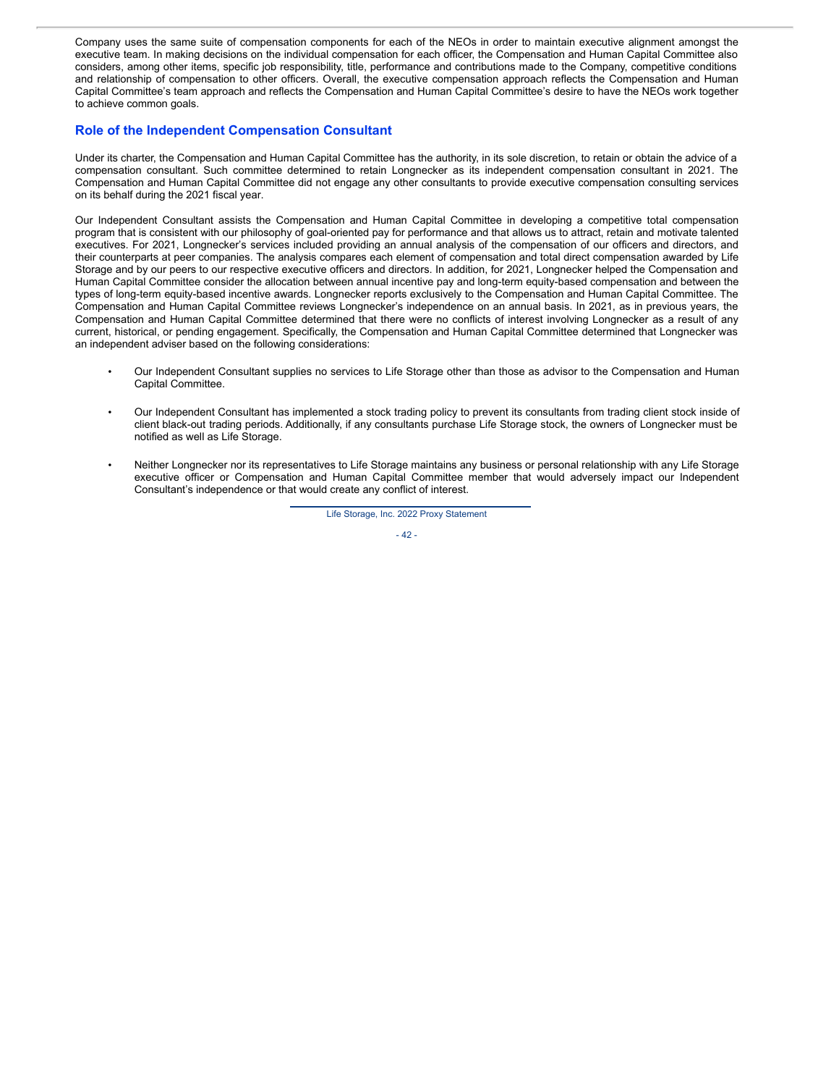Company uses the same suite of compensation components for each of the NEOs in order to maintain executive alignment amongst the executive team. In making decisions on the individual compensation for each officer, the Compensation and Human Capital Committee also considers, among other items, specific job responsibility, title, performance and contributions made to the Company, competitive conditions and relationship of compensation to other officers. Overall, the executive compensation approach reflects the Compensation and Human Capital Committee's team approach and reflects the Compensation and Human Capital Committee's desire to have the NEOs work together to achieve common goals.

### **Role of the Independent Compensation Consultant**

Under its charter, the Compensation and Human Capital Committee has the authority, in its sole discretion, to retain or obtain the advice of a compensation consultant. Such committee determined to retain Longnecker as its independent compensation consultant in 2021. The Compensation and Human Capital Committee did not engage any other consultants to provide executive compensation consulting services on its behalf during the 2021 fiscal year.

Our Independent Consultant assists the Compensation and Human Capital Committee in developing a competitive total compensation program that is consistent with our philosophy of goal-oriented pay for performance and that allows us to attract, retain and motivate talented executives. For 2021, Longnecker's services included providing an annual analysis of the compensation of our officers and directors, and their counterparts at peer companies. The analysis compares each element of compensation and total direct compensation awarded by Life Storage and by our peers to our respective executive officers and directors. In addition, for 2021, Longnecker helped the Compensation and Human Capital Committee consider the allocation between annual incentive pay and long-term equity-based compensation and between the types of long-term equity-based incentive awards. Longnecker reports exclusively to the Compensation and Human Capital Committee. The Compensation and Human Capital Committee reviews Longnecker's independence on an annual basis. In 2021, as in previous years, the Compensation and Human Capital Committee determined that there were no conflicts of interest involving Longnecker as a result of any current, historical, or pending engagement. Specifically, the Compensation and Human Capital Committee determined that Longnecker was an independent adviser based on the following considerations:

- Our Independent Consultant supplies no services to Life Storage other than those as advisor to the Compensation and Human Capital Committee.
- Our Independent Consultant has implemented a stock trading policy to prevent its consultants from trading client stock inside of client black-out trading periods. Additionally, if any consultants purchase Life Storage stock, the owners of Longnecker must be notified as well as Life Storage.
- Neither Longnecker nor its representatives to Life Storage maintains any business or personal relationship with any Life Storage executive officer or Compensation and Human Capital Committee member that would adversely impact our Independent Consultant's independence or that would create any conflict of interest.

Life Storage, Inc. 2022 Proxy Statement

- 42 -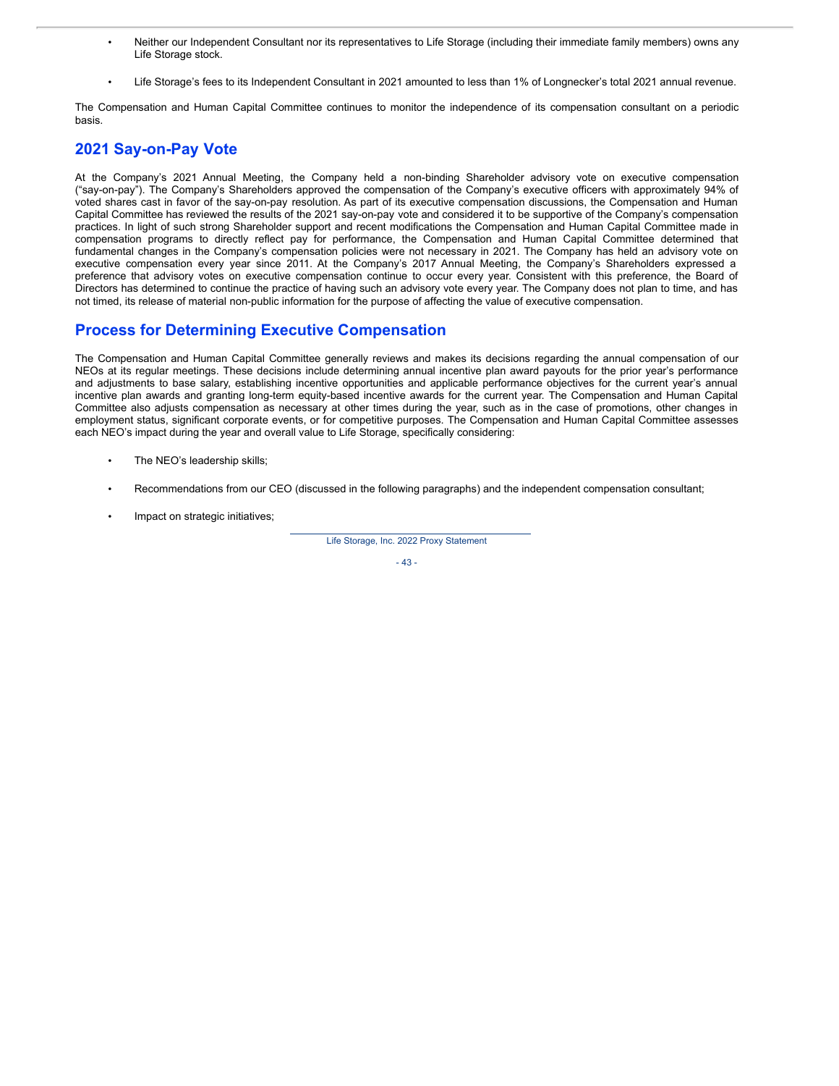- Neither our Independent Consultant nor its representatives to Life Storage (including their immediate family members) owns any Life Storage stock.
- Life Storage's fees to its Independent Consultant in 2021 amounted to less than 1% of Longnecker's total 2021 annual revenue.

The Compensation and Human Capital Committee continues to monitor the independence of its compensation consultant on a periodic basis.

# **2021 Say-on-Pay Vote**

At the Company's 2021 Annual Meeting, the Company held a non-binding Shareholder advisory vote on executive compensation ("say-on-pay"). The Company's Shareholders approved the compensation of the Company's executive officers with approximately 94% of voted shares cast in favor of the say-on-pay resolution. As part of its executive compensation discussions, the Compensation and Human Capital Committee has reviewed the results of the 2021 say-on-pay vote and considered it to be supportive of the Company's compensation practices. In light of such strong Shareholder support and recent modifications the Compensation and Human Capital Committee made in compensation programs to directly reflect pay for performance, the Compensation and Human Capital Committee determined that fundamental changes in the Company's compensation policies were not necessary in 2021. The Company has held an advisory vote on executive compensation every year since 2011. At the Company's 2017 Annual Meeting, the Company's Shareholders expressed a preference that advisory votes on executive compensation continue to occur every year. Consistent with this preference, the Board of Directors has determined to continue the practice of having such an advisory vote every year. The Company does not plan to time, and has not timed, its release of material non-public information for the purpose of affecting the value of executive compensation.

## **Process for Determining Executive Compensation**

The Compensation and Human Capital Committee generally reviews and makes its decisions regarding the annual compensation of our NEOs at its regular meetings. These decisions include determining annual incentive plan award payouts for the prior year's performance and adjustments to base salary, establishing incentive opportunities and applicable performance objectives for the current year's annual incentive plan awards and granting long-term equity-based incentive awards for the current year. The Compensation and Human Capital Committee also adjusts compensation as necessary at other times during the year, such as in the case of promotions, other changes in employment status, significant corporate events, or for competitive purposes. The Compensation and Human Capital Committee assesses each NEO's impact during the year and overall value to Life Storage, specifically considering:

- The NEO's leadership skills;
- Recommendations from our CEO (discussed in the following paragraphs) and the independent compensation consultant;
- Impact on strategic initiatives;

Life Storage, Inc. 2022 Proxy Statement

- 43 -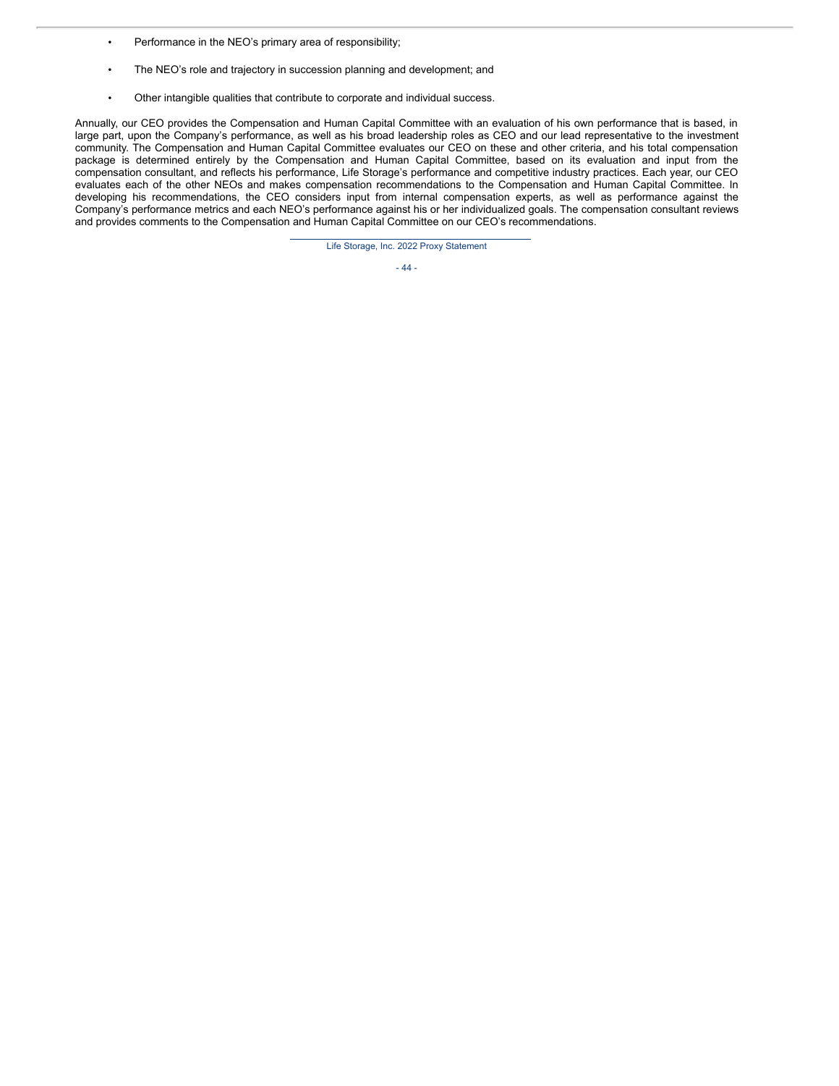- Performance in the NEO's primary area of responsibility;
- The NEO's role and trajectory in succession planning and development; and
- Other intangible qualities that contribute to corporate and individual success.

Annually, our CEO provides the Compensation and Human Capital Committee with an evaluation of his own performance that is based, in large part, upon the Company's performance, as well as his broad leadership roles as CEO and our lead representative to the investment community. The Compensation and Human Capital Committee evaluates our CEO on these and other criteria, and his total compensation package is determined entirely by the Compensation and Human Capital Committee, based on its evaluation and input from the compensation consultant, and reflects his performance, Life Storage's performance and competitive industry practices. Each year, our CEO evaluates each of the other NEOs and makes compensation recommendations to the Compensation and Human Capital Committee. In developing his recommendations, the CEO considers input from internal compensation experts, as well as performance against the Company's performance metrics and each NEO's performance against his or her individualized goals. The compensation consultant reviews and provides comments to the Compensation and Human Capital Committee on our CEO's recommendations.

Life Storage, Inc. 2022 Proxy Statement

### - 44 -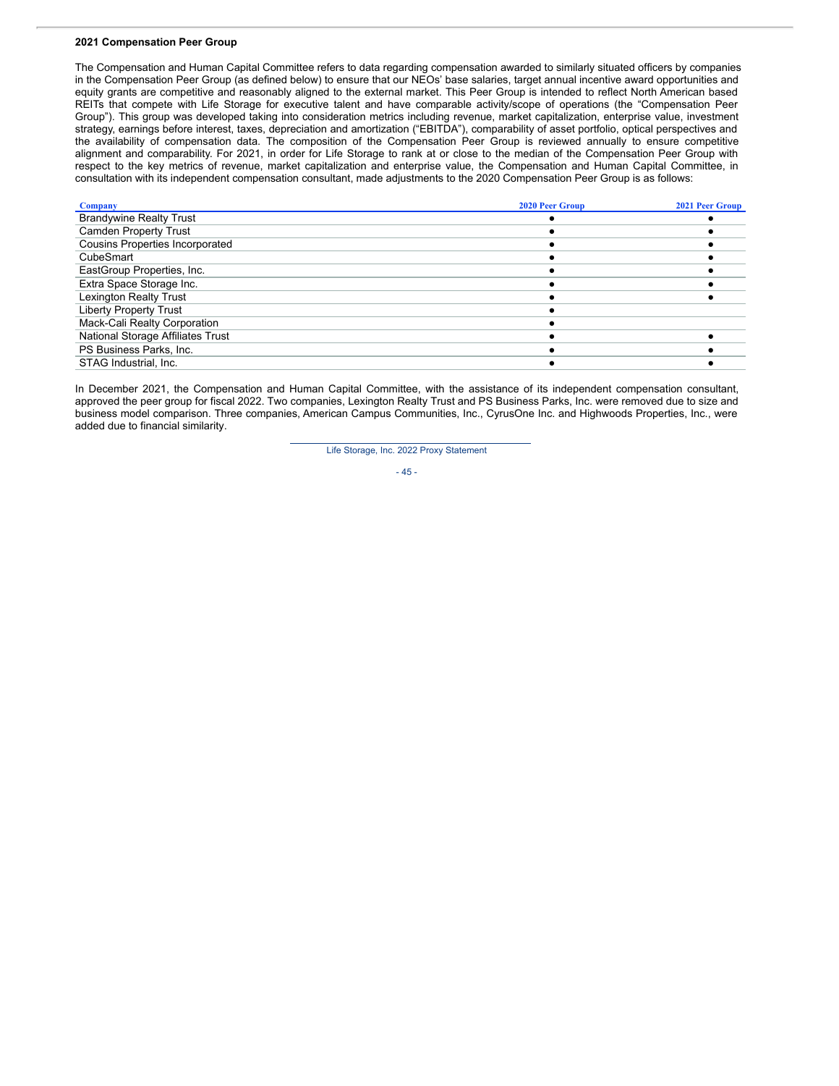#### **2021 Compensation Peer Group**

The Compensation and Human Capital Committee refers to data regarding compensation awarded to similarly situated officers by companies in the Compensation Peer Group (as defined below) to ensure that our NEOs' base salaries, target annual incentive award opportunities and equity grants are competitive and reasonably aligned to the external market. This Peer Group is intended to reflect North American based REITs that compete with Life Storage for executive talent and have comparable activity/scope of operations (the "Compensation Peer Group"). This group was developed taking into consideration metrics including revenue, market capitalization, enterprise value, investment strategy, earnings before interest, taxes, depreciation and amortization ("EBITDA"), comparability of asset portfolio, optical perspectives and the availability of compensation data. The composition of the Compensation Peer Group is reviewed annually to ensure competitive alignment and comparability. For 2021, in order for Life Storage to rank at or close to the median of the Compensation Peer Group with respect to the key metrics of revenue, market capitalization and enterprise value, the Compensation and Human Capital Committee, in consultation with its independent compensation consultant, made adjustments to the 2020 Compensation Peer Group is as follows:

| <b>Company</b>                         | <b>2020 Peer Group</b> | <b>2021 Peer Group</b> |
|----------------------------------------|------------------------|------------------------|
| <b>Brandywine Realty Trust</b>         |                        |                        |
| <b>Camden Property Trust</b>           |                        |                        |
| <b>Cousins Properties Incorporated</b> |                        |                        |
| CubeSmart                              |                        |                        |
| EastGroup Properties, Inc.             |                        |                        |
| Extra Space Storage Inc.               |                        |                        |
| <b>Lexington Realty Trust</b>          |                        |                        |
| <b>Liberty Property Trust</b>          |                        |                        |
| Mack-Cali Realty Corporation           |                        |                        |
| National Storage Affiliates Trust      |                        |                        |
| PS Business Parks, Inc.                |                        |                        |
| STAG Industrial, Inc.                  |                        |                        |

In December 2021, the Compensation and Human Capital Committee, with the assistance of its independent compensation consultant, approved the peer group for fiscal 2022. Two companies, Lexington Realty Trust and PS Business Parks, Inc. were removed due to size and business model comparison. Three companies, American Campus Communities, Inc., CyrusOne Inc. and Highwoods Properties, Inc., were added due to financial similarity.

Life Storage, Inc. 2022 Proxy Statement

- 45 -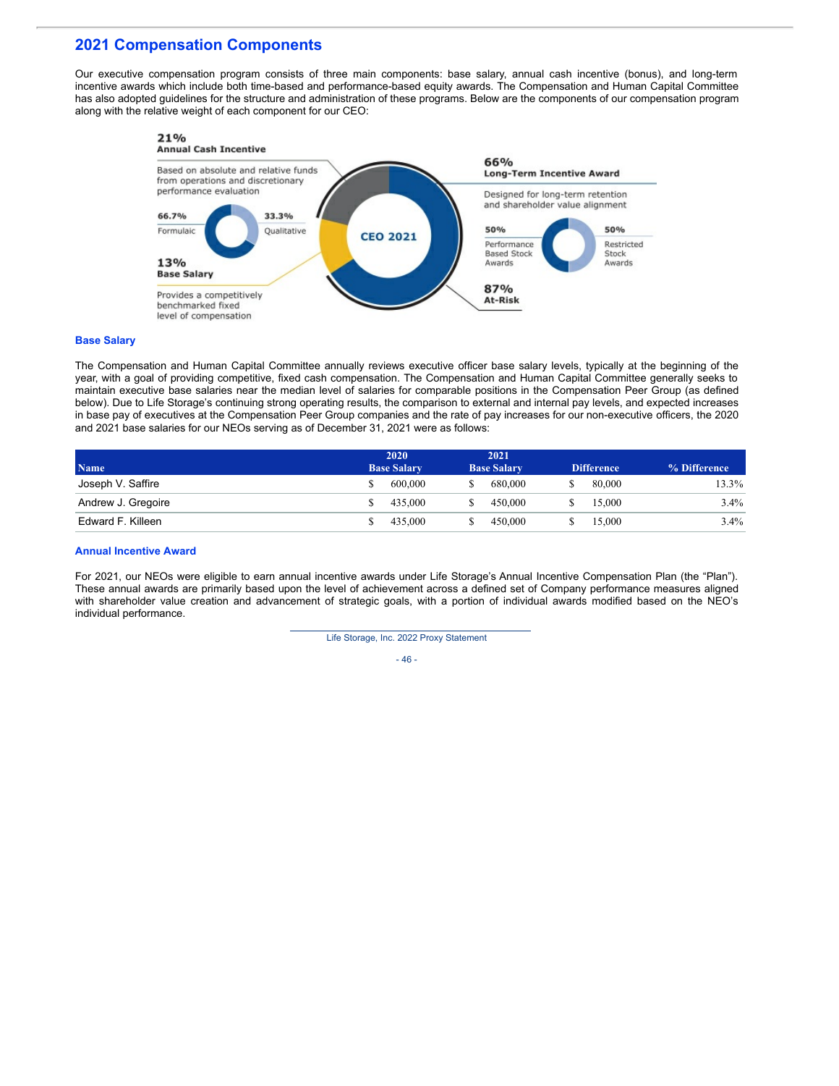## **2021 Compensation Components**

Our executive compensation program consists of three main components: base salary, annual cash incentive (bonus), and long-term incentive awards which include both time-based and performance-based equity awards. The Compensation and Human Capital Committee has also adopted guidelines for the structure and administration of these programs. Below are the components of our compensation program along with the relative weight of each component for our CEO:



#### **Base Salary**

The Compensation and Human Capital Committee annually reviews executive officer base salary levels, typically at the beginning of the year, with a goal of providing competitive, fixed cash compensation. The Compensation and Human Capital Committee generally seeks to maintain executive base salaries near the median level of salaries for comparable positions in the Compensation Peer Group (as defined below). Due to Life Storage's continuing strong operating results, the comparison to external and internal pay levels, and expected increases in base pay of executives at the Compensation Peer Group companies and the rate of pay increases for our non-executive officers, the 2020 and 2021 base salaries for our NEOs serving as of December 31, 2021 were as follows:

|                    | 2020               | 2021               |                   |              |
|--------------------|--------------------|--------------------|-------------------|--------------|
| <b>Name</b>        | <b>Base Salary</b> | <b>Base Salary</b> | <b>Difference</b> | % Difference |
| Joseph V. Saffire  | 600,000            | 680,000            | 80,000            | 13.3%        |
| Andrew J. Gregoire | 435.000            | 450.000            | 15,000            | $3.4\%$      |
| Edward F. Killeen  | 435.000            | 450.000            | 15,000            | $3.4\%$      |

#### **Annual Incentive Award**

For 2021, our NEOs were eligible to earn annual incentive awards under Life Storage's Annual Incentive Compensation Plan (the "Plan"). These annual awards are primarily based upon the level of achievement across a defined set of Company performance measures aligned with shareholder value creation and advancement of strategic goals, with a portion of individual awards modified based on the NEO's individual performance.

Life Storage, Inc. 2022 Proxy Statement

- 46 -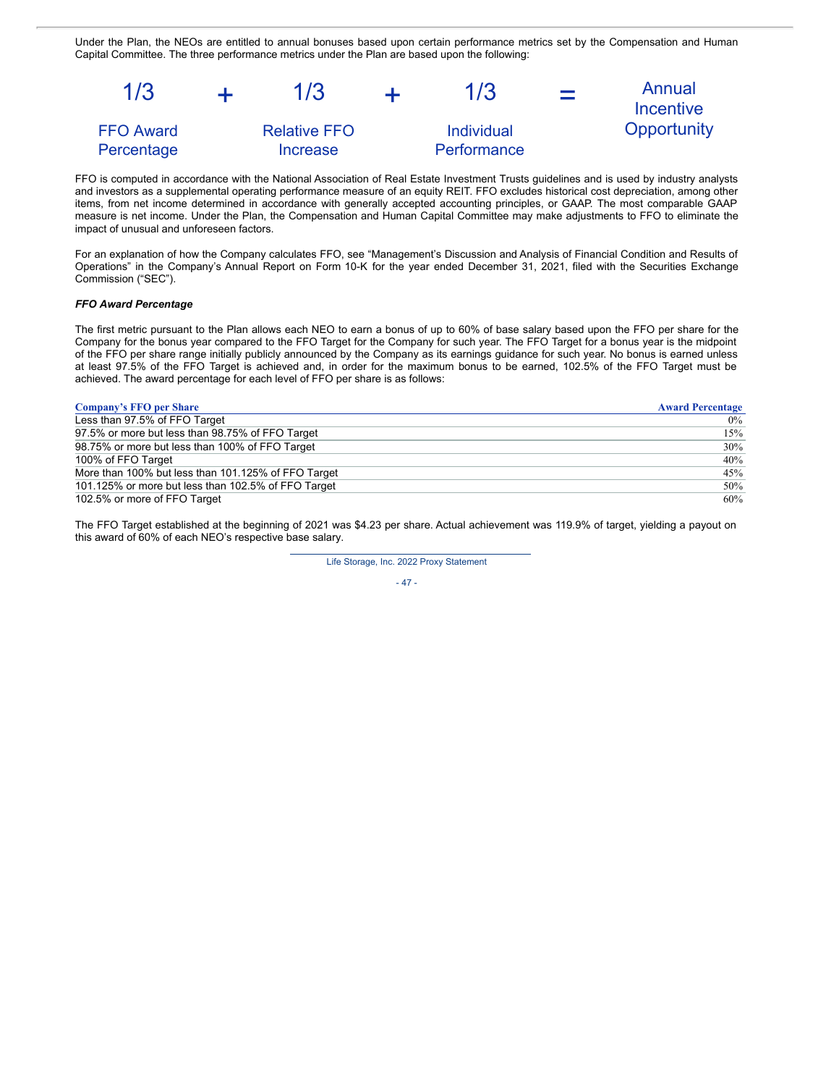Under the Plan, the NEOs are entitled to annual bonuses based upon certain performance metrics set by the Compensation and Human Capital Committee. The three performance metrics under the Plan are based upon the following:



FFO is computed in accordance with the National Association of Real Estate Investment Trusts guidelines and is used by industry analysts and investors as a supplemental operating performance measure of an equity REIT. FFO excludes historical cost depreciation, among other items, from net income determined in accordance with generally accepted accounting principles, or GAAP. The most comparable GAAP measure is net income. Under the Plan, the Compensation and Human Capital Committee may make adjustments to FFO to eliminate the impact of unusual and unforeseen factors.

For an explanation of how the Company calculates FFO, see "Management's Discussion and Analysis of Financial Condition and Results of Operations" in the Company's Annual Report on Form 10-K for the year ended December 31, 2021, filed with the Securities Exchange Commission ("SEC").

#### *FFO Award Percentage*

The first metric pursuant to the Plan allows each NEO to earn a bonus of up to 60% of base salary based upon the FFO per share for the Company for the bonus year compared to the FFO Target for the Company for such year. The FFO Target for a bonus year is the midpoint of the FFO per share range initially publicly announced by the Company as its earnings guidance for such year. No bonus is earned unless at least 97.5% of the FFO Target is achieved and, in order for the maximum bonus to be earned, 102.5% of the FFO Target must be achieved. The award percentage for each level of FFO per share is as follows:

| <b>Company's FFO per Share</b>                      | <b>Award Percentage</b> |
|-----------------------------------------------------|-------------------------|
| Less than 97.5% of FFO Target                       | $0\%$                   |
| 97.5% or more but less than 98.75% of FFO Target    | $15\%$                  |
| 98.75% or more but less than 100% of FFO Target     | $30\%$                  |
| 100% of FFO Target                                  | 40%                     |
| More than 100% but less than 101.125% of FFO Target | 45%                     |
| 101.125% or more but less than 102.5% of FFO Target | $50\%$                  |
| 102.5% or more of FFO Target                        | 60%                     |

The FFO Target established at the beginning of 2021 was \$4.23 per share. Actual achievement was 119.9% of target, yielding a payout on this award of 60% of each NEO's respective base salary.

Life Storage, Inc. 2022 Proxy Statement

- 47 -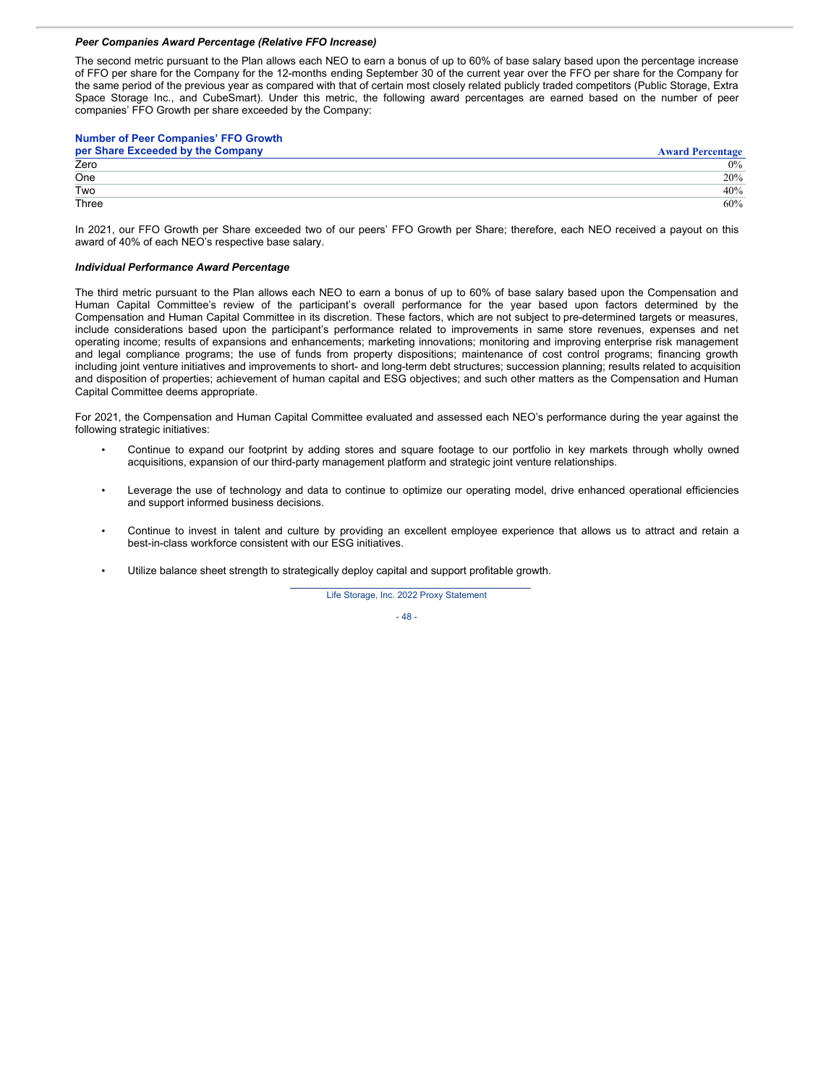#### *Peer Companies Award Percentage (Relative FFO Increase)*

The second metric pursuant to the Plan allows each NEO to earn a bonus of up to 60% of base salary based upon the percentage increase of FFO per share for the Company for the 12-months ending September 30 of the current year over the FFO per share for the Company for the same period of the previous year as compared with that of certain most closely related publicly traded competitors (Public Storage, Extra Space Storage Inc., and CubeSmart). Under this metric, the following award percentages are earned based on the number of peer companies' FFO Growth per share exceeded by the Company:

| <b>Number of Peer Companies' FFO Growth</b> |                         |
|---------------------------------------------|-------------------------|
| per Share Exceeded by the Company           | <b>Award Percentage</b> |
| Zero                                        | $0\%$                   |
| One                                         | 20%                     |
| Two                                         | 40%                     |
| Three                                       | 60%                     |

In 2021, our FFO Growth per Share exceeded two of our peers' FFO Growth per Share; therefore, each NEO received a payout on this award of 40% of each NEO's respective base salary.

#### *Individual Performance Award Percentage*

The third metric pursuant to the Plan allows each NEO to earn a bonus of up to 60% of base salary based upon the Compensation and Human Capital Committee's review of the participant's overall performance for the year based upon factors determined by the Compensation and Human Capital Committee in its discretion. These factors, which are not subject to pre-determined targets or measures, include considerations based upon the participant's performance related to improvements in same store revenues, expenses and net operating income; results of expansions and enhancements; marketing innovations; monitoring and improving enterprise risk management and legal compliance programs; the use of funds from property dispositions; maintenance of cost control programs; financing growth including joint venture initiatives and improvements to short- and long-term debt structures; succession planning; results related to acquisition and disposition of properties; achievement of human capital and ESG objectives; and such other matters as the Compensation and Human Capital Committee deems appropriate.

For 2021, the Compensation and Human Capital Committee evaluated and assessed each NEO's performance during the year against the following strategic initiatives:

- Continue to expand our footprint by adding stores and square footage to our portfolio in key markets through wholly owned acquisitions, expansion of our third-party management platform and strategic joint venture relationships.
- Leverage the use of technology and data to continue to optimize our operating model, drive enhanced operational efficiencies and support informed business decisions.
- Continue to invest in talent and culture by providing an excellent employee experience that allows us to attract and retain a best-in-class workforce consistent with our ESG initiatives.
- Utilize balance sheet strength to strategically deploy capital and support profitable growth.

Life Storage, Inc. 2022 Proxy Statement

- 48 -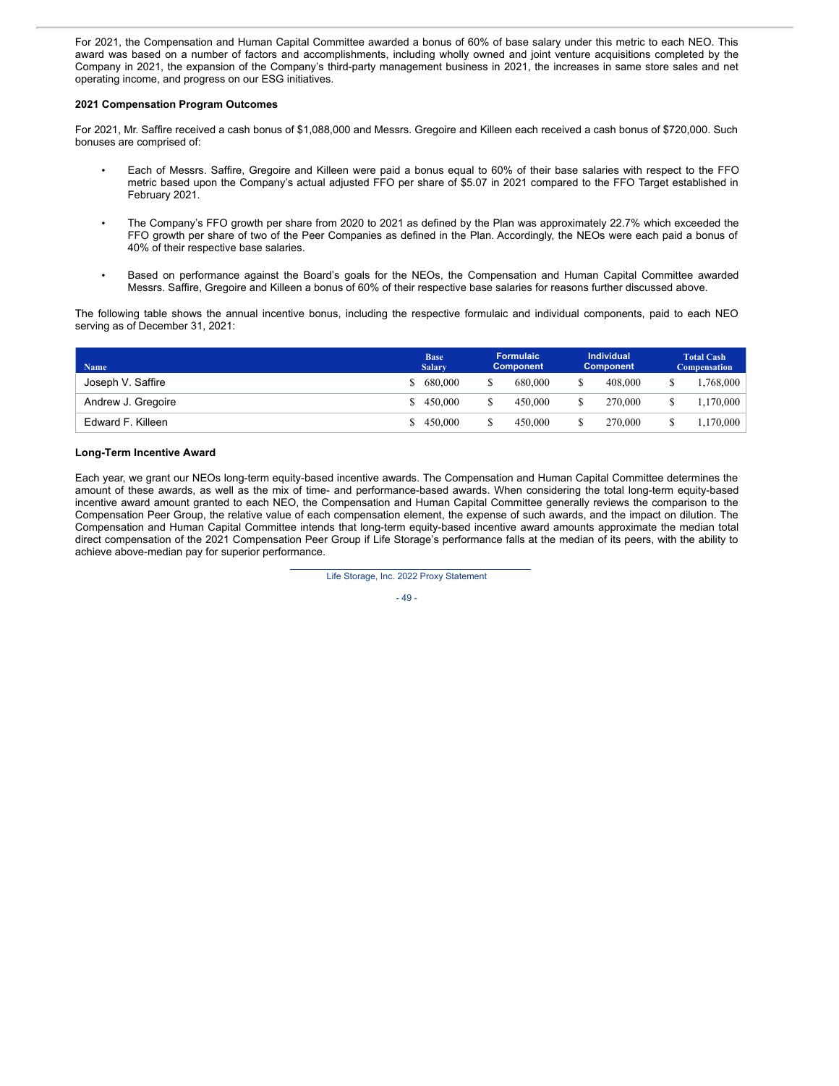For 2021, the Compensation and Human Capital Committee awarded a bonus of 60% of base salary under this metric to each NEO. This award was based on a number of factors and accomplishments, including wholly owned and joint venture acquisitions completed by the Company in 2021, the expansion of the Company's third-party management business in 2021, the increases in same store sales and net operating income, and progress on our ESG initiatives.

### **2021 Compensation Program Outcomes**

For 2021, Mr. Saffire received a cash bonus of \$1,088,000 and Messrs. Gregoire and Killeen each received a cash bonus of \$720,000. Such bonuses are comprised of:

- Each of Messrs. Saffire, Gregoire and Killeen were paid a bonus equal to 60% of their base salaries with respect to the FFO metric based upon the Company's actual adjusted FFO per share of \$5.07 in 2021 compared to the FFO Target established in February 2021.
- The Company's FFO growth per share from 2020 to 2021 as defined by the Plan was approximately 22.7% which exceeded the FFO growth per share of two of the Peer Companies as defined in the Plan. Accordingly, the NEOs were each paid a bonus of 40% of their respective base salaries.
- Based on performance against the Board's goals for the NEOs, the Compensation and Human Capital Committee awarded Messrs. Saffire, Gregoire and Killeen a bonus of 60% of their respective base salaries for reasons further discussed above.

The following table shows the annual incentive bonus, including the respective formulaic and individual components, paid to each NEO serving as of December 31, 2021:

| <b>Name</b>        | <b>Base</b><br><b>Salary</b> | <b>Formulaic</b><br><b>Component</b> | Individual<br><b>Component</b> | <b>Total Cash</b><br><b>Compensation</b> |
|--------------------|------------------------------|--------------------------------------|--------------------------------|------------------------------------------|
| Joseph V. Saffire  | 680.000                      | \$<br>680,000                        | 408.000                        | .768.000                                 |
| Andrew J. Gregoire | \$450,000                    | \$<br>450.000                        | 270.000                        | 1.170.000                                |
| Edward F. Killeen  | \$450,000                    | S.<br>450.000                        | 270.000<br>\$                  | 1,170,000                                |

#### **Long-Term Incentive Award**

Each year, we grant our NEOs long-term equity-based incentive awards. The Compensation and Human Capital Committee determines the amount of these awards, as well as the mix of time- and performance-based awards. When considering the total long-term equity-based incentive award amount granted to each NEO, the Compensation and Human Capital Committee generally reviews the comparison to the Compensation Peer Group, the relative value of each compensation element, the expense of such awards, and the impact on dilution. The Compensation and Human Capital Committee intends that long-term equity-based incentive award amounts approximate the median total direct compensation of the 2021 Compensation Peer Group if Life Storage's performance falls at the median of its peers, with the ability to achieve above-median pay for superior performance.

Life Storage, Inc. 2022 Proxy Statement

#### - 49 -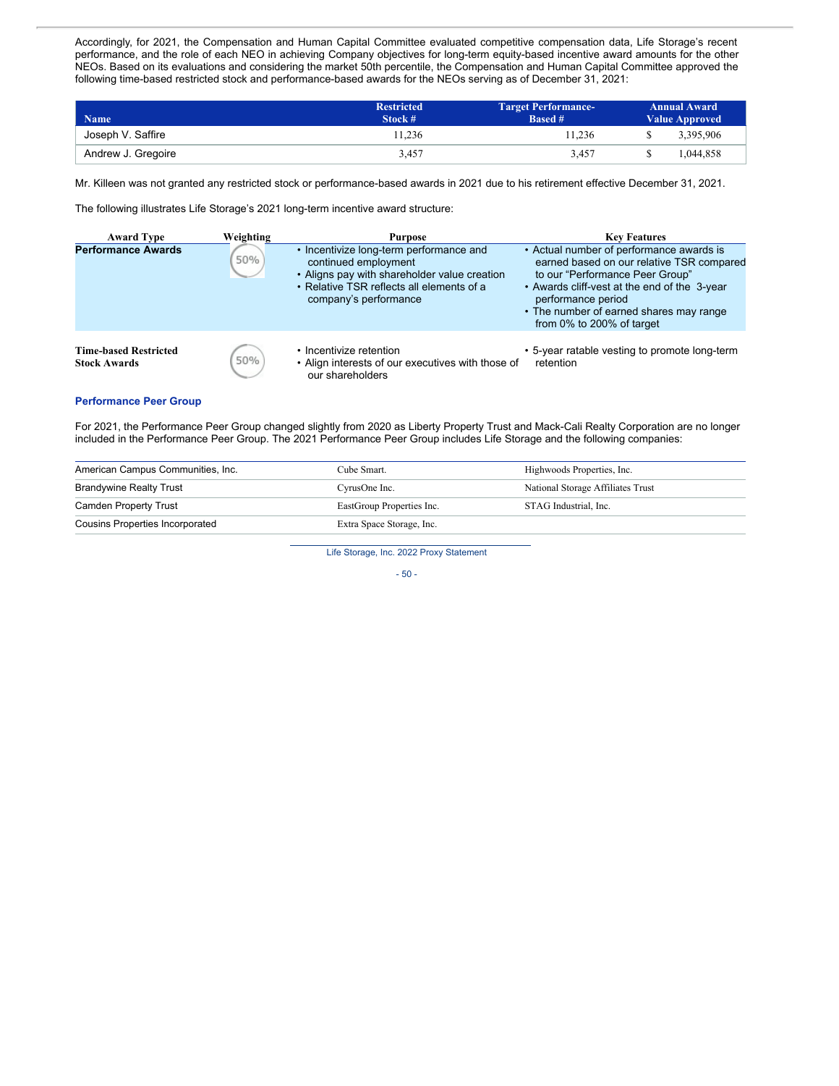Accordingly, for 2021, the Compensation and Human Capital Committee evaluated competitive compensation data, Life Storage's recent performance, and the role of each NEO in achieving Company objectives for long-term equity-based incentive award amounts for the other NEOs. Based on its evaluations and considering the market 50th percentile, the Compensation and Human Capital Committee approved the following time-based restricted stock and performance-based awards for the NEOs serving as of December 31, 2021:

| <b>Name</b>        | <b>Restricted</b><br>Stock # | <b>Target Performance-</b><br><b>Based #</b> | <b>Annual Award</b><br><b>Value Approved</b> |
|--------------------|------------------------------|----------------------------------------------|----------------------------------------------|
| Joseph V. Saffire  | 11.236                       | 11.236                                       | 3.395.906                                    |
| Andrew J. Gregoire | 3.457                        | 3.457                                        | .044.858                                     |

Mr. Killeen was not granted any restricted stock or performance-based awards in 2021 due to his retirement effective December 31, 2021.

The following illustrates Life Storage's 2021 long-term incentive award structure:

| <b>Award Type</b>                                   | Weighting | <b>Purpose</b>                                                                                                                                                                        | <b>Key Features</b>                                                                                                                                                                                                                                                    |
|-----------------------------------------------------|-----------|---------------------------------------------------------------------------------------------------------------------------------------------------------------------------------------|------------------------------------------------------------------------------------------------------------------------------------------------------------------------------------------------------------------------------------------------------------------------|
| <b>Performance Awards</b>                           | 50%       | • Incentivize long-term performance and<br>continued employment<br>• Aligns pay with shareholder value creation<br>• Relative TSR reflects all elements of a<br>company's performance | • Actual number of performance awards is<br>earned based on our relative TSR compared<br>to our "Performance Peer Group"<br>• Awards cliff-vest at the end of the 3-year<br>performance period<br>• The number of earned shares may range<br>from 0% to 200% of target |
| <b>Time-based Restricted</b><br><b>Stock Awards</b> | 50%       | • Incentivize retention<br>• Align interests of our executives with those of<br>our shareholders                                                                                      | • 5-year ratable vesting to promote long-term<br>retention                                                                                                                                                                                                             |

#### **Performance Peer Group**

For 2021, the Performance Peer Group changed slightly from 2020 as Liberty Property Trust and Mack-Cali Realty Corporation are no longer included in the Performance Peer Group. The 2021 Performance Peer Group includes Life Storage and the following companies:

| American Campus Communities, Inc.      | Cube Smart.               | Highwoods Properties, Inc.        |
|----------------------------------------|---------------------------|-----------------------------------|
| <b>Brandywine Realty Trust</b>         | CyrusOne Inc.             | National Storage Affiliates Trust |
| Camden Property Trust                  | EastGroup Properties Inc. | STAG Industrial. Inc.             |
| <b>Cousins Properties Incorporated</b> | Extra Space Storage, Inc. |                                   |

Life Storage, Inc. 2022 Proxy Statement

- 50 -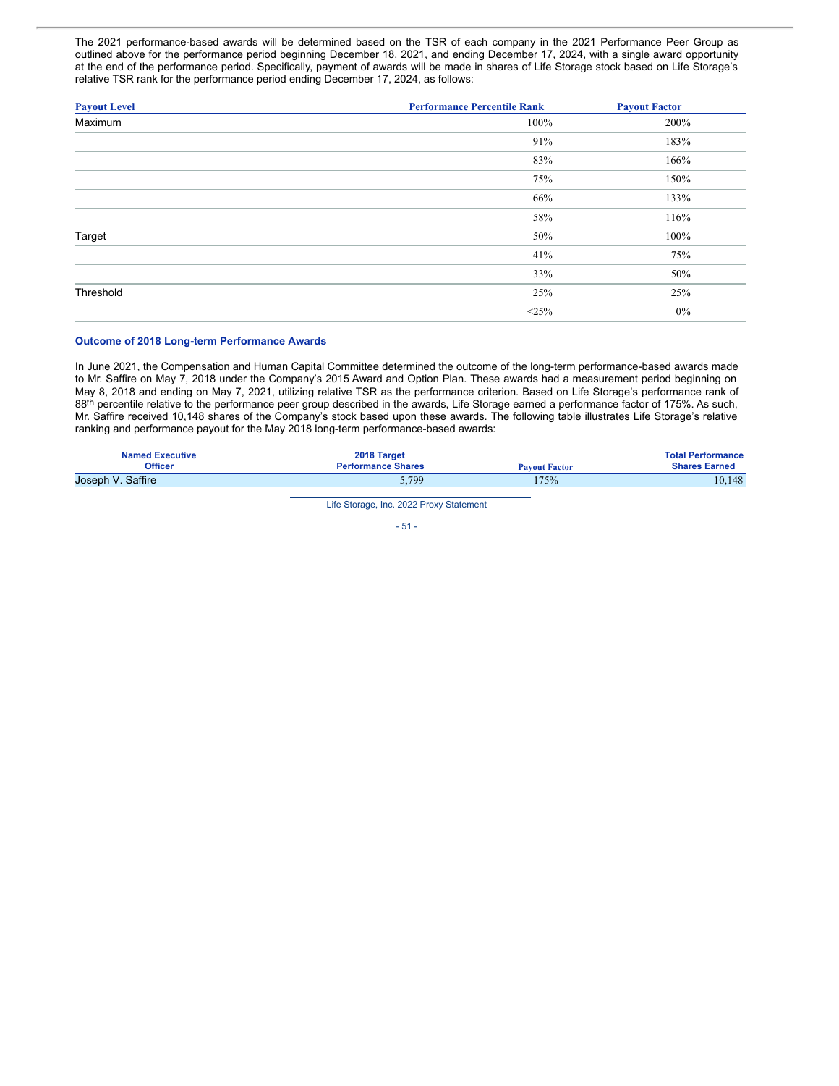The 2021 performance-based awards will be determined based on the TSR of each company in the 2021 Performance Peer Group as outlined above for the performance period beginning December 18, 2021, and ending December 17, 2024, with a single award opportunity at the end of the performance period. Specifically, payment of awards will be made in shares of Life Storage stock based on Life Storage's relative TSR rank for the performance period ending December 17, 2024, as follows:

| <b>Payout Level</b> | <b>Performance Percentile Rank</b> | <b>Payout Factor</b> |
|---------------------|------------------------------------|----------------------|
| Maximum             | 100%                               | 200%                 |
|                     | 91%                                | 183%                 |
|                     | 83%                                | 166%                 |
|                     | 75%                                | 150%                 |
|                     | 66%                                | 133%                 |
|                     | 58%                                | 116%                 |
| Target              | 50%                                | 100%                 |
|                     | 41%                                | 75%                  |
|                     | 33%                                | 50%                  |
| Threshold           | 25%                                | 25%                  |
|                     | <25%                               | $0\%$                |

#### **Outcome of 2018 Long-term Performance Awards**

In June 2021, the Compensation and Human Capital Committee determined the outcome of the long-term performance-based awards made to Mr. Saffire on May 7, 2018 under the Company's 2015 Award and Option Plan. These awards had a measurement period beginning on May 8, 2018 and ending on May 7, 2021, utilizing relative TSR as the performance criterion. Based on Life Storage's performance rank of 88th percentile relative to the performance peer group described in the awards, Life Storage earned a performance factor of 175%. As such, Mr. Saffire received 10,148 shares of the Company's stock based upon these awards. The following table illustrates Life Storage's relative ranking and performance payout for the May 2018 long-term performance-based awards:

| <b>Named Executive</b> | 2018 Target               | <b>Payout Factor</b> | <b>Total Performance</b> |
|------------------------|---------------------------|----------------------|--------------------------|
| <b>Officer</b>         | <b>Performance Shares</b> |                      | <b>Shares Earned</b>     |
| Joseph V. Saffire      | 5,799                     | 75%                  | 10.148                   |

Life Storage, Inc. 2022 Proxy Statement

 $-51 -$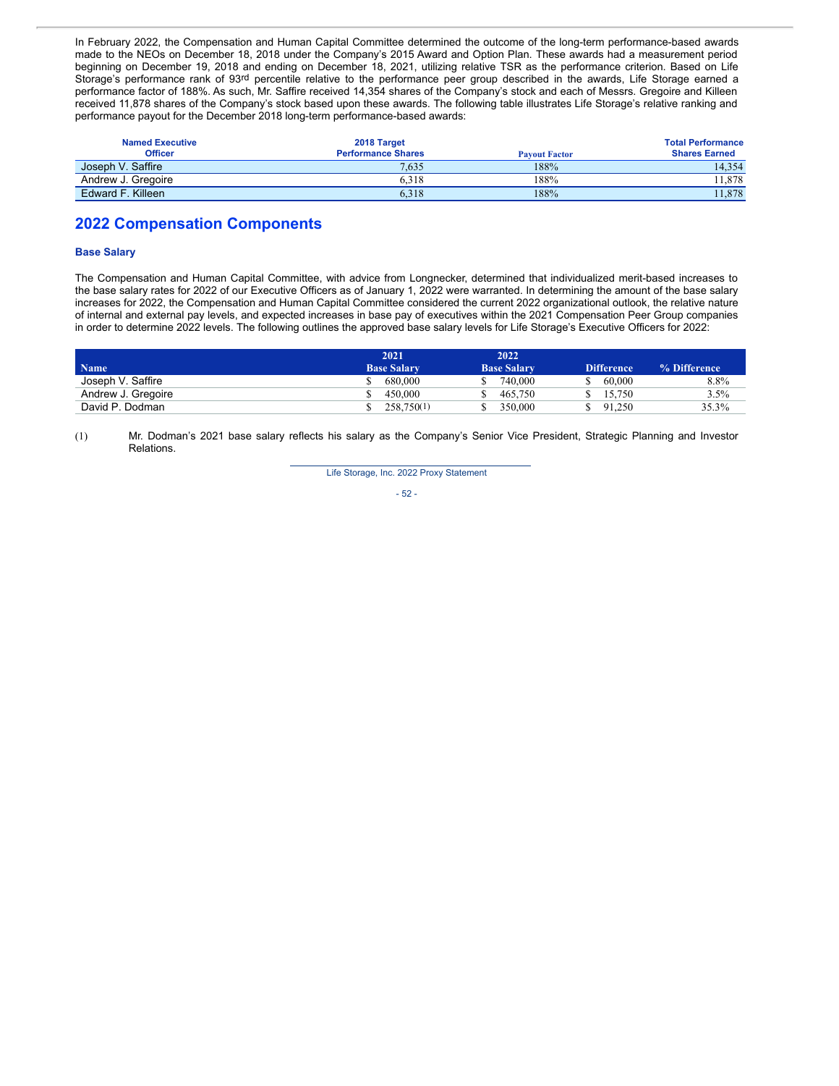In February 2022, the Compensation and Human Capital Committee determined the outcome of the long-term performance-based awards made to the NEOs on December 18, 2018 under the Company's 2015 Award and Option Plan. These awards had a measurement period beginning on December 19, 2018 and ending on December 18, 2021, utilizing relative TSR as the performance criterion. Based on Life Storage's performance rank of 93rd percentile relative to the performance peer group described in the awards, Life Storage earned a performance factor of 188%. As such, Mr. Saffire received 14,354 shares of the Company's stock and each of Messrs. Gregoire and Killeen received 11,878 shares of the Company's stock based upon these awards. The following table illustrates Life Storage's relative ranking and performance payout for the December 2018 long-term performance-based awards:

| <b>Named Executive</b> | 2018 Target               |                      | <b>Total Performance</b> |
|------------------------|---------------------------|----------------------|--------------------------|
| <b>Officer</b>         | <b>Performance Shares</b> | <b>Payout Factor</b> | <b>Shares Earned</b>     |
| Joseph V. Saffire      | 7.635                     | 188%                 | 14.354                   |
| Andrew J. Gregoire     | 6.318                     | 188%                 | 11.878                   |
| Edward F. Killeen      | 6.318                     | 188%                 | 11.878                   |

## **2022 Compensation Components**

### **Base Salary**

The Compensation and Human Capital Committee, with advice from Longnecker, determined that individualized merit-based increases to the base salary rates for 2022 of our Executive Officers as of January 1, 2022 were warranted. In determining the amount of the base salary increases for 2022, the Compensation and Human Capital Committee considered the current 2022 organizational outlook, the relative nature of internal and external pay levels, and expected increases in base pay of executives within the 2021 Compensation Peer Group companies in order to determine 2022 levels. The following outlines the approved base salary levels for Life Storage's Executive Officers for 2022:

|                    | 2021               | 2022               |                   |              |
|--------------------|--------------------|--------------------|-------------------|--------------|
| Name               | <b>Base Salary</b> | <b>Base Salary</b> | <b>Difference</b> | % Difference |
| Joseph V. Saffire  | 680,000            | 740,000            | 60,000            | 8.8%         |
| Andrew J. Gregoire | 450,000            | 465,750            | 15.750            | $3.5\%$      |
| David P. Dodman    | 258,750(1)         | 350,000            | 91.250            | 35.3%        |

(1) Mr. Dodman's 2021 base salary reflects his salary as the Company's Senior Vice President, Strategic Planning and Investor Relations.

Life Storage, Inc. 2022 Proxy Statement

- 52 -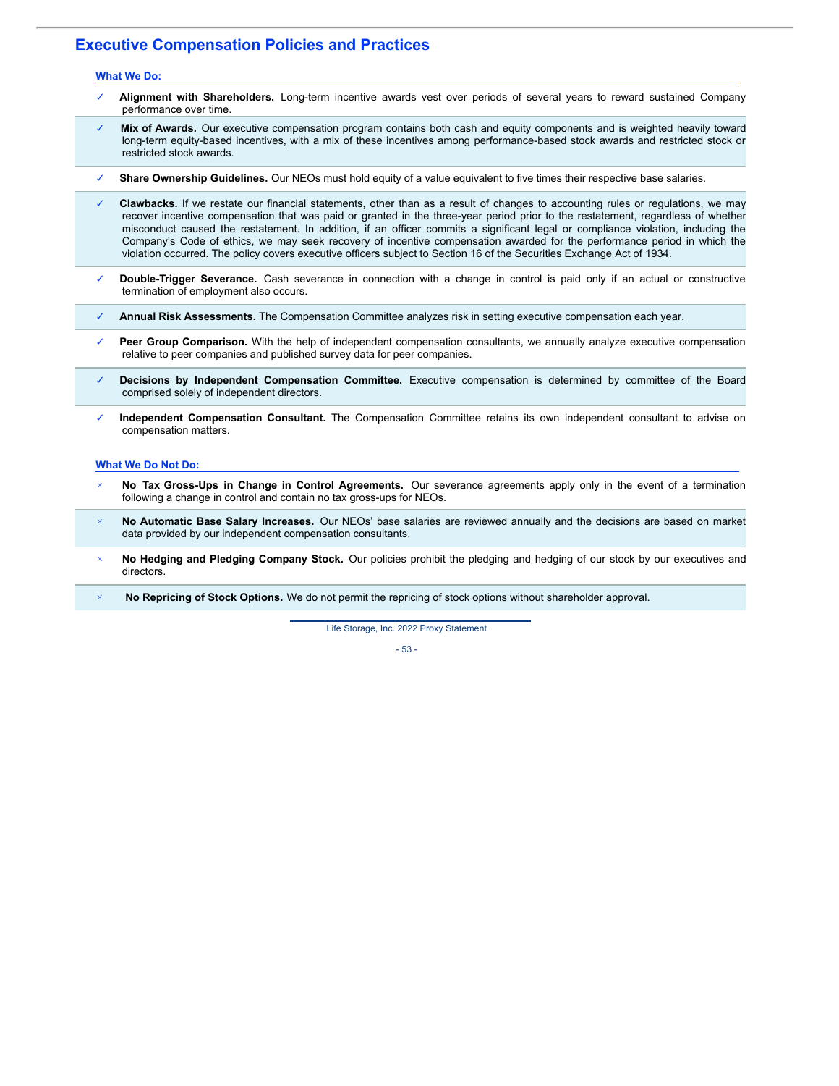## **Executive Compensation Policies and Practices**

#### **What We Do:**

- ✓ **Alignment with Shareholders.** Long-term incentive awards vest over periods of several years to reward sustained Company performance over time.
- Mix of Awards. Our executive compensation program contains both cash and equity components and is weighted heavily toward long-term equity-based incentives, with a mix of these incentives among performance-based stock awards and restricted stock or restricted stock awards.
- ✓ **Share Ownership Guidelines.** Our NEOs must hold equity of a value equivalent to five times their respective base salaries.
- Clawbacks. If we restate our financial statements, other than as a result of changes to accounting rules or regulations, we may recover incentive compensation that was paid or granted in the three-year period prior to the restatement, regardless of whether misconduct caused the restatement. In addition, if an officer commits a significant legal or compliance violation, including the Company's Code of ethics, we may seek recovery of incentive compensation awarded for the performance period in which the violation occurred. The policy covers executive officers subject to Section 16 of the Securities Exchange Act of 1934.
- ✓ **Double-Trigger Severance.** Cash severance in connection with a change in control is paid only if an actual or constructive termination of employment also occurs.
- ✓ **Annual Risk Assessments.** The Compensation Committee analyzes risk in setting executive compensation each year.
- Peer Group Comparison. With the help of independent compensation consultants, we annually analyze executive compensation relative to peer companies and published survey data for peer companies.
- ✓ **Decisions by Independent Compensation Committee.** Executive compensation is determined by committee of the Board comprised solely of independent directors.
- ✓ **Independent Compensation Consultant.** The Compensation Committee retains its own independent consultant to advise on compensation matters.

#### **What We Do Not Do:**

- *×* **No Tax Gross-Ups in Change in Control Agreements.** Our severance agreements apply only in the event of a termination following a change in control and contain no tax gross-ups for NEOs.
- *×* **No Automatic Base Salary Increases.** Our NEOs' base salaries are reviewed annually and the decisions are based on market data provided by our independent compensation consultants.
- *×* **No Hedging and Pledging Company Stock.** Our policies prohibit the pledging and hedging of our stock by our executives and directors.
- *×* **No Repricing of Stock Options.** We do not permit the repricing of stock options without shareholder approval.

Life Storage, Inc. 2022 Proxy Statement

- 53 -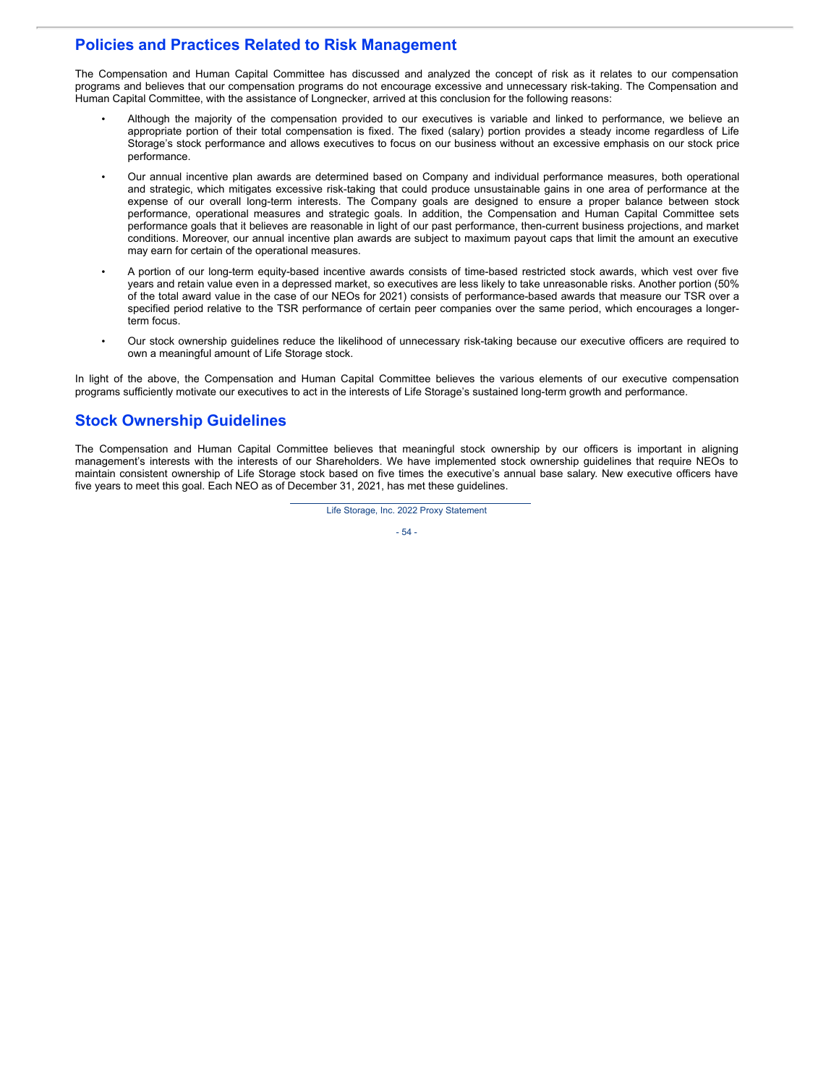## **Policies and Practices Related to Risk Management**

The Compensation and Human Capital Committee has discussed and analyzed the concept of risk as it relates to our compensation programs and believes that our compensation programs do not encourage excessive and unnecessary risk-taking. The Compensation and Human Capital Committee, with the assistance of Longnecker, arrived at this conclusion for the following reasons:

- Although the majority of the compensation provided to our executives is variable and linked to performance, we believe an appropriate portion of their total compensation is fixed. The fixed (salary) portion provides a steady income regardless of Life Storage's stock performance and allows executives to focus on our business without an excessive emphasis on our stock price performance.
- Our annual incentive plan awards are determined based on Company and individual performance measures, both operational and strategic, which mitigates excessive risk-taking that could produce unsustainable gains in one area of performance at the expense of our overall long-term interests. The Company goals are designed to ensure a proper balance between stock performance, operational measures and strategic goals. In addition, the Compensation and Human Capital Committee sets performance goals that it believes are reasonable in light of our past performance, then-current business projections, and market conditions. Moreover, our annual incentive plan awards are subject to maximum payout caps that limit the amount an executive may earn for certain of the operational measures.
- A portion of our long-term equity-based incentive awards consists of time-based restricted stock awards, which vest over five years and retain value even in a depressed market, so executives are less likely to take unreasonable risks. Another portion (50% of the total award value in the case of our NEOs for 2021) consists of performance-based awards that measure our TSR over a specified period relative to the TSR performance of certain peer companies over the same period, which encourages a longerterm focus.
- Our stock ownership guidelines reduce the likelihood of unnecessary risk-taking because our executive officers are required to own a meaningful amount of Life Storage stock.

In light of the above, the Compensation and Human Capital Committee believes the various elements of our executive compensation programs sufficiently motivate our executives to act in the interests of Life Storage's sustained long-term growth and performance.

## **Stock Ownership Guidelines**

The Compensation and Human Capital Committee believes that meaningful stock ownership by our officers is important in aligning management's interests with the interests of our Shareholders. We have implemented stock ownership guidelines that require NEOs to maintain consistent ownership of Life Storage stock based on five times the executive's annual base salary. New executive officers have five years to meet this goal. Each NEO as of December 31, 2021, has met these guidelines.

Life Storage, Inc. 2022 Proxy Statement

$$
-54-
$$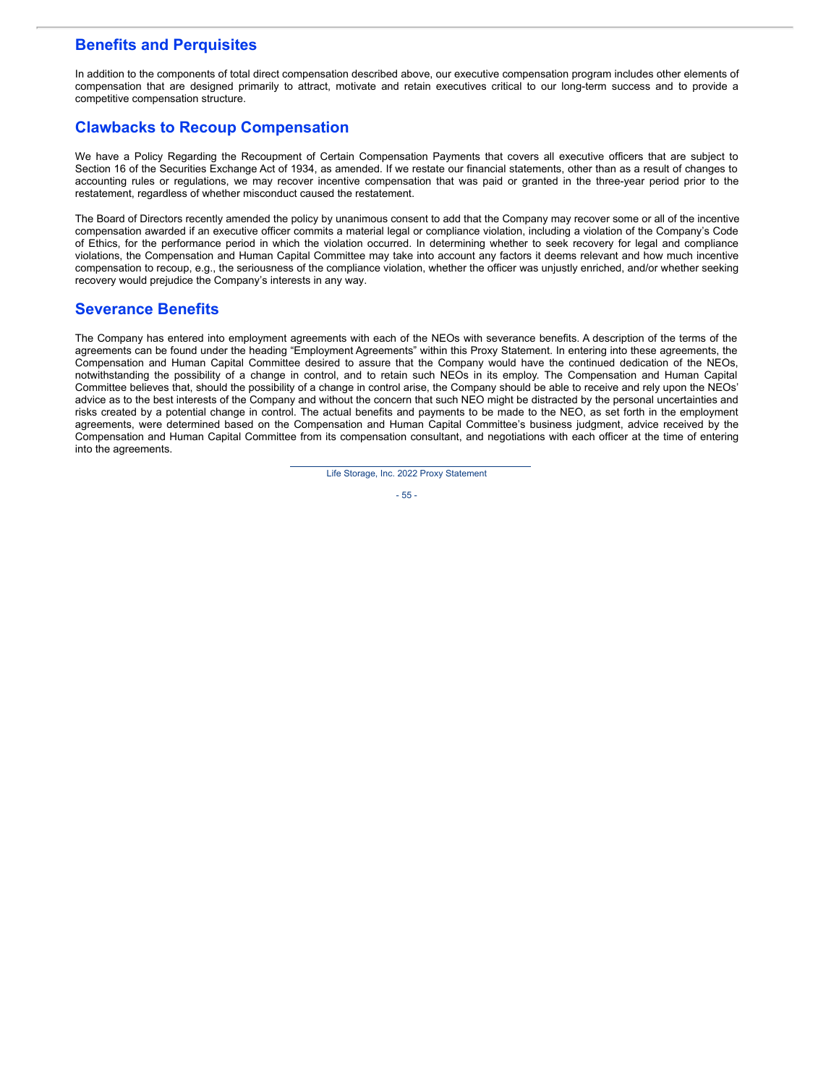## **Benefits and Perquisites**

In addition to the components of total direct compensation described above, our executive compensation program includes other elements of compensation that are designed primarily to attract, motivate and retain executives critical to our long-term success and to provide a competitive compensation structure.

# **Clawbacks to Recoup Compensation**

We have a Policy Regarding the Recoupment of Certain Compensation Payments that covers all executive officers that are subject to Section 16 of the Securities Exchange Act of 1934, as amended. If we restate our financial statements, other than as a result of changes to accounting rules or regulations, we may recover incentive compensation that was paid or granted in the three-year period prior to the restatement, regardless of whether misconduct caused the restatement.

The Board of Directors recently amended the policy by unanimous consent to add that the Company may recover some or all of the incentive compensation awarded if an executive officer commits a material legal or compliance violation, including a violation of the Company's Code of Ethics, for the performance period in which the violation occurred. In determining whether to seek recovery for legal and compliance violations, the Compensation and Human Capital Committee may take into account any factors it deems relevant and how much incentive compensation to recoup, e.g., the seriousness of the compliance violation, whether the officer was unjustly enriched, and/or whether seeking recovery would prejudice the Company's interests in any way.

## **Severance Benefits**

The Company has entered into employment agreements with each of the NEOs with severance benefits. A description of the terms of the agreements can be found under the heading "Employment Agreements" within this Proxy Statement. In entering into these agreements, the Compensation and Human Capital Committee desired to assure that the Company would have the continued dedication of the NEOs, notwithstanding the possibility of a change in control, and to retain such NEOs in its employ. The Compensation and Human Capital Committee believes that, should the possibility of a change in control arise, the Company should be able to receive and rely upon the NEOs' advice as to the best interests of the Company and without the concern that such NEO might be distracted by the personal uncertainties and risks created by a potential change in control. The actual benefits and payments to be made to the NEO, as set forth in the employment agreements, were determined based on the Compensation and Human Capital Committee's business judgment, advice received by the Compensation and Human Capital Committee from its compensation consultant, and negotiations with each officer at the time of entering into the agreements.

Life Storage, Inc. 2022 Proxy Statement

- 55 -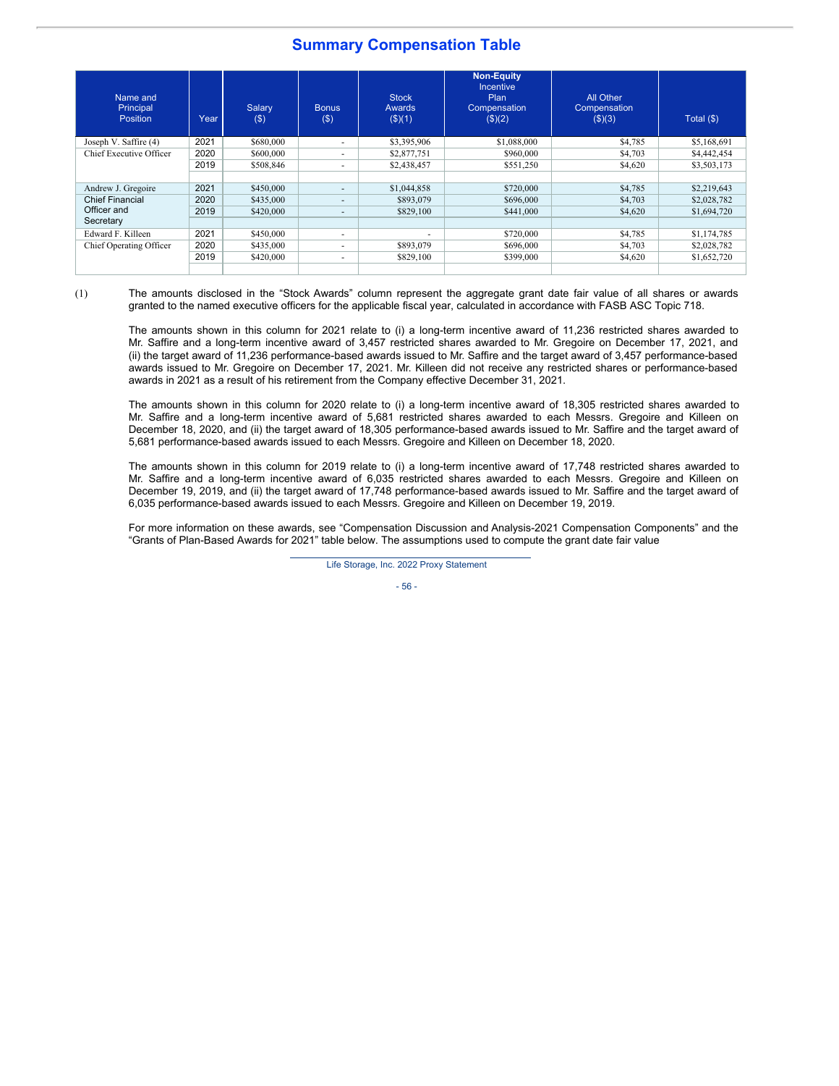## **Summary Compensation Table**

| Name and<br>Principal<br><b>Position</b> | Year | Salary<br>(3) | <b>Bonus</b><br>$($ \$) | <b>Stock</b><br>Awards<br>$($ \$ $)(1)$ | <b>Non-Equity</b><br><b>Incentive</b><br>Plan<br>Compensation<br>$($ \$)(2) | All Other<br>Compensation<br>$($ \$ $)(3)$ | Total $($ math) |
|------------------------------------------|------|---------------|-------------------------|-----------------------------------------|-----------------------------------------------------------------------------|--------------------------------------------|-----------------|
| Joseph V. Saffire (4)                    | 2021 | \$680,000     | ۰.                      | \$3,395,906                             | \$1,088,000                                                                 | \$4,785                                    | \$5,168,691     |
| Chief Executive Officer                  | 2020 | \$600,000     | ۰.                      | \$2,877,751                             | \$960,000                                                                   | \$4,703                                    | \$4,442,454     |
|                                          | 2019 | \$508,846     | ۰.                      | \$2,438,457                             | \$551,250                                                                   | \$4,620                                    | \$3,503,173     |
|                                          |      |               |                         |                                         |                                                                             |                                            |                 |
| Andrew J. Gregoire                       | 2021 | \$450,000     | ۰.                      | \$1,044,858                             | \$720,000                                                                   | \$4,785                                    | \$2,219,643     |
| <b>Chief Financial</b>                   | 2020 | \$435,000     | ۰                       | \$893,079                               | \$696,000                                                                   | \$4,703                                    | \$2,028,782     |
| Officer and                              | 2019 | \$420,000     | ۰.                      | \$829,100                               | \$441,000                                                                   | \$4,620                                    | \$1,694,720     |
| Secretary                                |      |               |                         |                                         |                                                                             |                                            |                 |
| Edward F. Killeen                        | 2021 | \$450,000     | ۰.                      | ۰                                       | \$720,000                                                                   | \$4,785                                    | \$1,174,785     |
| Chief Operating Officer                  | 2020 | \$435,000     | ۰.                      | \$893,079                               | \$696,000                                                                   | \$4,703                                    | \$2,028,782     |
|                                          | 2019 | \$420,000     | ۰.                      | \$829,100                               | \$399,000                                                                   | \$4,620                                    | \$1,652,720     |
|                                          |      |               |                         |                                         |                                                                             |                                            |                 |

(1) The amounts disclosed in the "Stock Awards" column represent the aggregate grant date fair value of all shares or awards granted to the named executive officers for the applicable fiscal year, calculated in accordance with FASB ASC Topic 718.

The amounts shown in this column for 2021 relate to (i) a long-term incentive award of 11,236 restricted shares awarded to Mr. Saffire and a long-term incentive award of 3,457 restricted shares awarded to Mr. Gregoire on December 17, 2021, and (ii) the target award of 11,236 performance-based awards issued to Mr. Saffire and the target award of 3,457 performance-based awards issued to Mr. Gregoire on December 17, 2021. Mr. Killeen did not receive any restricted shares or performance-based awards in 2021 as a result of his retirement from the Company effective December 31, 2021.

The amounts shown in this column for 2020 relate to (i) a long-term incentive award of 18,305 restricted shares awarded to Mr. Saffire and a long-term incentive award of 5,681 restricted shares awarded to each Messrs. Gregoire and Killeen on December 18, 2020, and (ii) the target award of 18,305 performance-based awards issued to Mr. Saffire and the target award of 5,681 performance-based awards issued to each Messrs. Gregoire and Killeen on December 18, 2020.

The amounts shown in this column for 2019 relate to (i) a long-term incentive award of 17,748 restricted shares awarded to Mr. Saffire and a long-term incentive award of 6,035 restricted shares awarded to each Messrs. Gregoire and Killeen on December 19, 2019, and (ii) the target award of 17,748 performance-based awards issued to Mr. Saffire and the target award of 6,035 performance-based awards issued to each Messrs. Gregoire and Killeen on December 19, 2019.

For more information on these awards, see "Compensation Discussion and Analysis-2021 Compensation Components" and the "Grants of Plan-Based Awards for 2021" table below. The assumptions used to compute the grant date fair value

Life Storage, Inc. 2022 Proxy Statement

- 56 -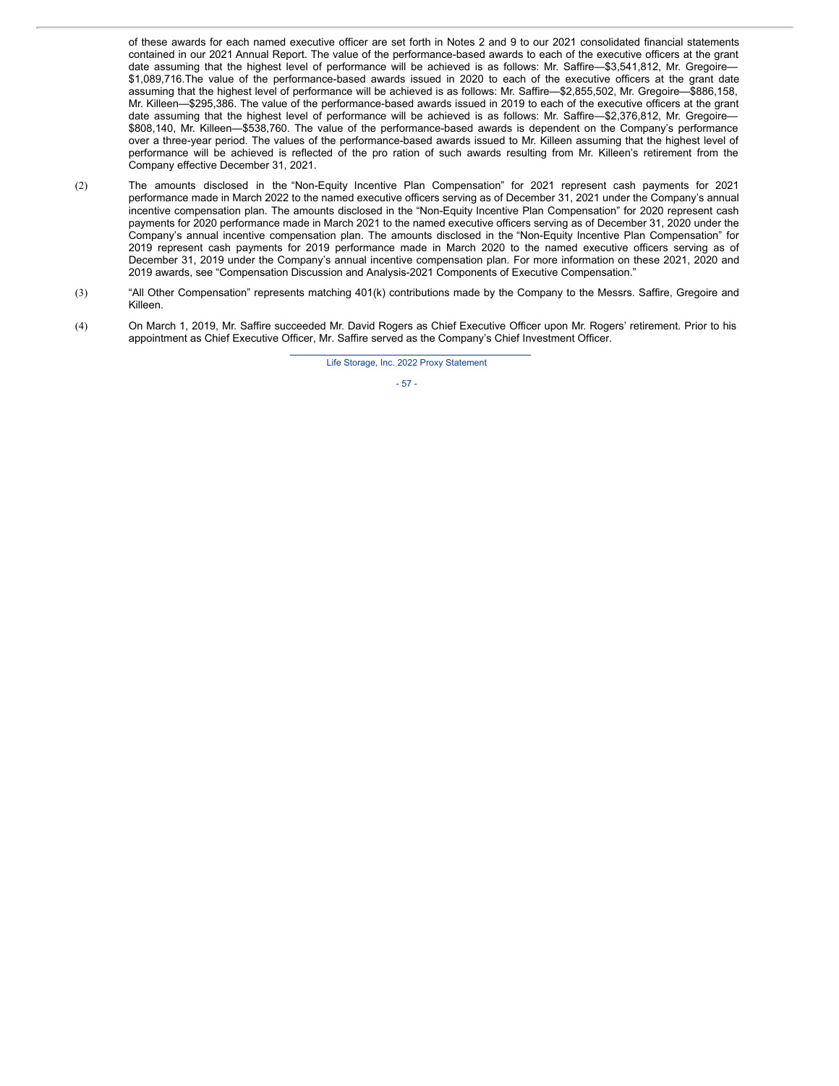of these awards for each named executive officer are set forth in Notes 2 and 9 to our 2021 consolidated financial statements contained in our 2021 Annual Report. The value of the performance-based awards to each of the executive officers at the grant date assuming that the highest level of performance will be achieved is as follows: Mr. Saffire—\$3,541,812, Mr. Gregoire— \$1,089,716.The value of the performance-based awards issued in 2020 to each of the executive officers at the grant date assuming that the highest level of performance will be achieved is as follows: Mr. Saffire—\$2,855,502, Mr. Gregoire—\$886,158, Mr. Killeen—\$295,386. The value of the performance-based awards issued in 2019 to each of the executive officers at the grant date assuming that the highest level of performance will be achieved is as follows: Mr. Saffire—\$2,376,812, Mr. Gregoire— \$808,140, Mr. Killeen—\$538,760. The value of the performance-based awards is dependent on the Company's performance over a three-year period. The values of the performance-based awards issued to Mr. Killeen assuming that the highest level of performance will be achieved is reflected of the pro ration of such awards resulting from Mr. Killeen's retirement from the Company effective December 31, 2021.

- (2) The amounts disclosed in the "Non-Equity Incentive Plan Compensation" for 2021 represent cash payments for 2021 performance made in March 2022 to the named executive officers serving as of December 31, 2021 under the Company's annual incentive compensation plan. The amounts disclosed in the "Non-Equity Incentive Plan Compensation" for 2020 represent cash payments for 2020 performance made in March 2021 to the named executive officers serving as of December 31, 2020 under the Company's annual incentive compensation plan. The amounts disclosed in the "Non-Equity Incentive Plan Compensation" for 2019 represent cash payments for 2019 performance made in March 2020 to the named executive officers serving as of December 31, 2019 under the Company's annual incentive compensation plan. For more information on these 2021, 2020 and 2019 awards, see "Compensation Discussion and Analysis-2021 Components of Executive Compensation."
- (3) "All Other Compensation" represents matching 401(k) contributions made by the Company to the Messrs. Saffire, Gregoire and Killeen.
- (4) On March 1, 2019, Mr. Saffire succeeded Mr. David Rogers as Chief Executive Officer upon Mr. Rogers' retirement. Prior to his appointment as Chief Executive Officer, Mr. Saffire served as the Company's Chief Investment Officer.

Life Storage, Inc. 2022 Proxy Statement

#### - 57 -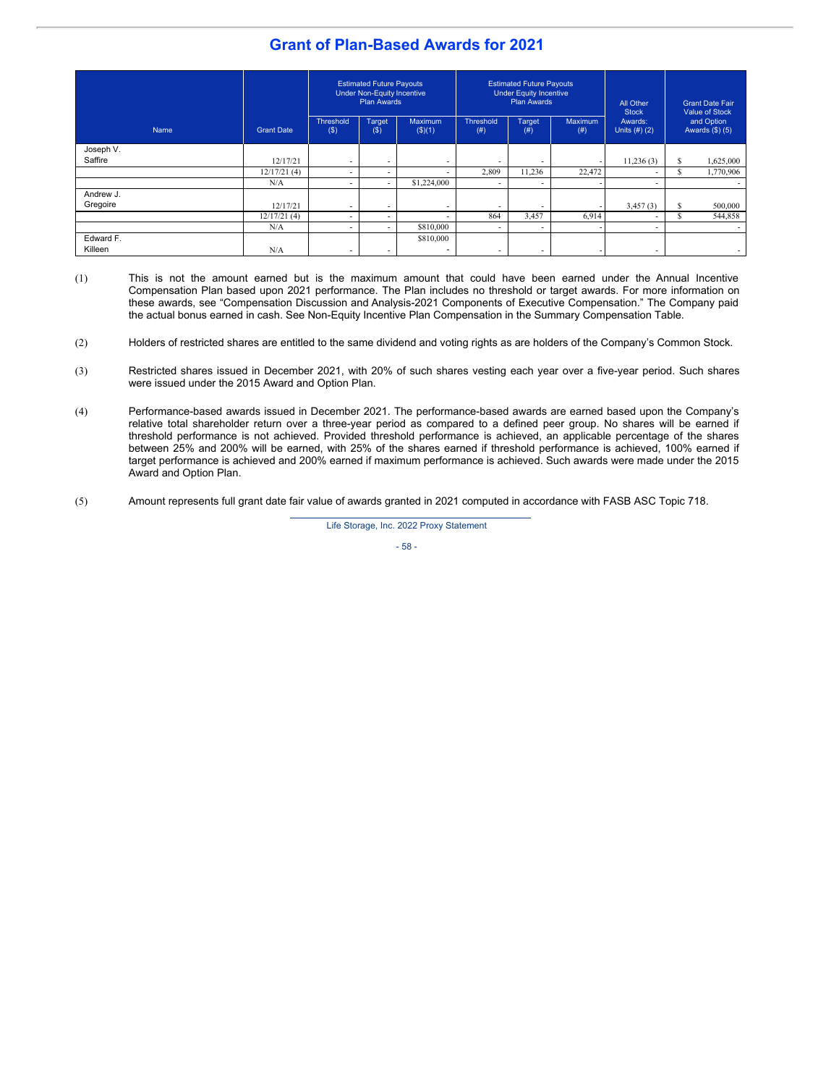# **Grant of Plan-Based Awards for 2021**

|                      |                   | <b>Estimated Future Payouts</b><br><b>Under Non-Equity Incentive</b><br><b>Plan Awards</b> |                          | <b>Estimated Future Payouts</b><br><b>Under Equity Incentive</b><br><b>Plan Awards</b> |                          |                          | All Other<br><b>Stock</b> | <b>Grant Date Fair</b><br>Value of Stock |                                 |           |
|----------------------|-------------------|--------------------------------------------------------------------------------------------|--------------------------|----------------------------------------------------------------------------------------|--------------------------|--------------------------|---------------------------|------------------------------------------|---------------------------------|-----------|
| Name                 | <b>Grant Date</b> | <b>Threshold</b><br>$($ \$)                                                                | Target<br>$($ \$         | <b>Maximum</b><br>$($ \$ $)(1)$                                                        | <b>Threshold</b><br>(# ) | <b>Target</b><br>(# )    | <b>Maximum</b><br>(# )    | Awards:<br>Units (#) (2)                 | and Option<br>Awards $(\$)$ (5) |           |
| Joseph V.            |                   |                                                                                            |                          |                                                                                        |                          |                          |                           |                                          |                                 |           |
| Saffire              | 12/17/21          | -                                                                                          | -                        | $\overline{\phantom{0}}$                                                               |                          |                          |                           | 11,236(3)                                | S                               | 1,625,000 |
|                      | 12/17/21(4)       | -                                                                                          | $\sim$                   | $\overline{\phantom{0}}$                                                               | 2,809                    | 11,236                   | 22,472                    |                                          | e<br>$\mathcal{L}$              | 1,770,906 |
|                      | N/A               | $\overline{\phantom{a}}$                                                                   | $\overline{\phantom{a}}$ | \$1,224,000                                                                            |                          | $\overline{\phantom{a}}$ |                           | $\overline{\phantom{a}}$                 |                                 |           |
| Andrew J.            |                   |                                                                                            |                          |                                                                                        |                          |                          |                           |                                          |                                 |           |
| Gregoire             | 12/17/21          | -                                                                                          | $\overline{\phantom{a}}$ | $\overline{\phantom{0}}$                                                               | $\overline{\phantom{0}}$ | $\overline{\phantom{0}}$ |                           | 3,457(3)                                 | S                               | 500,000   |
|                      | 12/17/21(4)       | $\overline{\phantom{0}}$                                                                   | $\overline{\phantom{0}}$ | $\overline{\phantom{0}}$                                                               | 864                      | 3,457                    | 6,914                     | $\overline{\phantom{a}}$                 |                                 | 544,858   |
|                      | N/A               | $\overline{\phantom{0}}$                                                                   | $\overline{\phantom{a}}$ | \$810,000                                                                              |                          | $\overline{\phantom{a}}$ |                           | $\overline{\phantom{a}}$                 |                                 |           |
| Edward F.<br>Killeen | N/A               | $\overline{\phantom{0}}$                                                                   | $\overline{\phantom{0}}$ | \$810,000<br>$\overline{a}$                                                            | $\overline{\phantom{0}}$ | $\overline{\phantom{0}}$ |                           | $\overline{\phantom{0}}$                 |                                 |           |

- (1) This is not the amount earned but is the maximum amount that could have been earned under the Annual Incentive Compensation Plan based upon 2021 performance. The Plan includes no threshold or target awards. For more information on these awards, see "Compensation Discussion and Analysis-2021 Components of Executive Compensation." The Company paid the actual bonus earned in cash. See Non-Equity Incentive Plan Compensation in the Summary Compensation Table.
- (2) Holders of restricted shares are entitled to the same dividend and voting rights as are holders of the Company's Common Stock.
- (3) Restricted shares issued in December 2021, with 20% of such shares vesting each year over a five-year period. Such shares were issued under the 2015 Award and Option Plan.
- (4) Performance-based awards issued in December 2021. The performance-based awards are earned based upon the Company's relative total shareholder return over a three-year period as compared to a defined peer group. No shares will be earned if threshold performance is not achieved. Provided threshold performance is achieved, an applicable percentage of the shares between 25% and 200% will be earned, with 25% of the shares earned if threshold performance is achieved, 100% earned if target performance is achieved and 200% earned if maximum performance is achieved. Such awards were made under the 2015 Award and Option Plan.
- (5) Amount represents full grant date fair value of awards granted in 2021 computed in accordance with FASB ASC Topic 718.

Life Storage, Inc. 2022 Proxy Statement

- 58 -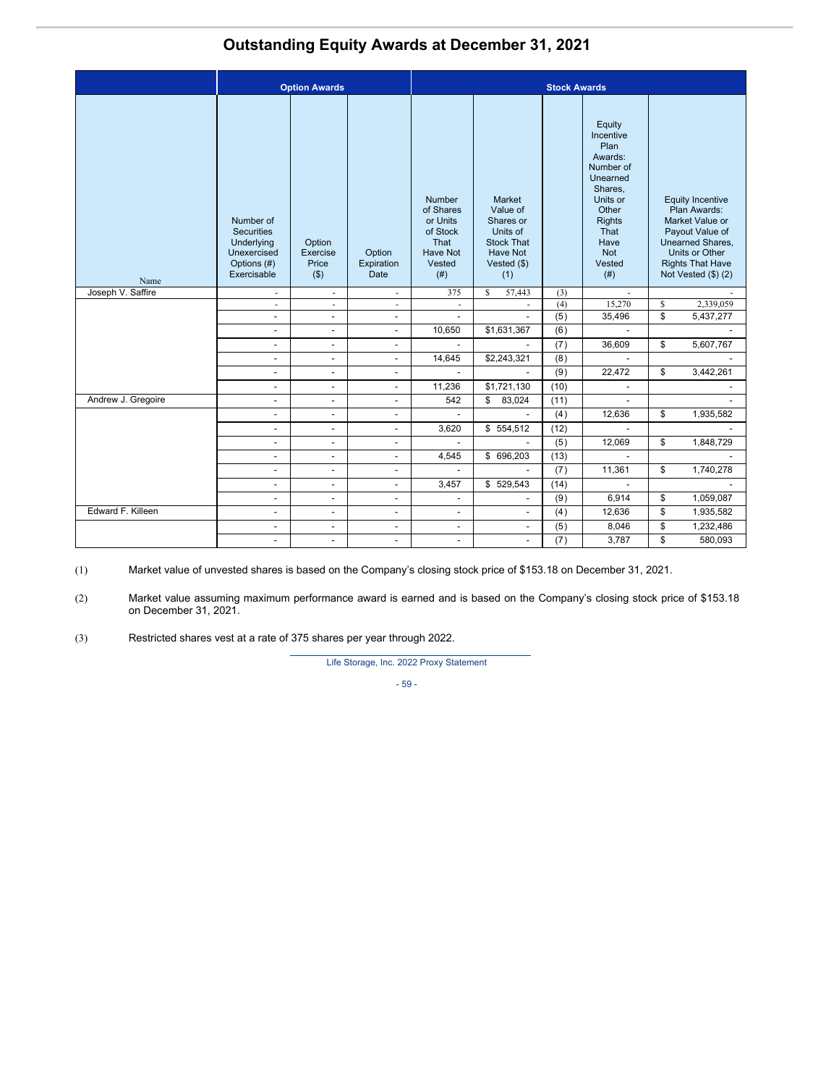# **Outstanding Equity Awards at December 31, 2021**

|                    | <b>Option Awards</b>                                                                      |                                        |                              | <b>Stock Awards</b>                                                                             |                                                                                                             |      |                                                                                                                                                           |    |                                                                                                                                                                              |
|--------------------|-------------------------------------------------------------------------------------------|----------------------------------------|------------------------------|-------------------------------------------------------------------------------------------------|-------------------------------------------------------------------------------------------------------------|------|-----------------------------------------------------------------------------------------------------------------------------------------------------------|----|------------------------------------------------------------------------------------------------------------------------------------------------------------------------------|
| Name               | Number of<br><b>Securities</b><br>Underlying<br>Unexercised<br>Options (#)<br>Exercisable | Option<br>Exercise<br>Price<br>$($ \$) | Option<br>Expiration<br>Date | <b>Number</b><br>of Shares<br>or Units<br>of Stock<br>That<br><b>Have Not</b><br>Vested<br>(# ) | Market<br>Value of<br>Shares or<br>Units of<br><b>Stock That</b><br><b>Have Not</b><br>Vested $(\$)$<br>(1) |      | Equity<br>Incentive<br>Plan<br>Awards:<br>Number of<br>Unearned<br>Shares.<br>Units or<br>Other<br><b>Rights</b><br>That<br>Have<br>Not<br>Vested<br>(# ) |    | <b>Equity Incentive</b><br>Plan Awards:<br>Market Value or<br>Payout Value of<br><b>Unearned Shares.</b><br>Units or Other<br><b>Rights That Have</b><br>Not Vested (\$) (2) |
| Joseph V. Saffire  | $\overline{\phantom{a}}$                                                                  | $\overline{\phantom{a}}$               | $\overline{\phantom{a}}$     | 375                                                                                             | 57,443<br>S                                                                                                 | (3)  |                                                                                                                                                           |    |                                                                                                                                                                              |
|                    | $\overline{\phantom{a}}$                                                                  | $\sim$                                 | $\sim$                       | $\overline{\phantom{a}}$                                                                        | $\sim$                                                                                                      | (4)  | 15,270                                                                                                                                                    | \$ | 2,339,059                                                                                                                                                                    |
|                    | $\overline{a}$                                                                            | $\overline{a}$                         |                              | $\overline{a}$                                                                                  |                                                                                                             | (5)  | 35,496                                                                                                                                                    | \$ | 5,437,277                                                                                                                                                                    |
|                    | $\overline{\phantom{a}}$                                                                  | $\overline{\phantom{a}}$               | $\overline{\phantom{a}}$     | 10,650                                                                                          | \$1,631,367                                                                                                 | (6)  |                                                                                                                                                           |    |                                                                                                                                                                              |
|                    | $\overline{\phantom{a}}$                                                                  | $\overline{\phantom{a}}$               | $\overline{\phantom{a}}$     | $\blacksquare$                                                                                  |                                                                                                             | (7)  | 36,609                                                                                                                                                    | \$ | 5,607,767                                                                                                                                                                    |
|                    | $\overline{\phantom{a}}$                                                                  | $\overline{\phantom{a}}$               | $\overline{\phantom{a}}$     | 14,645                                                                                          | \$2,243,321                                                                                                 | (8)  |                                                                                                                                                           |    |                                                                                                                                                                              |
|                    | $\overline{\phantom{a}}$                                                                  | $\blacksquare$                         | $\blacksquare$               | $\blacksquare$                                                                                  | $\mathbf{r}$                                                                                                | (9)  | 22,472                                                                                                                                                    | \$ | 3,442,261                                                                                                                                                                    |
|                    | $\overline{\phantom{a}}$                                                                  | $\overline{\phantom{a}}$               | $\blacksquare$               | 11,236                                                                                          | \$1,721,130                                                                                                 | (10) | $\overline{\phantom{a}}$                                                                                                                                  |    |                                                                                                                                                                              |
| Andrew J. Gregoire | $\overline{a}$                                                                            | $\overline{\phantom{a}}$               | $\overline{a}$               | 542                                                                                             | $\mathbb{S}$<br>83,024                                                                                      | (11) | $\overline{a}$                                                                                                                                            |    |                                                                                                                                                                              |
|                    | $\blacksquare$                                                                            | $\blacksquare$                         | $\overline{a}$               | $\blacksquare$                                                                                  | $\mathbf{r}$                                                                                                | (4)  | 12,636                                                                                                                                                    | \$ | 1,935,582                                                                                                                                                                    |
|                    | $\overline{\phantom{a}}$                                                                  | $\overline{\phantom{a}}$               | $\overline{\phantom{a}}$     | 3,620                                                                                           | \$554,512                                                                                                   | (12) | $\overline{\phantom{a}}$                                                                                                                                  |    |                                                                                                                                                                              |
|                    | $\overline{a}$                                                                            | $\overline{\phantom{a}}$               | $\overline{\phantom{a}}$     | $\blacksquare$                                                                                  | $\overline{\phantom{a}}$                                                                                    | (5)  | 12,069                                                                                                                                                    | \$ | 1,848,729                                                                                                                                                                    |
|                    | $\overline{\phantom{a}}$                                                                  | $\overline{\phantom{a}}$               | $\blacksquare$               | 4,545                                                                                           | \$ 696,203                                                                                                  | (13) |                                                                                                                                                           |    |                                                                                                                                                                              |
|                    | $\overline{a}$                                                                            | $\blacksquare$                         | $\overline{\phantom{a}}$     |                                                                                                 |                                                                                                             | (7)  | 11,361                                                                                                                                                    | \$ | 1,740,278                                                                                                                                                                    |
|                    | $\blacksquare$                                                                            | $\overline{\phantom{a}}$               | $\overline{\phantom{a}}$     | 3,457                                                                                           | \$529,543                                                                                                   | (14) |                                                                                                                                                           |    |                                                                                                                                                                              |
|                    | $\overline{\phantom{a}}$                                                                  | $\blacksquare$                         | $\overline{\phantom{a}}$     | $\overline{\phantom{a}}$                                                                        | $\overline{\phantom{a}}$                                                                                    | (9)  | 6,914                                                                                                                                                     | \$ | 1,059,087                                                                                                                                                                    |
| Edward F. Killeen  | $\overline{\phantom{a}}$                                                                  | $\overline{\phantom{a}}$               | $\overline{\phantom{a}}$     | $\overline{\phantom{a}}$                                                                        | $\overline{\phantom{a}}$                                                                                    | (4)  | 12,636                                                                                                                                                    | \$ | 1,935,582                                                                                                                                                                    |
|                    | $\overline{\phantom{a}}$                                                                  | $\overline{\phantom{a}}$               | $\overline{\phantom{a}}$     | $\overline{\phantom{a}}$                                                                        | $\overline{\phantom{a}}$                                                                                    | (5)  | 8,046                                                                                                                                                     | \$ | 1,232,486                                                                                                                                                                    |
|                    | $\blacksquare$                                                                            | $\overline{\phantom{a}}$               | $\blacksquare$               | $\overline{\phantom{a}}$                                                                        | $\overline{\phantom{a}}$                                                                                    | (7)  | 3,787                                                                                                                                                     | \$ | 580,093                                                                                                                                                                      |

(1) Market value of unvested shares is based on the Company's closing stock price of \$153.18 on December 31, 2021.

(2) Market value assuming maximum performance award is earned and is based on the Company's closing stock price of \$153.18 on December 31, 2021.

(3) Restricted shares vest at a rate of 375 shares per year through 2022.

Life Storage, Inc. 2022 Proxy Statement

- 59 -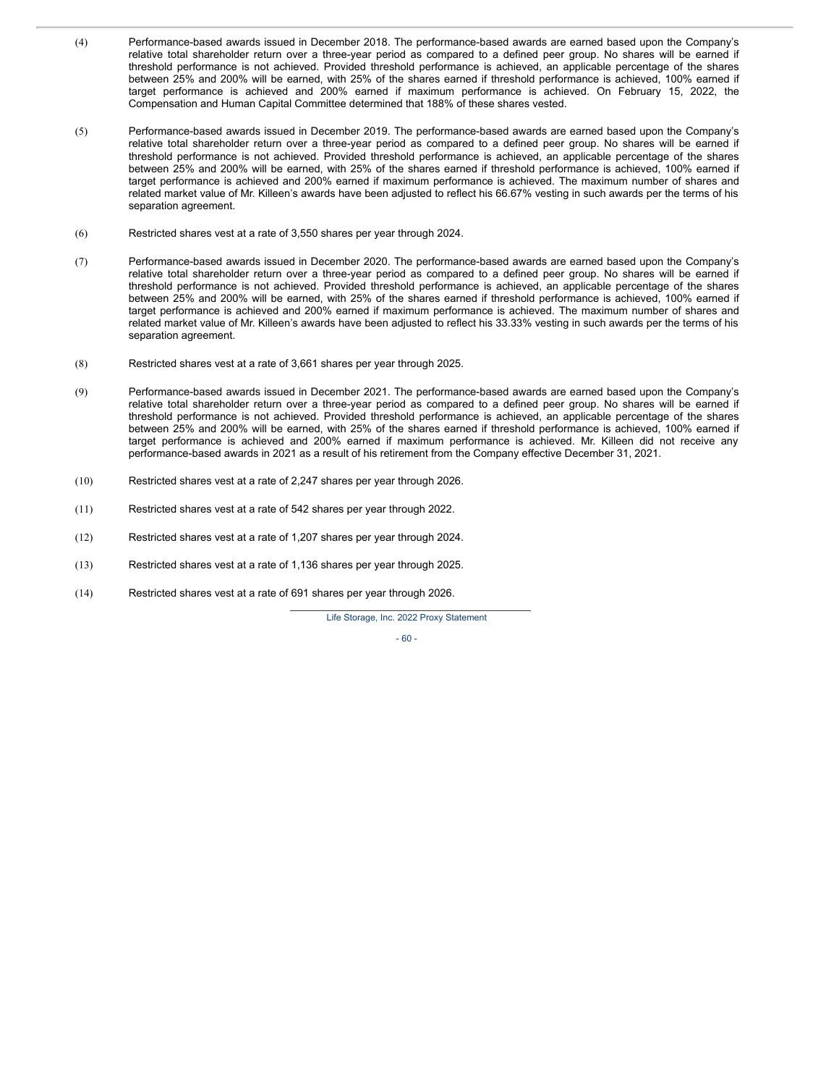- (4) Performance-based awards issued in December 2018. The performance-based awards are earned based upon the Company's relative total shareholder return over a three-year period as compared to a defined peer group. No shares will be earned if threshold performance is not achieved. Provided threshold performance is achieved, an applicable percentage of the shares between 25% and 200% will be earned, with 25% of the shares earned if threshold performance is achieved, 100% earned if target performance is achieved and 200% earned if maximum performance is achieved. On February 15, 2022, the Compensation and Human Capital Committee determined that 188% of these shares vested.
- (5) Performance-based awards issued in December 2019. The performance-based awards are earned based upon the Company's relative total shareholder return over a three-year period as compared to a defined peer group. No shares will be earned if threshold performance is not achieved. Provided threshold performance is achieved, an applicable percentage of the shares between 25% and 200% will be earned, with 25% of the shares earned if threshold performance is achieved, 100% earned if target performance is achieved and 200% earned if maximum performance is achieved. The maximum number of shares and related market value of Mr. Killeen's awards have been adjusted to reflect his 66.67% vesting in such awards per the terms of his separation agreement.
- (6) Restricted shares vest at a rate of 3,550 shares per year through 2024.
- (7) Performance-based awards issued in December 2020. The performance-based awards are earned based upon the Company's relative total shareholder return over a three-year period as compared to a defined peer group. No shares will be earned if threshold performance is not achieved. Provided threshold performance is achieved, an applicable percentage of the shares between 25% and 200% will be earned, with 25% of the shares earned if threshold performance is achieved, 100% earned if target performance is achieved and 200% earned if maximum performance is achieved. The maximum number of shares and related market value of Mr. Killeen's awards have been adjusted to reflect his 33.33% vesting in such awards per the terms of his separation agreement.
- (8) Restricted shares vest at a rate of 3,661 shares per year through 2025.
- (9) Performance-based awards issued in December 2021. The performance-based awards are earned based upon the Company's relative total shareholder return over a three-year period as compared to a defined peer group. No shares will be earned if threshold performance is not achieved. Provided threshold performance is achieved, an applicable percentage of the shares between 25% and 200% will be earned, with 25% of the shares earned if threshold performance is achieved, 100% earned if target performance is achieved and 200% earned if maximum performance is achieved. Mr. Killeen did not receive any performance-based awards in 2021 as a result of his retirement from the Company effective December 31, 2021.
- (10) Restricted shares vest at a rate of 2,247 shares per year through 2026.
- (11) Restricted shares vest at a rate of 542 shares per year through 2022.
- (12) Restricted shares vest at a rate of 1,207 shares per year through 2024.
- (13) Restricted shares vest at a rate of 1,136 shares per year through 2025.
- (14) Restricted shares vest at a rate of 691 shares per year through 2026.

Life Storage, Inc. 2022 Proxy Statement

 $-60 -$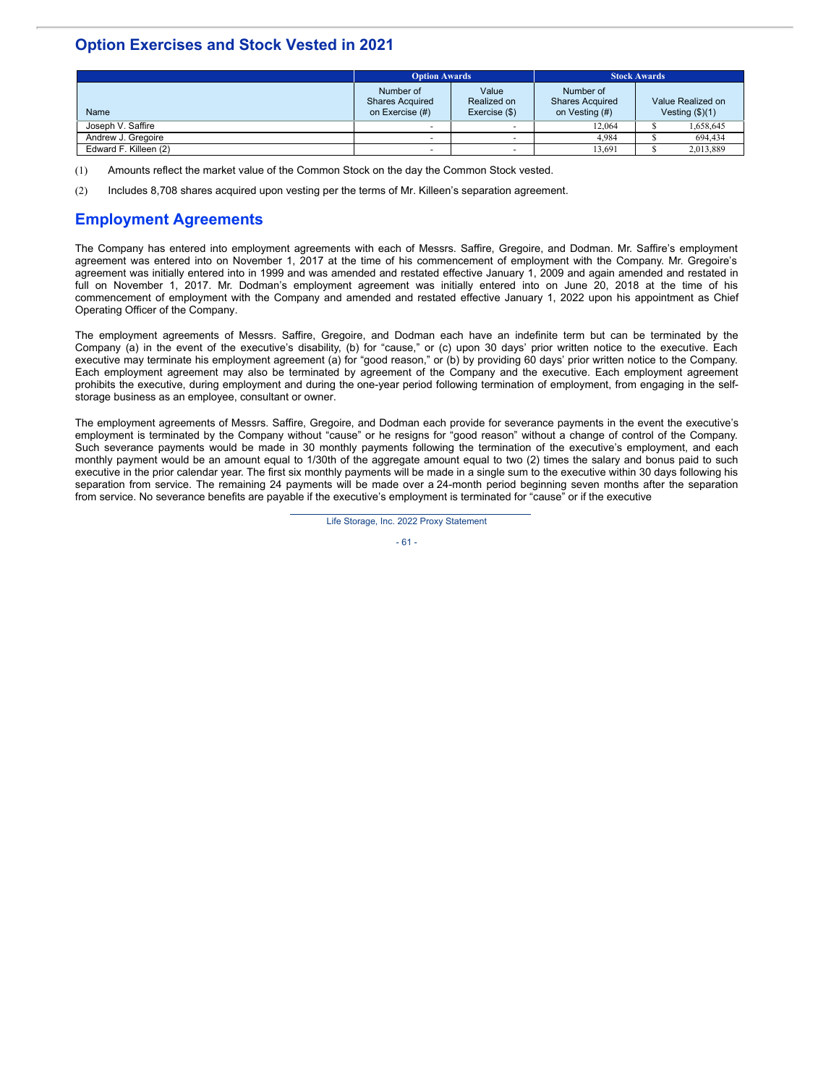# **Option Exercises and Stock Vested in 2021**

|                       |                                                        | <b>Stock Awards</b><br><b>Option Awards</b> |                                                       |         |                                                 |  |
|-----------------------|--------------------------------------------------------|---------------------------------------------|-------------------------------------------------------|---------|-------------------------------------------------|--|
| Name                  | Number of<br><b>Shares Acquired</b><br>on Exercise (#) | Value<br>Realized on<br>Exercise (\$)       | Number of<br><b>Shares Acquired</b><br>on Vesting (#) |         | Value Realized on<br>Vesting $(\frac{6}{3})(1)$ |  |
| Joseph V. Saffire     |                                                        |                                             | 12.064                                                |         | 1.658.645                                       |  |
| Andrew J. Gregoire    |                                                        |                                             | 4.984                                                 | 694,434 |                                                 |  |
| Edward F. Killeen (2) |                                                        |                                             | 13.691                                                |         | 2,013,889                                       |  |

(1) Amounts reflect the market value of the Common Stock on the day the Common Stock vested.

(2) Includes 8,708 shares acquired upon vesting per the terms of Mr. Killeen's separation agreement.

# **Employment Agreements**

The Company has entered into employment agreements with each of Messrs. Saffire, Gregoire, and Dodman. Mr. Saffire's employment agreement was entered into on November 1, 2017 at the time of his commencement of employment with the Company. Mr. Gregoire's agreement was initially entered into in 1999 and was amended and restated effective January 1, 2009 and again amended and restated in full on November 1, 2017. Mr. Dodman's employment agreement was initially entered into on June 20, 2018 at the time of his commencement of employment with the Company and amended and restated effective January 1, 2022 upon his appointment as Chief Operating Officer of the Company.

The employment agreements of Messrs. Saffire, Gregoire, and Dodman each have an indefinite term but can be terminated by the Company (a) in the event of the executive's disability, (b) for "cause," or (c) upon 30 days' prior written notice to the executive. Each executive may terminate his employment agreement (a) for "good reason," or (b) by providing 60 days' prior written notice to the Company. Each employment agreement may also be terminated by agreement of the Company and the executive. Each employment agreement prohibits the executive, during employment and during the one-year period following termination of employment, from engaging in the selfstorage business as an employee, consultant or owner.

The employment agreements of Messrs. Saffire, Gregoire, and Dodman each provide for severance payments in the event the executive's employment is terminated by the Company without "cause" or he resigns for "good reason" without a change of control of the Company. Such severance payments would be made in 30 monthly payments following the termination of the executive's employment, and each monthly payment would be an amount equal to 1/30th of the aggregate amount equal to two (2) times the salary and bonus paid to such executive in the prior calendar year. The first six monthly payments will be made in a single sum to the executive within 30 days following his separation from service. The remaining 24 payments will be made over a 24-month period beginning seven months after the separation from service. No severance benefits are payable if the executive's employment is terminated for "cause" or if the executive

Life Storage, Inc. 2022 Proxy Statement

- 61 -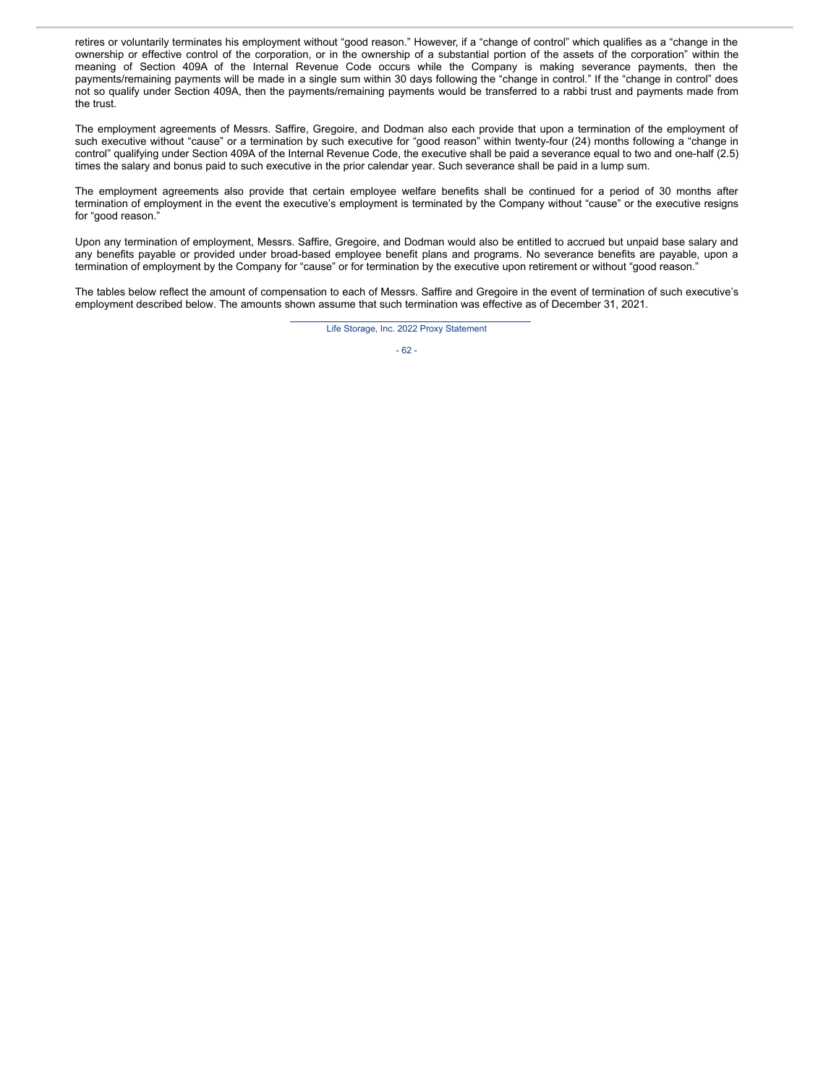retires or voluntarily terminates his employment without "good reason." However, if a "change of control" which qualifies as a "change in the ownership or effective control of the corporation, or in the ownership of a substantial portion of the assets of the corporation" within the meaning of Section 409A of the Internal Revenue Code occurs while the Company is making severance payments, then the payments/remaining payments will be made in a single sum within 30 days following the "change in control." If the "change in control" does not so qualify under Section 409A, then the payments/remaining payments would be transferred to a rabbi trust and payments made from the trust.

The employment agreements of Messrs. Saffire, Gregoire, and Dodman also each provide that upon a termination of the employment of such executive without "cause" or a termination by such executive for "good reason" within twenty-four (24) months following a "change in control" qualifying under Section 409A of the Internal Revenue Code, the executive shall be paid a severance equal to two and one-half (2.5) times the salary and bonus paid to such executive in the prior calendar year. Such severance shall be paid in a lump sum.

The employment agreements also provide that certain employee welfare benefits shall be continued for a period of 30 months after termination of employment in the event the executive's employment is terminated by the Company without "cause" or the executive resigns for "good reason."

Upon any termination of employment, Messrs. Saffire, Gregoire, and Dodman would also be entitled to accrued but unpaid base salary and any benefits payable or provided under broad-based employee benefit plans and programs. No severance benefits are payable, upon a termination of employment by the Company for "cause" or for termination by the executive upon retirement or without "good reason."

The tables below reflect the amount of compensation to each of Messrs. Saffire and Gregoire in the event of termination of such executive's employment described below. The amounts shown assume that such termination was effective as of December 31, 2021.

Life Storage, Inc. 2022 Proxy Statement

- 62 -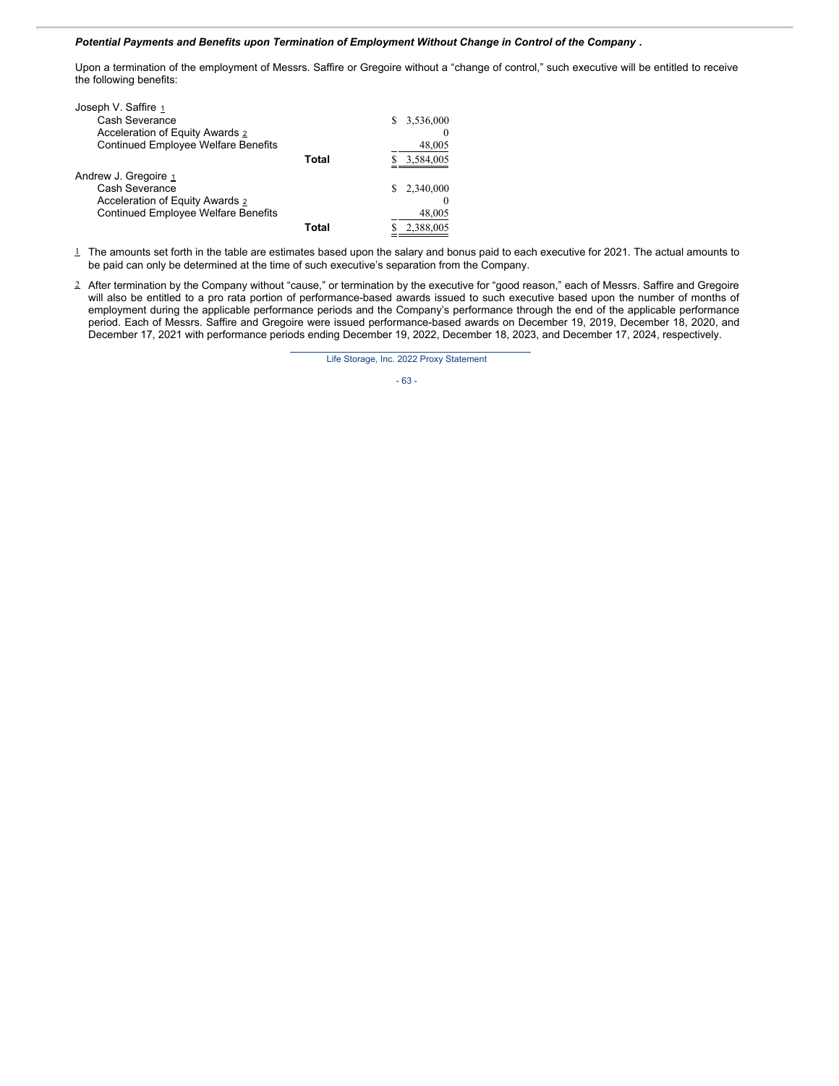### *Potential Payments and Benefits upon Termination of Employment Without Change in Control of the Company* **.**

Upon a termination of the employment of Messrs. Saffire or Gregoire without a "change of control," such executive will be entitled to receive the following benefits:

| Joseph V. Saffire 1                        |       |                |
|--------------------------------------------|-------|----------------|
| Cash Severance                             |       | 3,536,000<br>S |
| Acceleration of Equity Awards 2            |       | $\theta$       |
| <b>Continued Employee Welfare Benefits</b> |       | 48,005         |
|                                            | Total | 3,584,005      |
| Andrew J. Gregoire 1                       |       |                |
| Cash Severance                             |       | 2,340,000      |
| Acceleration of Equity Awards 2            |       | $_{0}$         |
| <b>Continued Employee Welfare Benefits</b> |       | 48,005         |
|                                            | Total | 2,388,005      |

 $\perp$  The amounts set forth in the table are estimates based upon the salary and bonus paid to each executive for 2021. The actual amounts to be paid can only be determined at the time of such executive's separation from the Company.

2 After termination by the Company without "cause," or termination by the executive for "good reason," each of Messrs. Saffire and Gregoire will also be entitled to a pro rata portion of performance-based awards issued to such executive based upon the number of months of employment during the applicable performance periods and the Company's performance through the end of the applicable performance period. Each of Messrs. Saffire and Gregoire were issued performance-based awards on December 19, 2019, December 18, 2020, and December 17, 2021 with performance periods ending December 19, 2022, December 18, 2023, and December 17, 2024, respectively.

Life Storage, Inc. 2022 Proxy Statement

- 63 -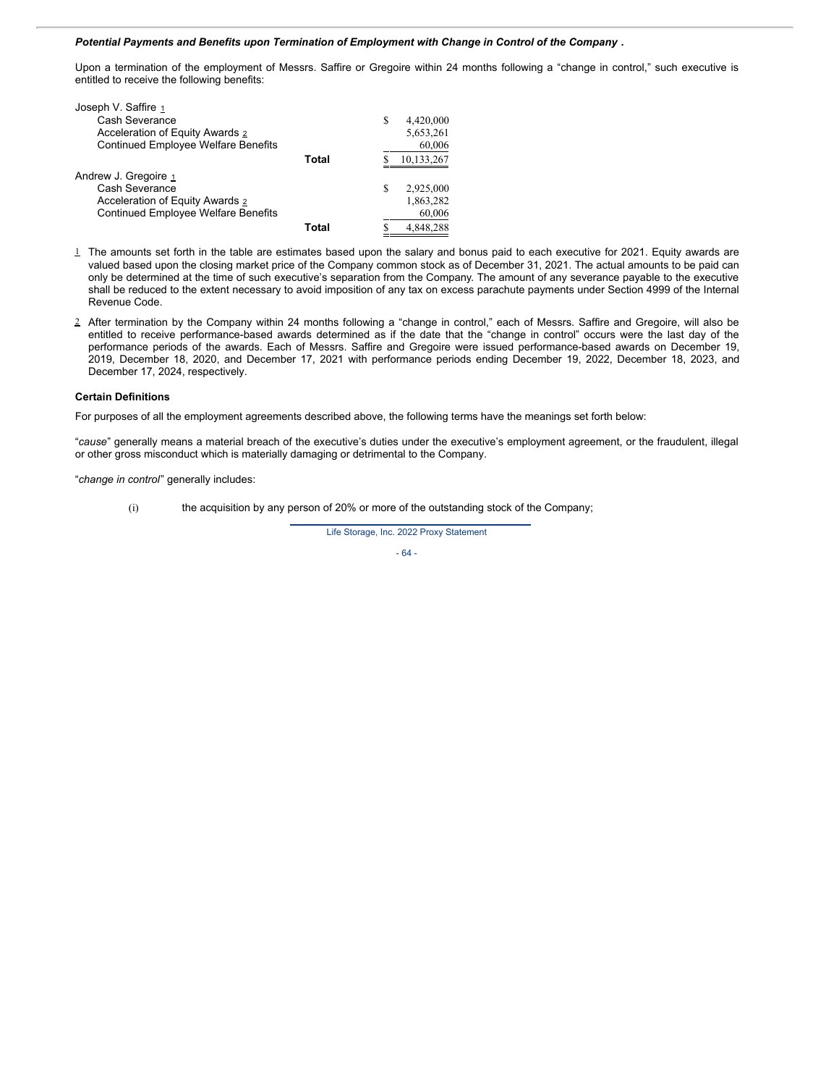#### *Potential Payments and Benefits upon Termination of Employment with Change in Control of the Company* **.**

Upon a termination of the employment of Messrs. Saffire or Gregoire within 24 months following a "change in control," such executive is entitled to receive the following benefits:

| Joseph V. Saffire 1                        |       |   |            |
|--------------------------------------------|-------|---|------------|
| Cash Severance                             |       | S | 4,420,000  |
| Acceleration of Equity Awards 2            |       |   | 5,653,261  |
| <b>Continued Employee Welfare Benefits</b> |       |   | 60,006     |
|                                            | Total |   | 10,133,267 |
| Andrew J. Gregoire 1                       |       |   |            |
| Cash Severance                             |       | S | 2,925,000  |
| Acceleration of Equity Awards 2            |       |   | 1,863,282  |
| <b>Continued Employee Welfare Benefits</b> |       |   | 60,006     |
|                                            | Total |   | 4.848.288  |

- 1 The amounts set forth in the table are estimates based upon the salary and bonus paid to each executive for 2021. Equity awards are valued based upon the closing market price of the Company common stock as of December 31, 2021. The actual amounts to be paid can only be determined at the time of such executive's separation from the Company. The amount of any severance payable to the executive shall be reduced to the extent necessary to avoid imposition of any tax on excess parachute payments under Section 4999 of the Internal Revenue Code.
- 2 After termination by the Company within 24 months following a "change in control," each of Messrs. Saffire and Gregoire, will also be entitled to receive performance-based awards determined as if the date that the "change in control" occurs were the last day of the performance periods of the awards. Each of Messrs. Saffire and Gregoire were issued performance-based awards on December 19, 2019, December 18, 2020, and December 17, 2021 with performance periods ending December 19, 2022, December 18, 2023, and December 17, 2024, respectively.

#### **Certain Definitions**

For purposes of all the employment agreements described above, the following terms have the meanings set forth below:

"*cause*" generally means a material breach of the executive's duties under the executive's employment agreement, or the fraudulent, illegal or other gross misconduct which is materially damaging or detrimental to the Company.

"*change in control*" generally includes:

(i) the acquisition by any person of 20% or more of the outstanding stock of the Company;

Life Storage, Inc. 2022 Proxy Statement

- 64 -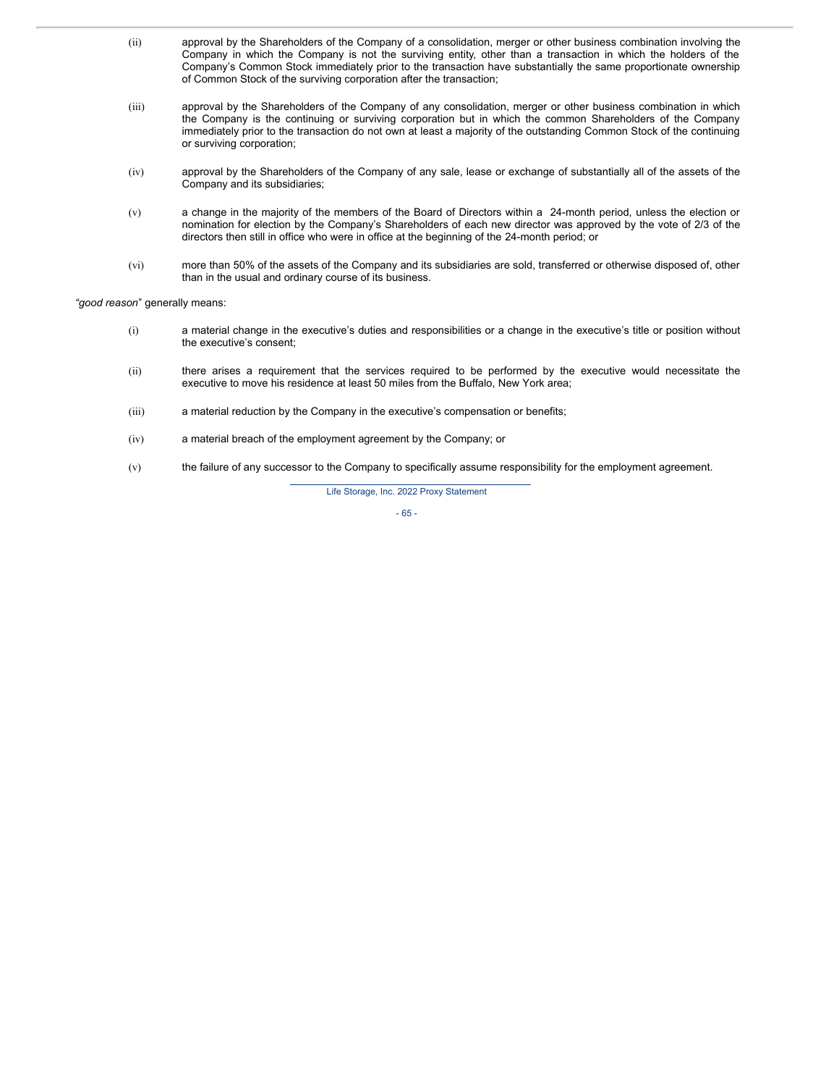- (ii) approval by the Shareholders of the Company of a consolidation, merger or other business combination involving the Company in which the Company is not the surviving entity, other than a transaction in which the holders of the Company's Common Stock immediately prior to the transaction have substantially the same proportionate ownership of Common Stock of the surviving corporation after the transaction;
- (iii) approval by the Shareholders of the Company of any consolidation, merger or other business combination in which the Company is the continuing or surviving corporation but in which the common Shareholders of the Company immediately prior to the transaction do not own at least a majority of the outstanding Common Stock of the continuing or surviving corporation;
- (iv) approval by the Shareholders of the Company of any sale, lease or exchange of substantially all of the assets of the Company and its subsidiaries;
- (v) a change in the majority of the members of the Board of Directors within a 24-month period, unless the election or nomination for election by the Company's Shareholders of each new director was approved by the vote of 2/3 of the directors then still in office who were in office at the beginning of the 24-month period; or
- (vi) more than 50% of the assets of the Company and its subsidiaries are sold, transferred or otherwise disposed of, other than in the usual and ordinary course of its business.

*"good reason*" generally means:

- (i) a material change in the executive's duties and responsibilities or a change in the executive's title or position without the executive's consent;
- (ii) there arises a requirement that the services required to be performed by the executive would necessitate the executive to move his residence at least 50 miles from the Buffalo, New York area;
- (iii) a material reduction by the Company in the executive's compensation or benefits;
- (iv) a material breach of the employment agreement by the Company; or
- (v) the failure of any successor to the Company to specifically assume responsibility for the employment agreement.

Life Storage, Inc. 2022 Proxy Statement

- 65 -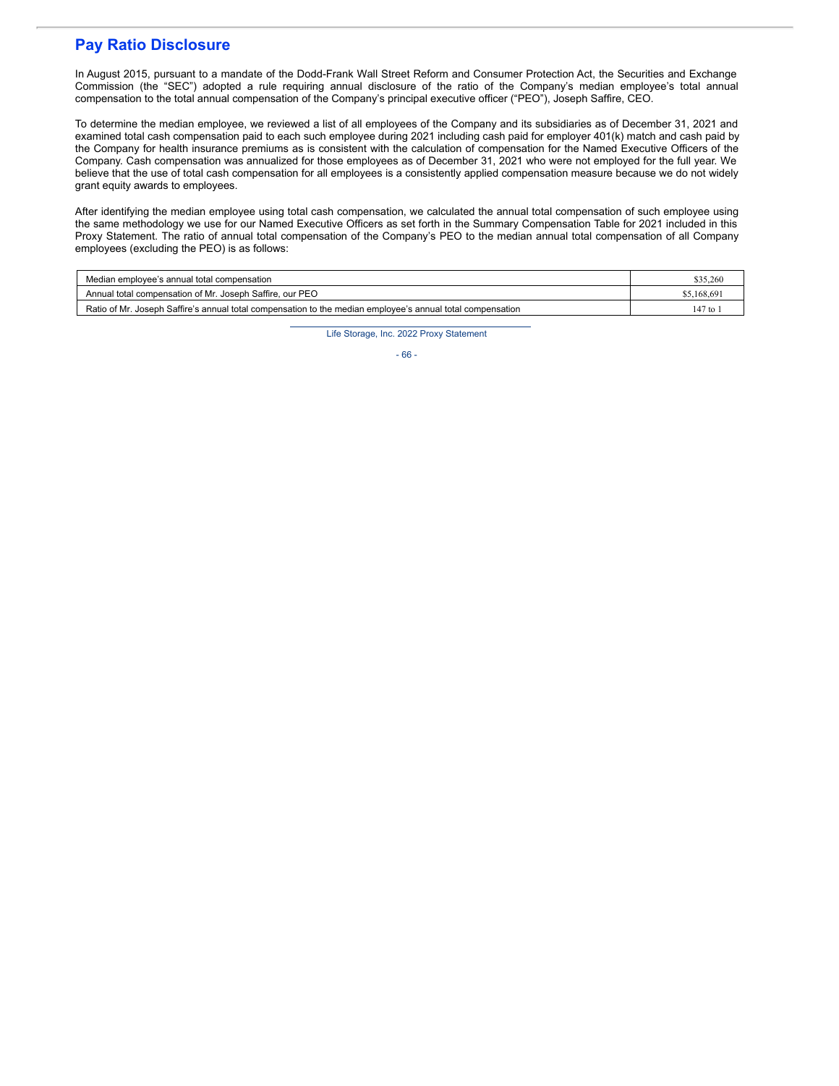# **Pay Ratio Disclosure**

In August 2015, pursuant to a mandate of the Dodd-Frank Wall Street Reform and Consumer Protection Act, the Securities and Exchange Commission (the "SEC") adopted a rule requiring annual disclosure of the ratio of the Company's median employee's total annual compensation to the total annual compensation of the Company's principal executive officer ("PEO"), Joseph Saffire, CEO.

To determine the median employee, we reviewed a list of all employees of the Company and its subsidiaries as of December 31, 2021 and examined total cash compensation paid to each such employee during 2021 including cash paid for employer 401(k) match and cash paid by the Company for health insurance premiums as is consistent with the calculation of compensation for the Named Executive Officers of the Company. Cash compensation was annualized for those employees as of December 31, 2021 who were not employed for the full year. We believe that the use of total cash compensation for all employees is a consistently applied compensation measure because we do not widely grant equity awards to employees.

After identifying the median employee using total cash compensation, we calculated the annual total compensation of such employee using the same methodology we use for our Named Executive Officers as set forth in the Summary Compensation Table for 2021 included in this Proxy Statement. The ratio of annual total compensation of the Company's PEO to the median annual total compensation of all Company employees (excluding the PEO) is as follows:

| Median emplovee's annual total compensation                                                                | \$35,260                |
|------------------------------------------------------------------------------------------------------------|-------------------------|
| Annual total compensation of Mr. Joseph Saffire, our PEO                                                   | \$5,168,69              |
| Ratio of Mr. Joseph Saffire's annual total compensation to the median employee's annual total compensation | $147$ to $\overline{1}$ |

Life Storage, Inc. 2022 Proxy Statement

- 66 -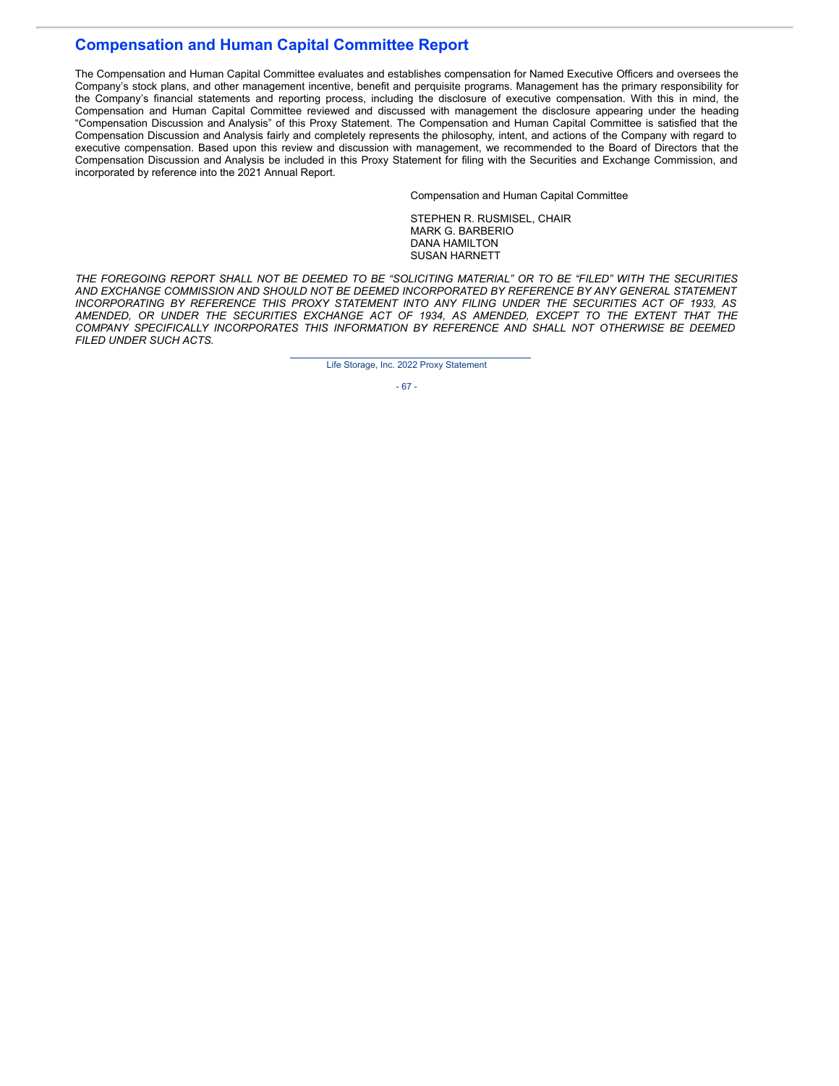# **Compensation and Human Capital Committee Report**

The Compensation and Human Capital Committee evaluates and establishes compensation for Named Executive Officers and oversees the Company's stock plans, and other management incentive, benefit and perquisite programs. Management has the primary responsibility for the Company's financial statements and reporting process, including the disclosure of executive compensation. With this in mind, the Compensation and Human Capital Committee reviewed and discussed with management the disclosure appearing under the heading "Compensation Discussion and Analysis" of this Proxy Statement. The Compensation and Human Capital Committee is satisfied that the Compensation Discussion and Analysis fairly and completely represents the philosophy, intent, and actions of the Company with regard to executive compensation. Based upon this review and discussion with management, we recommended to the Board of Directors that the Compensation Discussion and Analysis be included in this Proxy Statement for filing with the Securities and Exchange Commission, and incorporated by reference into the 2021 Annual Report.

Compensation and Human Capital Committee

STEPHEN R. RUSMISEL, CHAIR MARK G. BARBERIO DANA HAMILTON SUSAN HARNETT

THE FOREGOING REPORT SHALL NOT BE DEEMED TO BE "SOLICITING MATERIAL" OR TO BE "FILED" WITH THE SECURITIES *AND EXCHANGE COMMISSION AND SHOULD NOT BE DEEMED INCORPORATED BY REFERENCE BY ANY GENERAL STATEMENT INCORPORATING BY REFERENCE THIS PROXY STATEMENT INTO ANY FILING UNDER THE SECURITIES ACT OF 1933, AS AMENDED, OR UNDER THE SECURITIES EXCHANGE ACT OF 1934, AS AMENDED, EXCEPT TO THE EXTENT THAT THE COMPANY SPECIFICALLY INCORPORATES THIS INFORMATION BY REFERENCE AND SHALL NOT OTHERWISE BE DEEMED FILED UNDER SUCH ACTS.*

Life Storage, Inc. 2022 Proxy Statement

- 67 -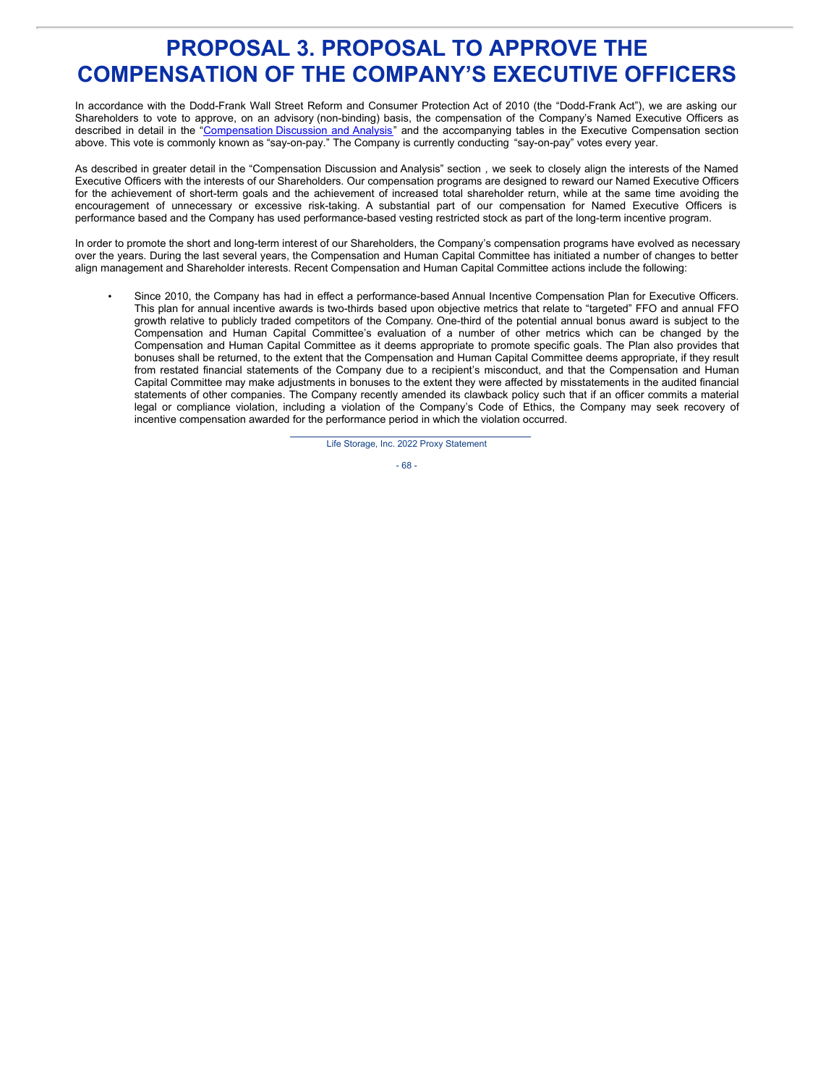# **PROPOSAL 3. PROPOSAL TO APPROVE THE COMPENSATION OF THE COMPANY'S EXECUTIVE OFFICERS**

In accordance with the Dodd-Frank Wall Street Reform and Consumer Protection Act of 2010 (the "Dodd-Frank Act"), we are asking our Shareholders to vote to approve, on an advisory (non-binding) basis, the compensation of the Company's Named Executive Officers as described in detail in the ["Compensation](http://www.sec.gov/Archives/edgar/data/936468/000119312511063609/ddef14a.htm#toc124218_57) Discussion and Analysis" and the accompanying tables in the Executive Compensation section above. This vote is commonly known as "say-on-pay." The Company is currently conducting "say-on-pay" votes every year.

As described in greater detail in the "Compensation Discussion and Analysis" section *,* we seek to closely align the interests of the Named Executive Officers with the interests of our Shareholders. Our compensation programs are designed to reward our Named Executive Officers for the achievement of short-term goals and the achievement of increased total shareholder return, while at the same time avoiding the encouragement of unnecessary or excessive risk-taking. A substantial part of our compensation for Named Executive Officers is performance based and the Company has used performance-based vesting restricted stock as part of the long-term incentive program.

In order to promote the short and long-term interest of our Shareholders, the Company's compensation programs have evolved as necessary over the years. During the last several years, the Compensation and Human Capital Committee has initiated a number of changes to better align management and Shareholder interests. Recent Compensation and Human Capital Committee actions include the following:

• Since 2010, the Company has had in effect a performance-based Annual Incentive Compensation Plan for Executive Officers. This plan for annual incentive awards is two-thirds based upon objective metrics that relate to "targeted" FFO and annual FFO growth relative to publicly traded competitors of the Company. One-third of the potential annual bonus award is subject to the Compensation and Human Capital Committee's evaluation of a number of other metrics which can be changed by the Compensation and Human Capital Committee as it deems appropriate to promote specific goals. The Plan also provides that bonuses shall be returned, to the extent that the Compensation and Human Capital Committee deems appropriate, if they result from restated financial statements of the Company due to a recipient's misconduct, and that the Compensation and Human Capital Committee may make adjustments in bonuses to the extent they were affected by misstatements in the audited financial statements of other companies. The Company recently amended its clawback policy such that if an officer commits a material legal or compliance violation, including a violation of the Company's Code of Ethics, the Company may seek recovery of incentive compensation awarded for the performance period in which the violation occurred.

Life Storage, Inc. 2022 Proxy Statement

- 68 -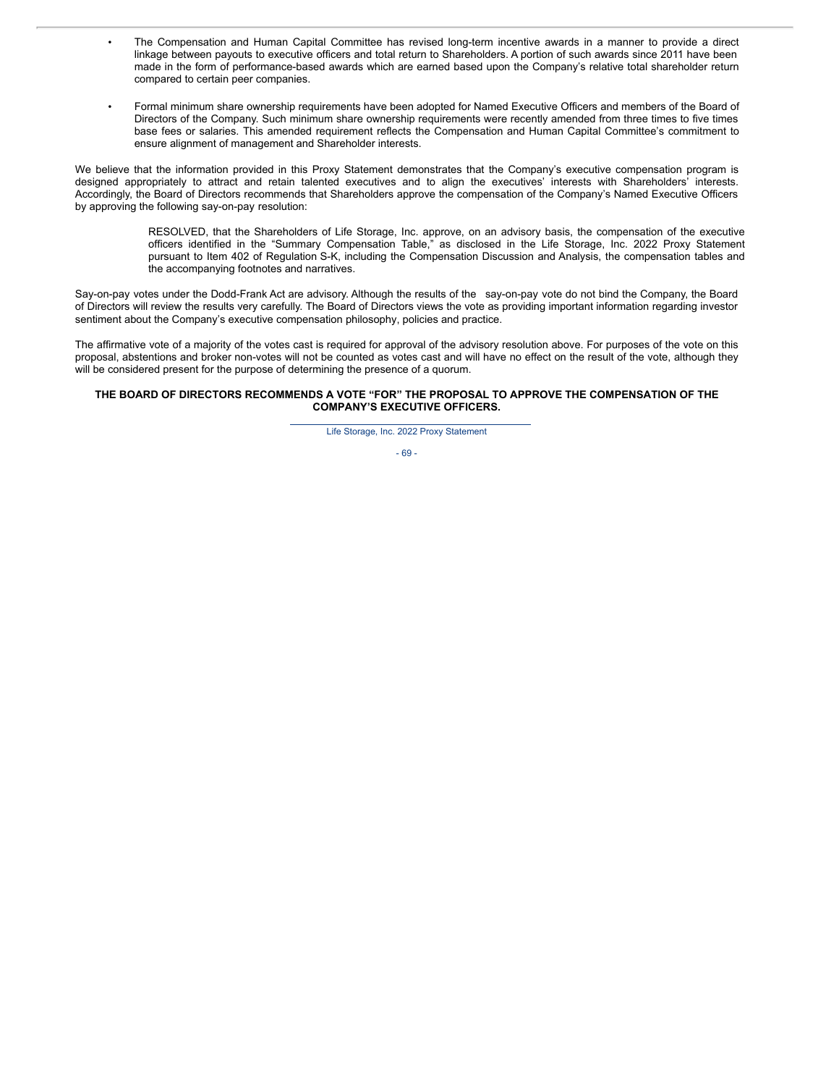- The Compensation and Human Capital Committee has revised long-term incentive awards in a manner to provide a direct linkage between payouts to executive officers and total return to Shareholders. A portion of such awards since 2011 have been made in the form of performance-based awards which are earned based upon the Company's relative total shareholder return compared to certain peer companies.
- Formal minimum share ownership requirements have been adopted for Named Executive Officers and members of the Board of Directors of the Company. Such minimum share ownership requirements were recently amended from three times to five times base fees or salaries. This amended requirement reflects the Compensation and Human Capital Committee's commitment to ensure alignment of management and Shareholder interests.

We believe that the information provided in this Proxy Statement demonstrates that the Company's executive compensation program is designed appropriately to attract and retain talented executives and to align the executives' interests with Shareholders' interests. Accordingly, the Board of Directors recommends that Shareholders approve the compensation of the Company's Named Executive Officers by approving the following say-on-pay resolution:

> RESOLVED, that the Shareholders of Life Storage, Inc. approve, on an advisory basis, the compensation of the executive officers identified in the "Summary Compensation Table," as disclosed in the Life Storage, Inc. 2022 Proxy Statement pursuant to Item 402 of Regulation S-K, including the Compensation Discussion and Analysis, the compensation tables and the accompanying footnotes and narratives.

Say-on-pay votes under the Dodd-Frank Act are advisory. Although the results of the say-on-pay vote do not bind the Company, the Board of Directors will review the results very carefully. The Board of Directors views the vote as providing important information regarding investor sentiment about the Company's executive compensation philosophy, policies and practice.

The affirmative vote of a majority of the votes cast is required for approval of the advisory resolution above. For purposes of the vote on this proposal, abstentions and broker non-votes will not be counted as votes cast and will have no effect on the result of the vote, although they will be considered present for the purpose of determining the presence of a quorum.

#### **THE BOARD OF DIRECTORS RECOMMENDS A VOTE "FOR" THE PROPOSAL TO APPROVE THE COMPENSATION OF THE COMPANY'S EXECUTIVE OFFICERS.**

Life Storage, Inc. 2022 Proxy Statement

- 69 -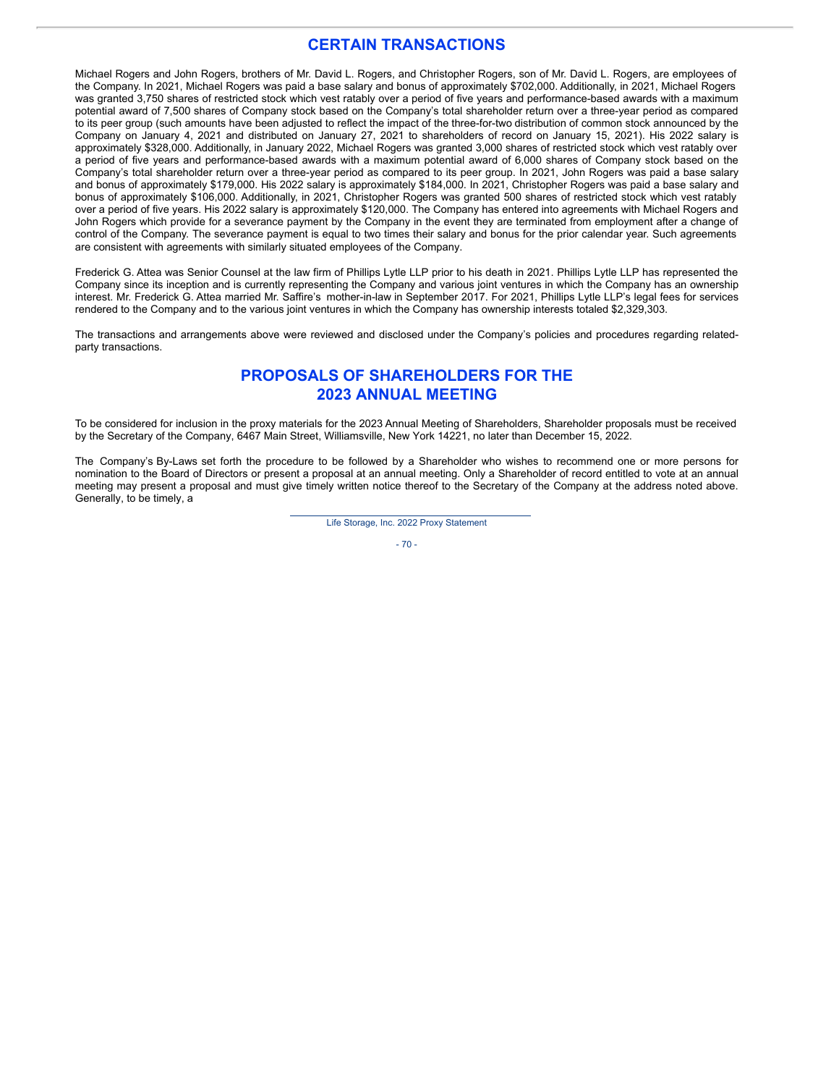## **CERTAIN TRANSACTIONS**

Michael Rogers and John Rogers, brothers of Mr. David L. Rogers, and Christopher Rogers, son of Mr. David L. Rogers, are employees of the Company. In 2021, Michael Rogers was paid a base salary and bonus of approximately \$702,000. Additionally, in 2021, Michael Rogers was granted 3,750 shares of restricted stock which vest ratably over a period of five years and performance-based awards with a maximum potential award of 7,500 shares of Company stock based on the Company's total shareholder return over a three-year period as compared to its peer group (such amounts have been adjusted to reflect the impact of the three-for-two distribution of common stock announced by the Company on January 4, 2021 and distributed on January 27, 2021 to shareholders of record on January 15, 2021). His 2022 salary is approximately \$328,000. Additionally, in January 2022, Michael Rogers was granted 3,000 shares of restricted stock which vest ratably over a period of five years and performance-based awards with a maximum potential award of 6,000 shares of Company stock based on the Company's total shareholder return over a three-year period as compared to its peer group. In 2021, John Rogers was paid a base salary and bonus of approximately \$179,000. His 2022 salary is approximately \$184,000. In 2021, Christopher Rogers was paid a base salary and bonus of approximately \$106,000. Additionally, in 2021, Christopher Rogers was granted 500 shares of restricted stock which vest ratably over a period of five years. His 2022 salary is approximately \$120,000. The Company has entered into agreements with Michael Rogers and John Rogers which provide for a severance payment by the Company in the event they are terminated from employment after a change of control of the Company. The severance payment is equal to two times their salary and bonus for the prior calendar year. Such agreements are consistent with agreements with similarly situated employees of the Company.

Frederick G. Attea was Senior Counsel at the law firm of Phillips Lytle LLP prior to his death in 2021. Phillips Lytle LLP has represented the Company since its inception and is currently representing the Company and various joint ventures in which the Company has an ownership interest. Mr. Frederick G. Attea married Mr. Saffire's mother-in-law in September 2017. For 2021, Phillips Lytle LLP's legal fees for services rendered to the Company and to the various joint ventures in which the Company has ownership interests totaled \$2,329,303.

The transactions and arrangements above were reviewed and disclosed under the Company's policies and procedures regarding relatedparty transactions.

## **PROPOSALS OF SHAREHOLDERS FOR THE 2023 ANNUAL MEETING**

To be considered for inclusion in the proxy materials for the 2023 Annual Meeting of Shareholders, Shareholder proposals must be received by the Secretary of the Company, 6467 Main Street, Williamsville, New York 14221, no later than December 15, 2022.

The Company's By-Laws set forth the procedure to be followed by a Shareholder who wishes to recommend one or more persons for nomination to the Board of Directors or present a proposal at an annual meeting. Only a Shareholder of record entitled to vote at an annual meeting may present a proposal and must give timely written notice thereof to the Secretary of the Company at the address noted above. Generally, to be timely, a

Life Storage, Inc. 2022 Proxy Statement

- 70 -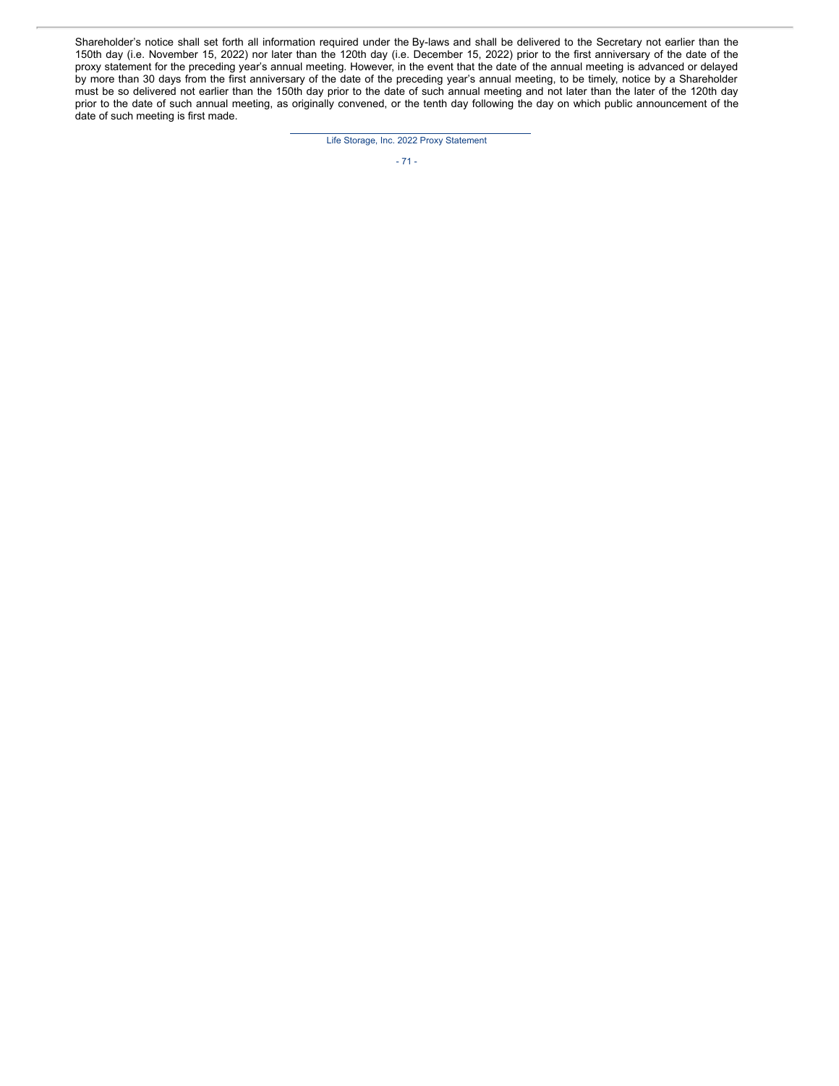Shareholder's notice shall set forth all information required under the By-laws and shall be delivered to the Secretary not earlier than the 150th day (i.e. November 15, 2022) nor later than the 120th day (i.e. December 15, 2022) prior to the first anniversary of the date of the proxy statement for the preceding year's annual meeting. However, in the event that the date of the annual meeting is advanced or delayed by more than 30 days from the first anniversary of the date of the preceding year's annual meeting, to be timely, notice by a Shareholder must be so delivered not earlier than the 150th day prior to the date of such annual meeting and not later than the later of the 120th day prior to the date of such annual meeting, as originally convened, or the tenth day following the day on which public announcement of the date of such meeting is first made.

Life Storage, Inc. 2022 Proxy Statement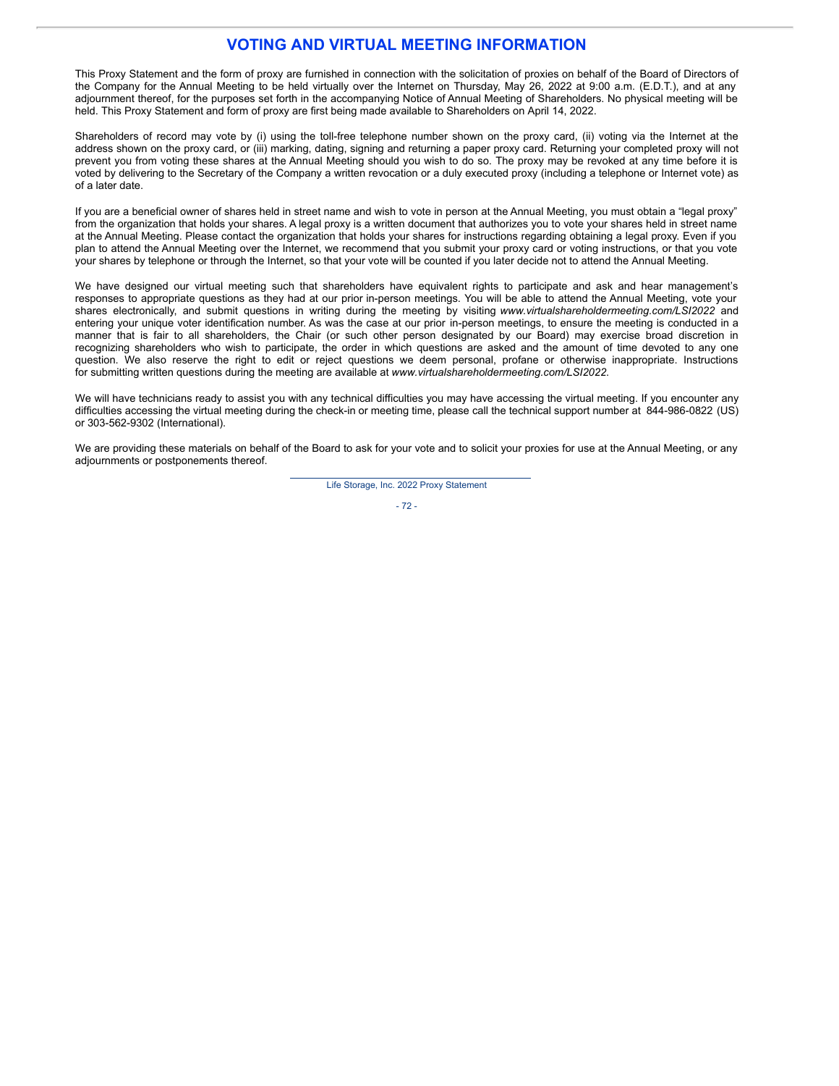## **VOTING AND VIRTUAL MEETING INFORMATION**

This Proxy Statement and the form of proxy are furnished in connection with the solicitation of proxies on behalf of the Board of Directors of the Company for the Annual Meeting to be held virtually over the Internet on Thursday, May 26, 2022 at 9:00 a.m. (E.D.T.), and at any adjournment thereof, for the purposes set forth in the accompanying Notice of Annual Meeting of Shareholders. No physical meeting will be held. This Proxy Statement and form of proxy are first being made available to Shareholders on April 14, 2022.

Shareholders of record may vote by (i) using the toll-free telephone number shown on the proxy card, (ii) voting via the Internet at the address shown on the proxy card, or (iii) marking, dating, signing and returning a paper proxy card. Returning your completed proxy will not prevent you from voting these shares at the Annual Meeting should you wish to do so. The proxy may be revoked at any time before it is voted by delivering to the Secretary of the Company a written revocation or a duly executed proxy (including a telephone or Internet vote) as of a later date.

If you are a beneficial owner of shares held in street name and wish to vote in person at the Annual Meeting, you must obtain a "legal proxy" from the organization that holds your shares. A legal proxy is a written document that authorizes you to vote your shares held in street name at the Annual Meeting. Please contact the organization that holds your shares for instructions regarding obtaining a legal proxy. Even if you plan to attend the Annual Meeting over the Internet, we recommend that you submit your proxy card or voting instructions, or that you vote your shares by telephone or through the Internet, so that your vote will be counted if you later decide not to attend the Annual Meeting.

We have designed our virtual meeting such that shareholders have equivalent rights to participate and ask and hear management's responses to appropriate questions as they had at our prior in-person meetings. You will be able to attend the Annual Meeting, vote your shares electronically, and submit questions in writing during the meeting by visiting *www.virtualshareholdermeeting.com/LSI2022* and entering your unique voter identification number. As was the case at our prior in-person meetings, to ensure the meeting is conducted in a manner that is fair to all shareholders, the Chair (or such other person designated by our Board) may exercise broad discretion in recognizing shareholders who wish to participate, the order in which questions are asked and the amount of time devoted to any one question. We also reserve the right to edit or reject questions we deem personal, profane or otherwise inappropriate. Instructions for submitting written questions during the meeting are available at *www.virtualshareholdermeeting.com/LSI2022*.

We will have technicians ready to assist you with any technical difficulties you may have accessing the virtual meeting. If you encounter any difficulties accessing the virtual meeting during the check-in or meeting time, please call the technical support number at 844-986-0822 (US) or 303-562-9302 (International).

We are providing these materials on behalf of the Board to ask for your vote and to solicit your proxies for use at the Annual Meeting, or any adjournments or postponements thereof.

Life Storage, Inc. 2022 Proxy Statement

- 72 -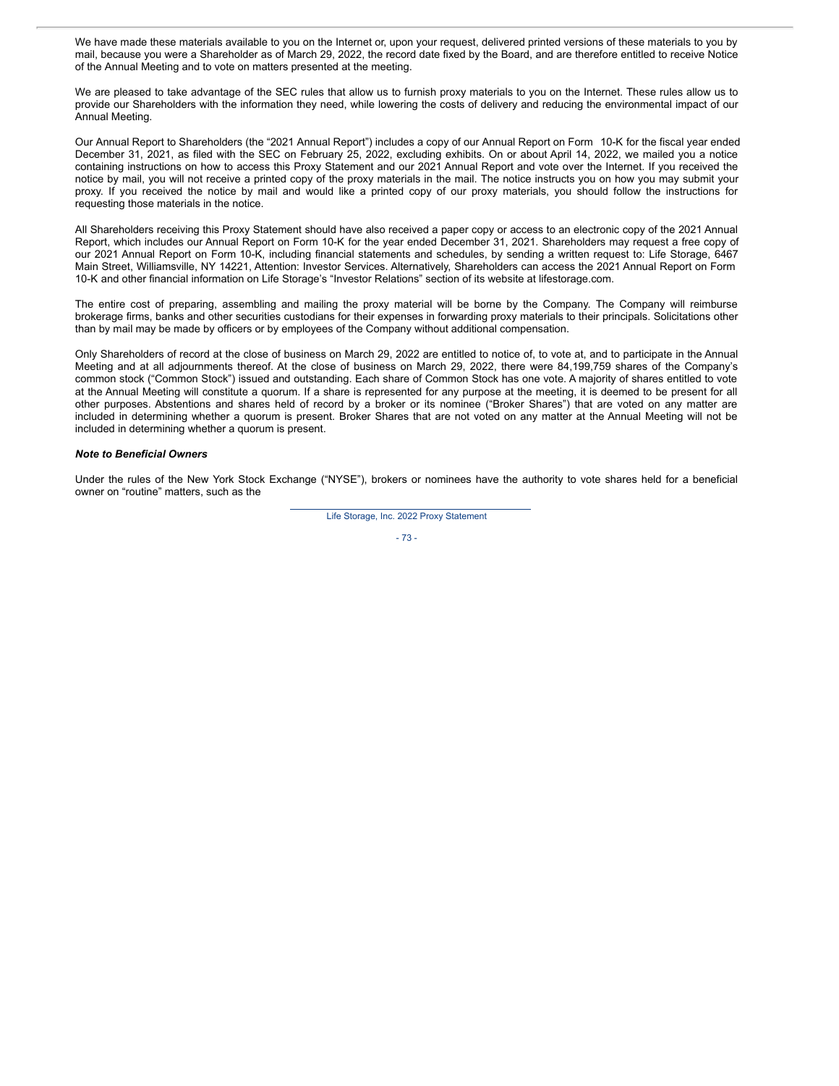We have made these materials available to you on the Internet or, upon your request, delivered printed versions of these materials to you by mail, because you were a Shareholder as of March 29, 2022, the record date fixed by the Board, and are therefore entitled to receive Notice of the Annual Meeting and to vote on matters presented at the meeting.

We are pleased to take advantage of the SEC rules that allow us to furnish proxy materials to you on the Internet. These rules allow us to provide our Shareholders with the information they need, while lowering the costs of delivery and reducing the environmental impact of our Annual Meeting.

Our Annual Report to Shareholders (the "2021 Annual Report") includes a copy of our Annual Report on Form 10-K for the fiscal year ended December 31, 2021, as filed with the SEC on February 25, 2022, excluding exhibits. On or about April 14, 2022, we mailed you a notice containing instructions on how to access this Proxy Statement and our 2021 Annual Report and vote over the Internet. If you received the notice by mail, you will not receive a printed copy of the proxy materials in the mail. The notice instructs you on how you may submit your proxy. If you received the notice by mail and would like a printed copy of our proxy materials, you should follow the instructions for requesting those materials in the notice.

All Shareholders receiving this Proxy Statement should have also received a paper copy or access to an electronic copy of the 2021 Annual Report, which includes our Annual Report on Form 10-K for the year ended December 31, 2021. Shareholders may request a free copy of our 2021 Annual Report on Form 10-K, including financial statements and schedules, by sending a written request to: Life Storage, 6467 Main Street, Williamsville, NY 14221, Attention: Investor Services. Alternatively, Shareholders can access the 2021 Annual Report on Form 10-K and other financial information on Life Storage's "Investor Relations" section of its website at lifestorage.com.

The entire cost of preparing, assembling and mailing the proxy material will be borne by the Company. The Company will reimburse brokerage firms, banks and other securities custodians for their expenses in forwarding proxy materials to their principals. Solicitations other than by mail may be made by officers or by employees of the Company without additional compensation.

Only Shareholders of record at the close of business on March 29, 2022 are entitled to notice of, to vote at, and to participate in the Annual Meeting and at all adjournments thereof. At the close of business on March 29, 2022, there were 84,199,759 shares of the Company's common stock ("Common Stock") issued and outstanding. Each share of Common Stock has one vote. A majority of shares entitled to vote at the Annual Meeting will constitute a quorum. If a share is represented for any purpose at the meeting, it is deemed to be present for all other purposes. Abstentions and shares held of record by a broker or its nominee ("Broker Shares") that are voted on any matter are included in determining whether a quorum is present. Broker Shares that are not voted on any matter at the Annual Meeting will not be included in determining whether a quorum is present.

#### *Note to Beneficial Owners*

Under the rules of the New York Stock Exchange ("NYSE"), brokers or nominees have the authority to vote shares held for a beneficial owner on "routine" matters, such as the

Life Storage, Inc. 2022 Proxy Statement

- 73 -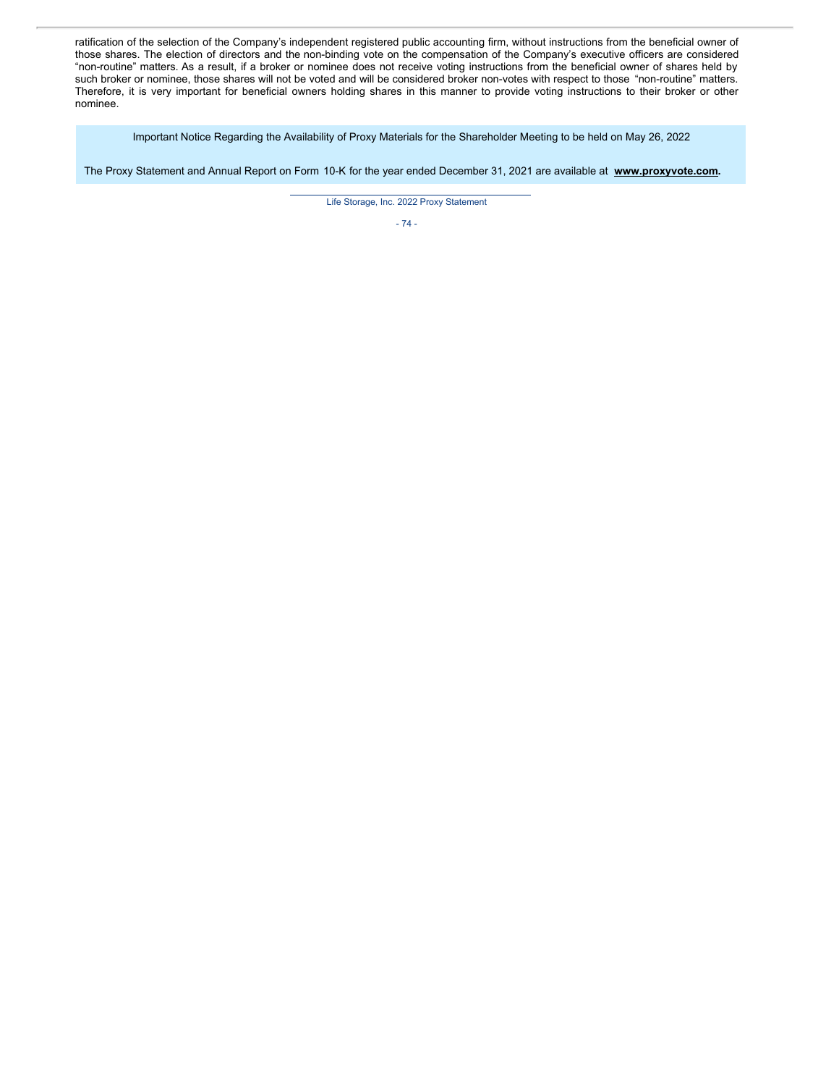ratification of the selection of the Company's independent registered public accounting firm, without instructions from the beneficial owner of those shares. The election of directors and the non-binding vote on the compensation of the Company's executive officers are considered "non-routine" matters. As a result, if a broker or nominee does not receive voting instructions from the beneficial owner of shares held by such broker or nominee, those shares will not be voted and will be considered broker non-votes with respect to those "non-routine" matters. Therefore, it is very important for beneficial owners holding shares in this manner to provide voting instructions to their broker or other nominee.

Important Notice Regarding the Availability of Proxy Materials for the Shareholder Meeting to be held on May 26, 2022

The Proxy Statement and Annual Report on Form 10-K for the year ended December 31, 2021 are available at **www.proxyvote.com.**

Life Storage, Inc. 2022 Proxy Statement

- 74 -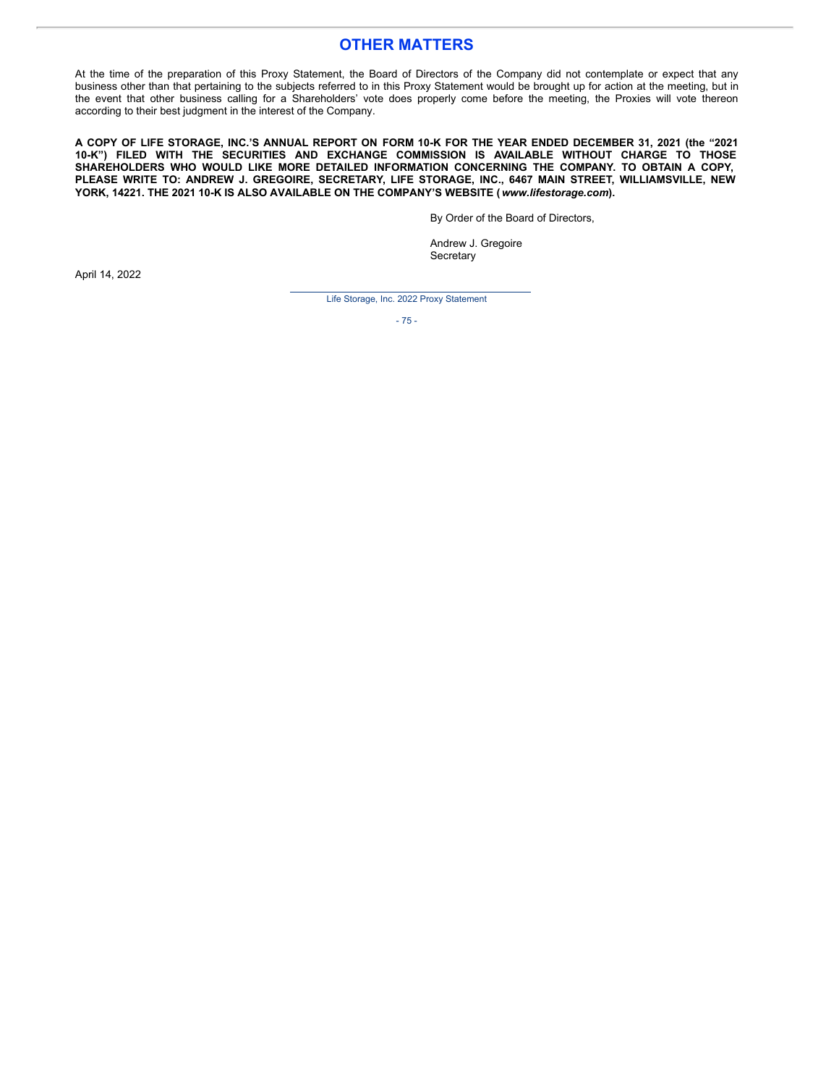## **OTHER MATTERS**

At the time of the preparation of this Proxy Statement, the Board of Directors of the Company did not contemplate or expect that any business other than that pertaining to the subjects referred to in this Proxy Statement would be brought up for action at the meeting, but in the event that other business calling for a Shareholders' vote does properly come before the meeting, the Proxies will vote thereon according to their best judgment in the interest of the Company.

A COPY OF LIFE STORAGE, INC.'S ANNUAL REPORT ON FORM 10-K FOR THE YEAR ENDED DECEMBER 31, 2021 (the "2021 **10-K") FILED WITH THE SECURITIES AND EXCHANGE COMMISSION IS AVAILABLE WITHOUT CHARGE TO THOSE SHAREHOLDERS WHO WOULD LIKE MORE DETAILED INFORMATION CONCERNING THE COMPANY. TO OBTAIN A COPY, PLEASE WRITE TO: ANDREW J. GREGOIRE, SECRETARY, LIFE STORAGE, INC., 6467 MAIN STREET, WILLIAMSVILLE, NEW YORK, 14221. THE 2021 10-K IS ALSO AVAILABLE ON THE COMPANY'S WEBSITE (***www.lifestorage.com***).**

By Order of the Board of Directors,

Andrew J. Gregoire **Secretary** 

April 14, 2022

Life Storage, Inc. 2022 Proxy Statement

- 75 -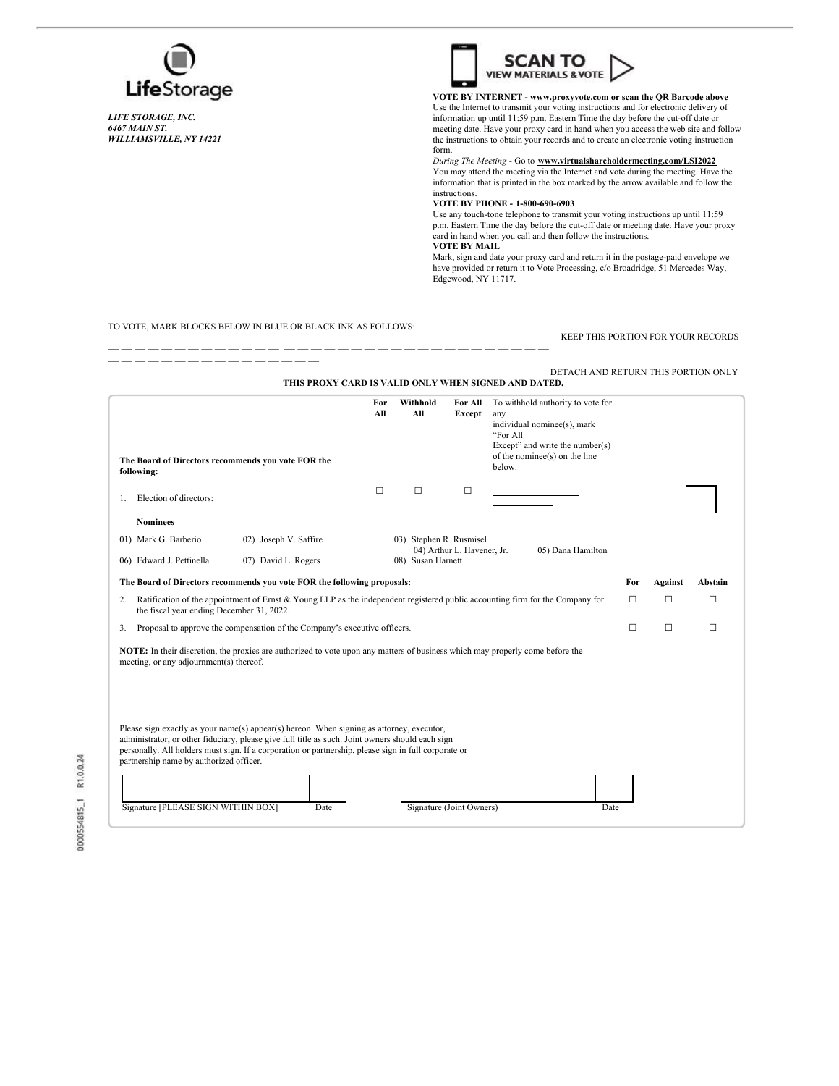

*LIFE STORAGE, INC. 6467 MAIN ST. WILLIAMSVILLE, NY 14221*



**VOTE BY INTERNET - www.proxyvote.com or scan the QR Barcode above** Use the Internet to transmit your voting instructions and for electronic delivery of information up until 11:59 p.m. Eastern Time the day before the cut-off date or meeting date. Have your proxy card in hand when you access the web site and follow the instructions to obtain your records and to create an electronic voting instruction form.

*During The Meeting* - Go to **www.virtualshareholdermeeting.com/LSI2022** You may attend the meeting via the Internet and vote during the meeting. Have the information that is printed in the box marked by the arrow available and follow the instructions.

### **VOTE BY PHONE - 1-800-690-6903**

Use any touch-tone telephone to transmit your voting instructions up until 11:59 p.m. Eastern Time the day before the cut-off date or meeting date. Have your proxy card in hand when you call and then follow the instructions. **VOTE BY MAIL**

Mark, sign and date your proxy card and return it in the postage-paid envelope we have provided or return it to Vote Processing, c/o Broadridge, 51 Mercedes Way, Edgewood, NY 11717.

#### TO VOTE, MARK BLOCKS BELOW IN BLUE OR BLACK INK AS FOLLOWS:

— — — — — — — — — — — — — — — —

— — — — — — — — — — — — — — — — — — — — — — — — — — — — — — — — —

KEEP THIS PORTION FOR YOUR RECORDS

|                                                                                                                                                                                     |                                                                                                                                                                                                                                                                                                               |                                                                            |                   |                          | DETACH AND RETURN THIS PORTION ONLY<br>THIS PROXY CARD IS VALID ONLY WHEN SIGNED AND DATED.                                                                           |        |                |         |
|-------------------------------------------------------------------------------------------------------------------------------------------------------------------------------------|---------------------------------------------------------------------------------------------------------------------------------------------------------------------------------------------------------------------------------------------------------------------------------------------------------------|----------------------------------------------------------------------------|-------------------|--------------------------|-----------------------------------------------------------------------------------------------------------------------------------------------------------------------|--------|----------------|---------|
| The Board of Directors recommends you vote FOR the<br>following:                                                                                                                    |                                                                                                                                                                                                                                                                                                               | For<br>All                                                                 | Withhold<br>All   | For All<br>Except        | To withhold authority to vote for<br>any<br>individual nominee(s), mark<br>"For All<br>Except" and write the number( $s$ )<br>of the nominee(s) on the line<br>below. |        |                |         |
| Election of directors:<br>1.                                                                                                                                                        |                                                                                                                                                                                                                                                                                                               | $\Box$                                                                     | $\Box$            | $\Box$                   |                                                                                                                                                                       |        |                |         |
| <b>Nominees</b>                                                                                                                                                                     |                                                                                                                                                                                                                                                                                                               |                                                                            |                   |                          |                                                                                                                                                                       |        |                |         |
| 01) Mark G. Barberio                                                                                                                                                                | 02) Joseph V. Saffire                                                                                                                                                                                                                                                                                         | 03) Stephen R. Rusmisel<br>04) Arthur L. Havener, Jr.<br>05) Dana Hamilton |                   |                          |                                                                                                                                                                       |        |                |         |
| 06) Edward J. Pettinella                                                                                                                                                            | 07) David L. Rogers                                                                                                                                                                                                                                                                                           |                                                                            | 08) Susan Harnett |                          |                                                                                                                                                                       |        |                |         |
| The Board of Directors recommends you vote FOR the following proposals:                                                                                                             |                                                                                                                                                                                                                                                                                                               |                                                                            |                   |                          |                                                                                                                                                                       | For    | <b>Against</b> | Abstain |
| Ratification of the appointment of Ernst $\&$ Young LLP as the independent registered public accounting firm for the Company for<br>2.<br>the fiscal year ending December 31, 2022. |                                                                                                                                                                                                                                                                                                               |                                                                            |                   |                          |                                                                                                                                                                       | $\Box$ | □              | п       |
| Proposal to approve the compensation of the Company's executive officers.<br>3.                                                                                                     |                                                                                                                                                                                                                                                                                                               |                                                                            |                   |                          |                                                                                                                                                                       | □      | □              | □       |
| meeting, or any adjournment(s) thereof.                                                                                                                                             | NOTE: In their discretion, the proxies are authorized to vote upon any matters of business which may properly come before the                                                                                                                                                                                 |                                                                            |                   |                          |                                                                                                                                                                       |        |                |         |
| partnership name by authorized officer.<br>Signature [PLEASE SIGN WITHIN BOX]                                                                                                       | Please sign exactly as your name(s) appear(s) hereon. When signing as attorney, executor,<br>administrator, or other fiduciary, please give full title as such. Joint owners should each sign<br>personally. All holders must sign. If a corporation or partnership, please sign in full corporate or<br>Date |                                                                            |                   | Signature (Joint Owners) | Date                                                                                                                                                                  |        |                |         |